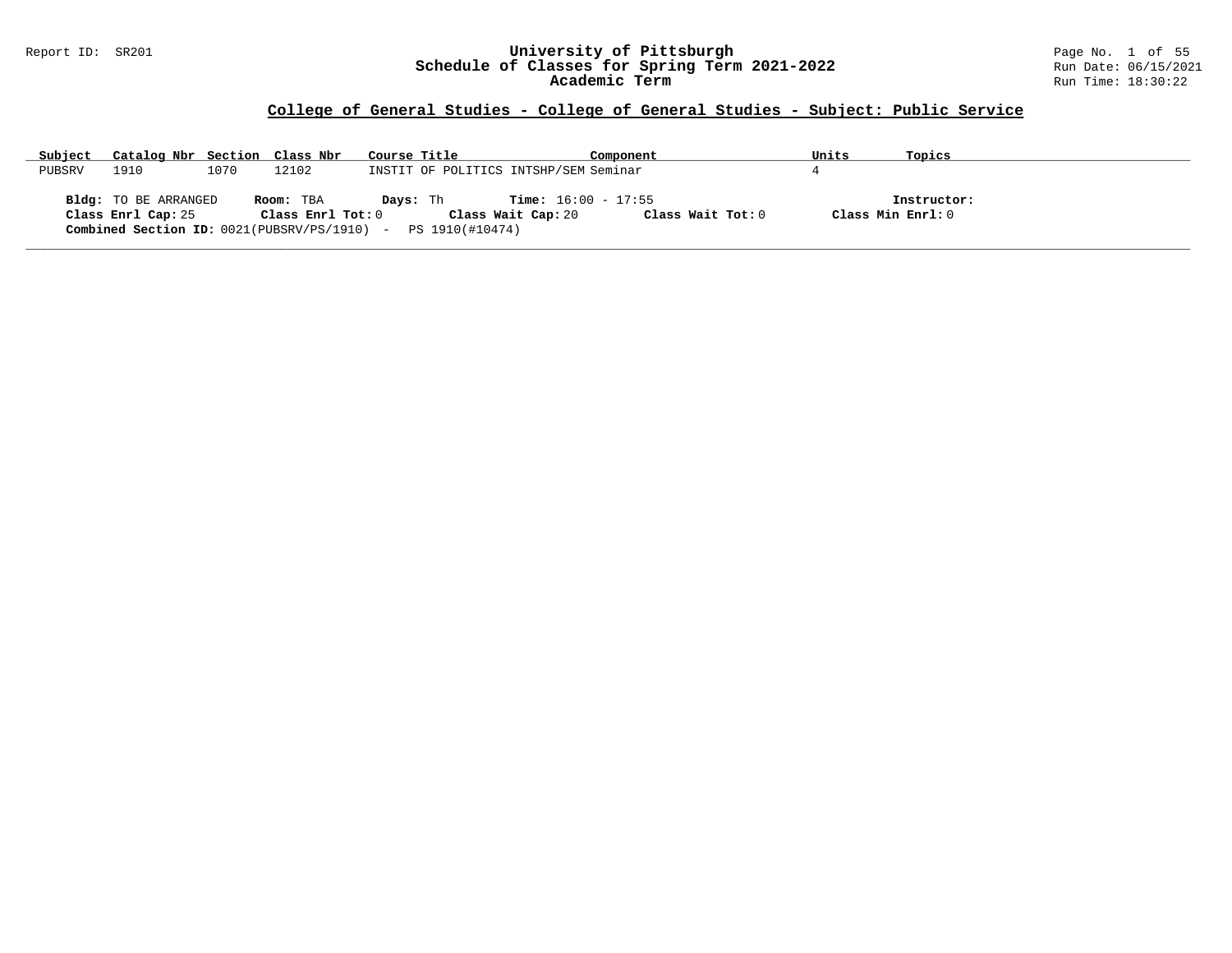#### Report ID: SR201 **University of Pittsburgh** Page No. 1 of 55 **Schedule of Classes for Spring Term 2021-2022** Run Date: 06/15/2021 **Academic Term** Run Time: 18:30:22

| Subject | Catalog Nbr Section Class Nbr              |      |                                                                                     | Course Title    |                                       |                                                    | Component         | Units             | Topics      |
|---------|--------------------------------------------|------|-------------------------------------------------------------------------------------|-----------------|---------------------------------------|----------------------------------------------------|-------------------|-------------------|-------------|
| PUBSRV  | 1910                                       | 1070 | 12102                                                                               |                 | INSTIT OF POLITICS INTSHP/SEM Seminar |                                                    |                   |                   |             |
|         | Bldg: TO BE ARRANGED<br>Class Enrl Cap: 25 |      | Room: TBA<br>$Class$ $Enr1$ $Tot: 0$<br>Combined Section ID: 0021(PUBSRV/PS/1910) - | <b>Davs:</b> Th | PS 1910(#10474)                       | <b>Time:</b> $16:00 - 17:55$<br>Class Wait Cap: 20 | Class Wait Tot: 0 | Class Min Enrl: 0 | Instructor: |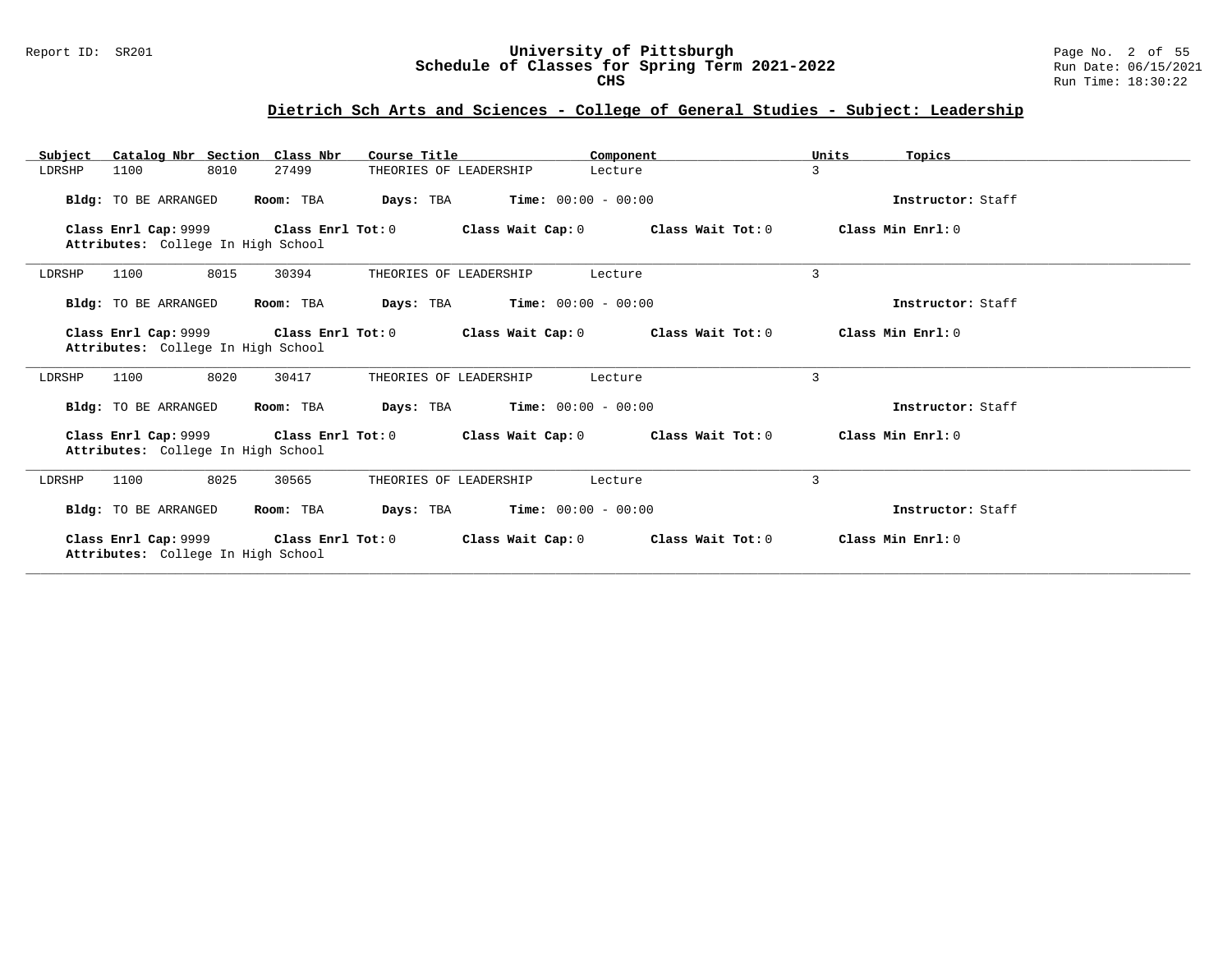#### Report ID: SR201 **University of Pittsburgh** Page No. 2 of 55 **Schedule of Classes for Spring Term 2021-2022** Run Date: 06/15/2021 **CHS** Run Time: 18:30:22

# **Dietrich Sch Arts and Sciences - College of General Studies - Subject: Leadership**

| Catalog Nbr Section Class Nbr<br>Subject                                     | Course Title                                                               | Component                                                                    | Units<br>Topics   |
|------------------------------------------------------------------------------|----------------------------------------------------------------------------|------------------------------------------------------------------------------|-------------------|
| 8010<br>27499<br>LDRSHP<br>1100                                              | THEORIES OF LEADERSHIP                                                     | Lecture                                                                      | 3                 |
| Bldg: TO BE ARRANGED<br>Room: TBA                                            | <b>Days:</b> TBA <b>Time:</b> $00:00 - 00:00$                              |                                                                              | Instructor: Staff |
| Attributes: College In High School                                           |                                                                            | Class Enrl Cap: $9999$ Class Enrl Tot: 0 Class Wait Cap: 0 Class Wait Tot: 0 | Class Min Enrl: 0 |
| 8015<br>30394<br>LDRSHP<br>1100                                              | THEORIES OF LEADERSHIP                                                     | Lecture                                                                      | 3                 |
| Bldg: TO BE ARRANGED<br>Room: TBA                                            | <b>Days:</b> TBA <b>Time:</b> $00:00 - 00:00$                              |                                                                              | Instructor: Staff |
| Attributes: College In High School                                           |                                                                            | Class Enrl Cap: 9999 Class Enrl Tot: 0 Class Wait Cap: 0 Class Wait Tot: 0   | Class Min Enrl: 0 |
| 8020<br>30417<br>1100<br>LDRSHP                                              | THEORIES OF LEADERSHIP                                                     | Lecture                                                                      | 3                 |
| Bldg: TO BE ARRANGED<br>Room: TBA                                            | <b>Days:</b> TBA <b>Time:</b> $00:00 - 00:00$                              |                                                                              | Instructor: Staff |
| Attributes: College In High School                                           | Class Enrl Cap: 9999 Class Enrl Tot: 0 Class Wait Cap: 0 Class Wait Tot: 0 |                                                                              | Class Min Enrl: 0 |
| 8025<br>1100<br>30565<br>LDRSHP                                              | THEORIES OF LEADERSHIP                                                     | Lecture                                                                      | 3                 |
| Bldg: TO BE ARRANGED<br>Room: TBA                                            | <b>Days:</b> TBA <b>Time:</b> $00:00 - 00:00$                              |                                                                              | Instructor: Staff |
| Class Enrl Cap: 9999 Class Enrl Tot: 0<br>Attributes: College In High School |                                                                            | Class Wait Cap: 0 Class Wait Tot: 0                                          | Class Min Enrl: 0 |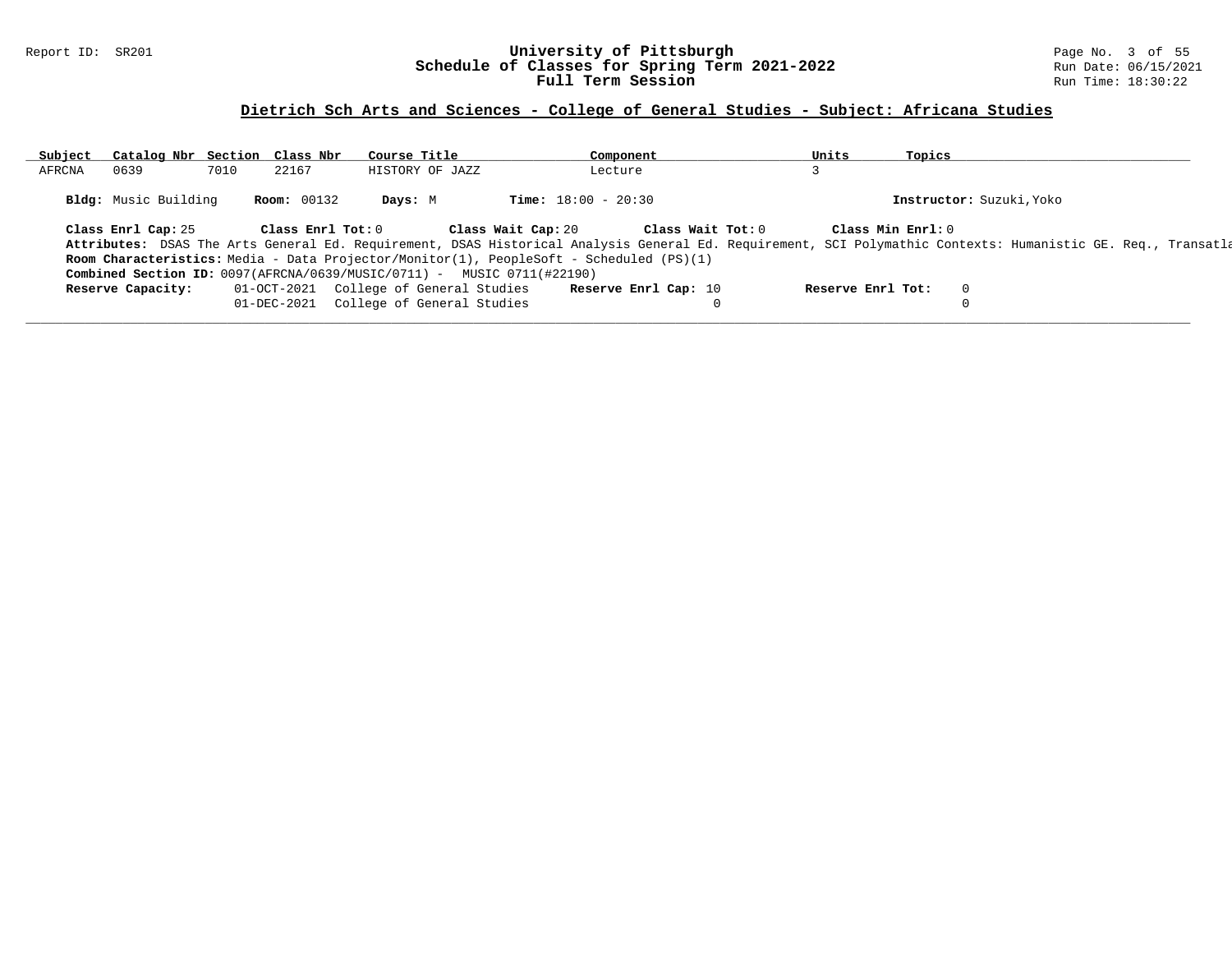#### Report ID: SR201 **University of Pittsburgh** Page No. 3 of 55 **Schedule of Classes for Spring Term 2021-2022** Run Date: 06/15/2021 **Full Term Session Run Time: 18:30:22**

# **Dietrich Sch Arts and Sciences - College of General Studies - Subject: Africana Studies**

| Subject | Catalog Nbr Section Class Nbr |      |                    | Course Title                                                                    | Component                                                                               | Units             | Topics                                                                                                                                                       |
|---------|-------------------------------|------|--------------------|---------------------------------------------------------------------------------|-----------------------------------------------------------------------------------------|-------------------|--------------------------------------------------------------------------------------------------------------------------------------------------------------|
| AFRCNA  | 0639                          | 7010 | 22167              | HISTORY OF JAZZ                                                                 | Lecture                                                                                 |                   |                                                                                                                                                              |
|         | Bldg: Music Building          |      | <b>Room:</b> 00132 | Days: M                                                                         | <b>Time:</b> $18:00 - 20:30$                                                            |                   | Instructor: Suzuki, Yoko                                                                                                                                     |
|         | Class Enrl Cap: 25            |      | Class Enrl Tot: 0  |                                                                                 | Class Wait Tot: 0<br>Class Wait Cap: 20                                                 | Class Min Enrl: 0 |                                                                                                                                                              |
|         |                               |      |                    |                                                                                 |                                                                                         |                   | Attributes: DSAS The Arts General Ed. Requirement, DSAS Historical Analysis General Ed. Requirement, SCI Polymathic Contexts: Humanistic GE. Req., Transatla |
|         |                               |      |                    |                                                                                 | Room Characteristics: Media - Data Projector/Monitor(1), PeopleSoft - Scheduled (PS)(1) |                   |                                                                                                                                                              |
|         |                               |      |                    | <b>Combined Section ID:</b> $0097(RFRCNA/0639/MUSIC/0711)$ - MUSIC 0711(#22190) |                                                                                         |                   |                                                                                                                                                              |
|         | Reserve Capacity:             |      | 01-OCT-2021        | College of General Studies                                                      | Reserve Enrl Cap: 10                                                                    | Reserve Enrl Tot: | $\mathbf{0}$                                                                                                                                                 |
|         |                               |      | 01-DEC-2021        | College of General Studies                                                      |                                                                                         |                   |                                                                                                                                                              |
|         |                               |      |                    |                                                                                 |                                                                                         |                   |                                                                                                                                                              |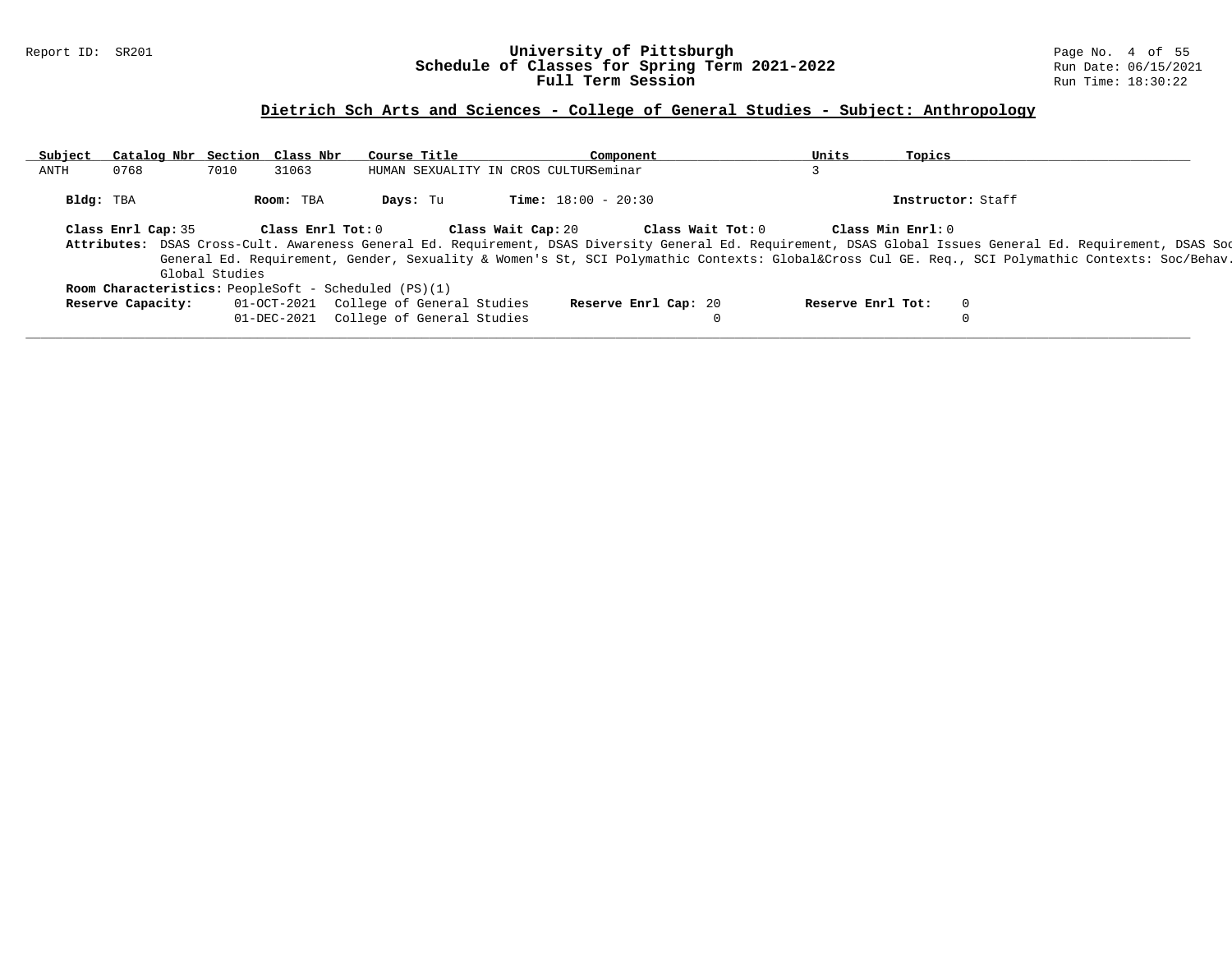### Report ID: SR201 **University of Pittsburgh** Page No. 4 of 55 **Schedule of Classes for Spring Term 2021-2022** Run Date: 06/15/2021 **Full Term Session Run Time: 18:30:22**

# **Dietrich Sch Arts and Sciences - College of General Studies - Subject: Anthropology**

| Subject | Catalog Nbr Section Class Nbr |                |                   | Course Title                                                                                                                                                                                                                                                                                                | Component                    | Units             | Topics            |  |
|---------|-------------------------------|----------------|-------------------|-------------------------------------------------------------------------------------------------------------------------------------------------------------------------------------------------------------------------------------------------------------------------------------------------------------|------------------------------|-------------------|-------------------|--|
| ANTH    | 0768                          | 7010           | 31063             | HUMAN SEXUALITY IN CROS CULTURSeminar                                                                                                                                                                                                                                                                       |                              |                   |                   |  |
|         | Bldg: TBA                     |                | Room: TBA         | Days: Tu                                                                                                                                                                                                                                                                                                    | <b>Time:</b> $18:00 - 20:30$ |                   | Instructor: Staff |  |
|         | Class Enrl Cap: 35            |                | Class Enrl Tot: 0 | Class Wait Cap: 20                                                                                                                                                                                                                                                                                          | Class Wait Tot: 0            |                   | Class Min Enrl: 0 |  |
|         |                               |                |                   | Attributes: DSAS Cross-Cult. Awareness General Ed. Requirement, DSAS Diversity General Ed. Requirement, DSAS Global Issues General Ed. Requirement, DSAS Soc<br>General Ed. Requirement, Gender, Sexuality & Women's St, SCI Polymathic Contexts: Global⨯ Cul GE. Req., SCI Polymathic Contexts: Soc/Behav. |                              |                   |                   |  |
|         |                               | Global Studies |                   |                                                                                                                                                                                                                                                                                                             |                              |                   |                   |  |
|         |                               |                |                   | <b>Room Characteristics:</b> PeopleSoft - Scheduled (PS)(1)                                                                                                                                                                                                                                                 |                              |                   |                   |  |
|         | Reserve Capacity:             |                | 01-OCT-2021       | College of General Studies                                                                                                                                                                                                                                                                                  | Reserve Enrl Cap: 20         | Reserve Enrl Tot: | $\Omega$          |  |
|         |                               |                | 01-DEC-2021       | College of General Studies                                                                                                                                                                                                                                                                                  |                              |                   | 0                 |  |
|         |                               |                |                   |                                                                                                                                                                                                                                                                                                             |                              |                   |                   |  |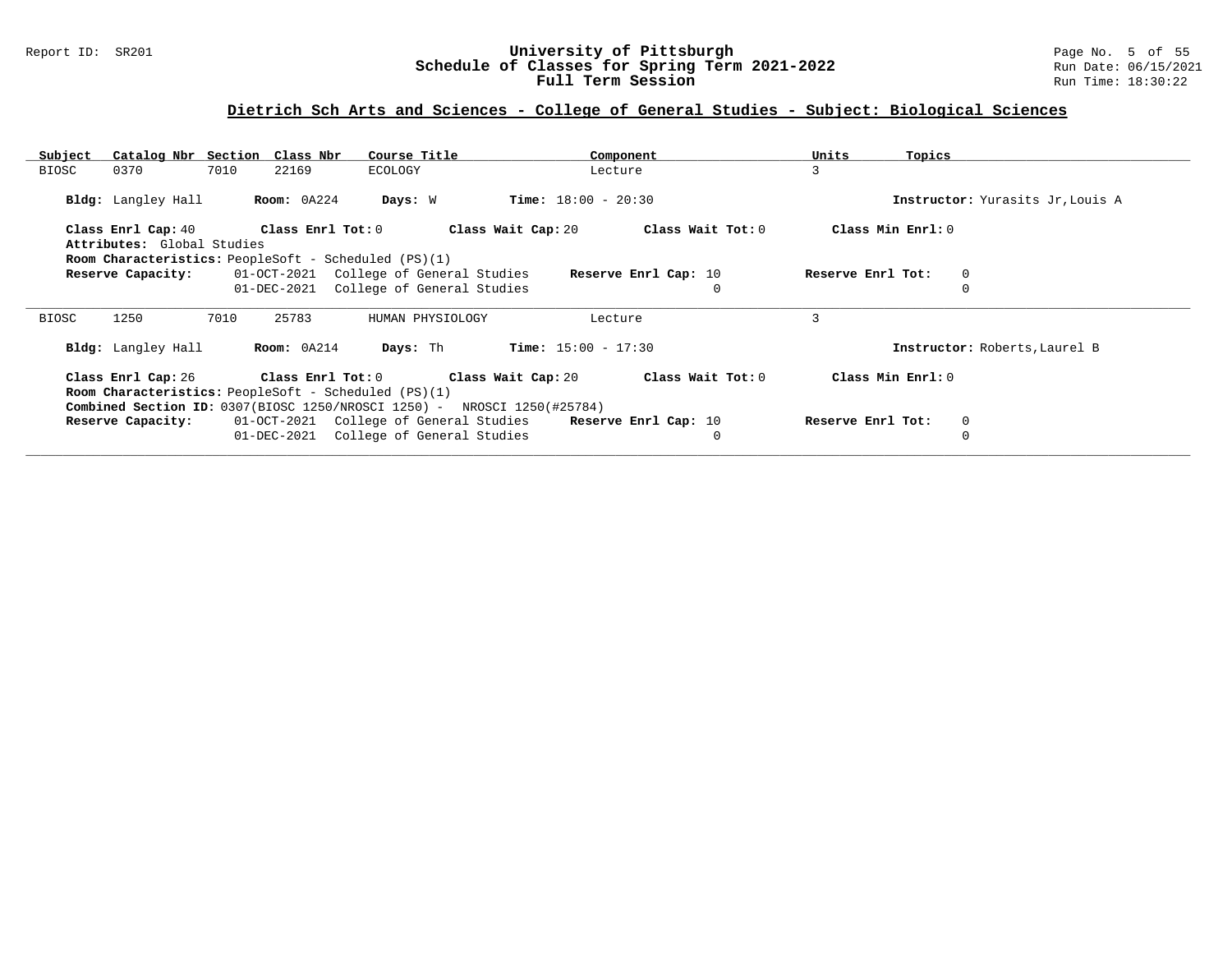### Report ID: SR201 **University of Pittsburgh** Page No. 5 of 55 **Schedule of Classes for Spring Term 2021-2022** Run Date: 06/15/2021 **Full Term Session Run Time: 18:30:22**

# **Dietrich Sch Arts and Sciences - College of General Studies - Subject: Biological Sciences**

| Subject                    | Catalog Nbr Section Class Nbr<br>Course Title                           | Component                               | Units<br>Topics                  |  |
|----------------------------|-------------------------------------------------------------------------|-----------------------------------------|----------------------------------|--|
| 0370<br>BIOSC              | 7010<br>22169<br>ECOLOGY                                                | Lecture                                 | 3                                |  |
| <b>Bldg:</b> Langley Hall  | Room: 0A224<br>Days: W                                                  | $Time: 18:00 - 20:30$                   | Instructor: Yurasits Jr, Louis A |  |
| Class Enrl Cap: 40         | $Class$ $Enr1$ $Tot: 0$                                                 | Class Wait Cap: 20<br>Class Wait Tot: 0 | Class Min Enrl: 0                |  |
| Attributes: Global Studies |                                                                         |                                         |                                  |  |
|                            | <b>Room Characteristics:</b> PeopleSoft - Scheduled (PS)(1)             |                                         |                                  |  |
| Reserve Capacity:          | 01-OCT-2021 College of General Studies                                  | Reserve Enrl Cap: 10                    | Reserve Enrl Tot:<br>$\mathbf 0$ |  |
|                            | 01-DEC-2021<br>College of General Studies                               | $\mathbf 0$                             |                                  |  |
|                            |                                                                         |                                         |                                  |  |
| 1250<br>BIOSC              | 7010<br>25783<br>HUMAN PHYSIOLOGY                                       | Lecture                                 | 3                                |  |
| Bldg: Langley Hall         | Days: Th<br>Room: 0A214                                                 | $Time: 15:00 - 17:30$                   | Instructor: Roberts, Laurel B    |  |
|                            | Class Enrl Cap: 26 Class Enrl Tot: 0 Class Wait Cap: 20                 | Class Wait Tot: 0                       | Class Min Enrl: 0                |  |
|                            | <b>Room Characteristics:</b> PeopleSoft - Scheduled (PS)(1)             |                                         |                                  |  |
|                            | Combined Section ID: 0307(BIOSC 1250/NROSCI 1250) - NROSCI 1250(#25784) |                                         |                                  |  |
| Reserve Capacity:          | 01-OCT-2021 College of General Studies                                  | Reserve Enrl Cap: 10                    | Reserve Enrl Tot:<br>$\mathbf 0$ |  |
|                            |                                                                         |                                         |                                  |  |
|                            | 01-DEC-2021<br>College of General Studies                               | $\mathbf 0$                             | 0                                |  |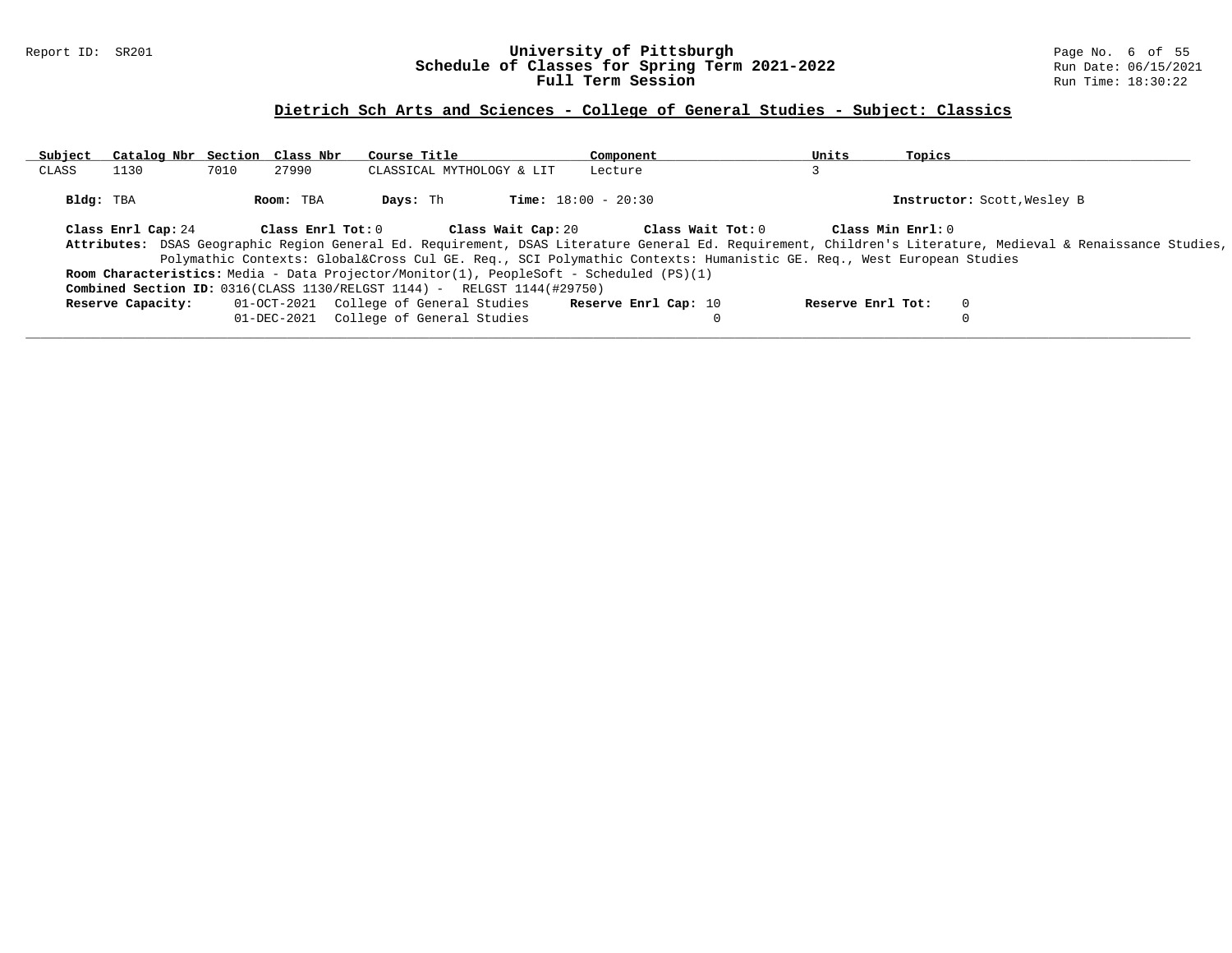### Report ID: SR201 **University of Pittsburgh** Page No. 6 of 55 **Schedule of Classes for Spring Term 2021-2022** Run Date: 06/15/2021 **Full Term Session Run Time: 18:30:22**

# **Dietrich Sch Arts and Sciences - College of General Studies - Subject: Classics**

| Subject   | Catalog Nbr Section Class Nbr |      |                         | Course Title                                                                                                   |                    | Component                    |                   | Units             | Topics            |                                                                                                                                                             |
|-----------|-------------------------------|------|-------------------------|----------------------------------------------------------------------------------------------------------------|--------------------|------------------------------|-------------------|-------------------|-------------------|-------------------------------------------------------------------------------------------------------------------------------------------------------------|
| CLASS     | 1130                          | 7010 | 27990                   | CLASSICAL MYTHOLOGY & LIT                                                                                      |                    | Lecture                      |                   |                   |                   |                                                                                                                                                             |
| Bldg: TBA |                               |      | Room: TBA               | Days: Th                                                                                                       |                    | <b>Time:</b> $18:00 - 20:30$ |                   |                   |                   | Instructor: Scott, Wesley B                                                                                                                                 |
|           | Class Enrl Cap: 24            |      | $Class$ $Enrl$ $Tot: 0$ |                                                                                                                | Class Wait Cap: 20 |                              | Class Wait Tot: 0 |                   | Class Min Enrl: 0 |                                                                                                                                                             |
|           |                               |      |                         |                                                                                                                |                    |                              |                   |                   |                   | Attributes: DSAS Geographic Region General Ed. Requirement, DSAS Literature General Ed. Requirement, Children's Literature, Medieval & Renaissance Studies, |
|           |                               |      |                         | Polymathic Contexts: Global⨯ Cul GE. Req., SCI Polymathic Contexts: Humanistic GE. Req., West European Studies |                    |                              |                   |                   |                   |                                                                                                                                                             |
|           |                               |      |                         | Room Characteristics: Media - Data Projector/Monitor(1), PeopleSoft - Scheduled (PS)(1)                        |                    |                              |                   |                   |                   |                                                                                                                                                             |
|           |                               |      |                         | <b>Combined Section ID:</b> $0316$ (CLASS 1130/RELGST 1144) - RELGST 1144(#29750)                              |                    |                              |                   |                   |                   |                                                                                                                                                             |
|           | Reserve Capacity:             |      |                         | 01-OCT-2021 College of General Studies                                                                         |                    | Reserve Enrl Cap: 10         |                   | Reserve Enrl Tot: |                   |                                                                                                                                                             |
|           |                               |      |                         | 01-DEC-2021 College of General Studies                                                                         |                    |                              |                   |                   |                   |                                                                                                                                                             |
|           |                               |      |                         |                                                                                                                |                    |                              |                   |                   |                   |                                                                                                                                                             |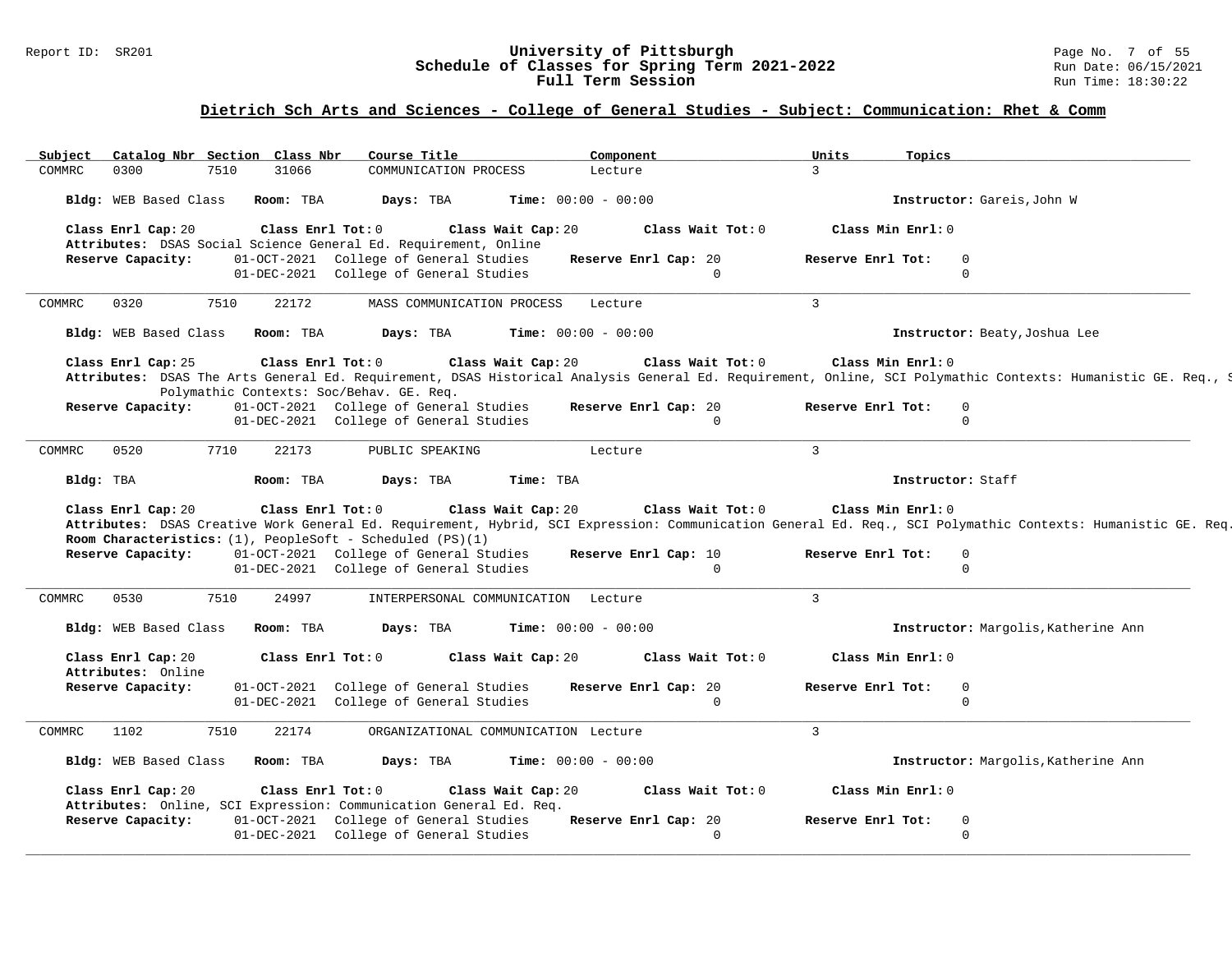### Report ID: SR201 **University of Pittsburgh** Page No. 7 of 55 **Schedule of Classes for Spring Term 2021-2022** Run Date: 06/15/2021 **Full Term Session Run Time: 18:30:22**

### **Dietrich Sch Arts and Sciences - College of General Studies - Subject: Communication: Rhet & Comm**

| Subject                                  |      | Catalog Nbr Section Class Nbr  | Course Title                                                                                                                                       |                                 | Component                        | Units             | Topics                                                                                                                                                                                  |  |
|------------------------------------------|------|--------------------------------|----------------------------------------------------------------------------------------------------------------------------------------------------|---------------------------------|----------------------------------|-------------------|-----------------------------------------------------------------------------------------------------------------------------------------------------------------------------------------|--|
| 0300<br>COMMRC                           | 7510 | 31066                          | COMMUNICATION PROCESS                                                                                                                              |                                 | Lecture                          | $\mathcal{L}$     |                                                                                                                                                                                         |  |
| Bldg: WEB Based Class                    |      | Room: TBA                      | Days: TBA                                                                                                                                          |                                 | <b>Time:</b> $00:00 - 00:00$     |                   | Instructor: Gareis, John W                                                                                                                                                              |  |
| Class Enrl Cap: 20                       |      | Class Enrl Tot: 0              | Attributes: DSAS Social Science General Ed. Requirement, Online                                                                                    | Class Wait Cap: 20              | Class Wait Tot: 0                |                   | Class Min Enrl: 0                                                                                                                                                                       |  |
| Reserve Capacity:                        |      |                                | 01-OCT-2021 College of General Studies                                                                                                             |                                 | Reserve Enrl Cap: 20             | Reserve Enrl Tot: | $\Omega$                                                                                                                                                                                |  |
|                                          |      |                                | 01-DEC-2021 College of General Studies                                                                                                             |                                 | $\Omega$                         |                   | $\Omega$                                                                                                                                                                                |  |
| 0320<br>COMMRC                           | 7510 | 22172                          | MASS COMMUNICATION PROCESS                                                                                                                         |                                 | Lecture                          | $\overline{3}$    |                                                                                                                                                                                         |  |
| Bldg: WEB Based Class                    |      | Room: TBA                      | Days: TBA                                                                                                                                          |                                 | <b>Time:</b> $00:00 - 00:00$     |                   | Instructor: Beaty, Joshua Lee                                                                                                                                                           |  |
| Class Enrl Cap: 25                       |      | Class Enrl Tot: $0$            | Polymathic Contexts: Soc/Behav. GE. Req.                                                                                                           | Class Wait Cap: 20              | Class Wait $Tot: 0$              |                   | Class Min Enrl: 0<br>Attributes: DSAS The Arts General Ed. Requirement, DSAS Historical Analysis General Ed. Requirement, Online, SCI Polymathic Contexts: Humanistic GE. Req., S       |  |
| Reserve Capacity:                        |      |                                | 01-OCT-2021 College of General Studies                                                                                                             |                                 | Reserve Enrl Cap: 20             | Reserve Enrl Tot: | $\mathbf{0}$                                                                                                                                                                            |  |
|                                          |      |                                | 01-DEC-2021 College of General Studies                                                                                                             |                                 | $\Omega$                         |                   | $\Omega$                                                                                                                                                                                |  |
|                                          | 7710 | 22173                          | PUBLIC SPEAKING                                                                                                                                    |                                 | Lecture                          | $\mathbf{3}$      |                                                                                                                                                                                         |  |
| 0520<br>COMMRC                           |      |                                |                                                                                                                                                    |                                 |                                  |                   |                                                                                                                                                                                         |  |
| Bldg: TBA<br>Class Enrl Cap: 20          |      | Room: TBA<br>Class Enrl Tot: 0 | Days: TBA                                                                                                                                          | Time: TBA<br>Class Wait Cap: 20 | Class Wait Tot: 0                |                   | Instructor: Staff<br>Class Min Enrl: 0                                                                                                                                                  |  |
| Reserve Capacity:                        |      |                                | Room Characteristics: $(1)$ , PeopleSoft - Scheduled $(PS)(1)$<br>01-OCT-2021 College of General Studies<br>01-DEC-2021 College of General Studies |                                 | Reserve Enrl Cap: 10<br>$\Omega$ | Reserve Enrl Tot: | Attributes: DSAS Creative Work General Ed. Requirement, Hybrid, SCI Expression: Communication General Ed. Req., SCI Polymathic Contexts: Humanistic GE. Req.<br>$\Omega$<br>$\mathbf 0$ |  |
| 0530<br>COMMRC                           | 7510 | 24997                          | INTERPERSONAL COMMUNICATION Lecture                                                                                                                |                                 |                                  | $\mathbf{3}$      |                                                                                                                                                                                         |  |
| Bldg: WEB Based Class                    |      | Room: TBA                      | Days: TBA                                                                                                                                          |                                 | <b>Time:</b> $00:00 - 00:00$     |                   | Instructor: Margolis, Katherine Ann                                                                                                                                                     |  |
| Class Enrl Cap: 20<br>Attributes: Online |      | Class Enrl Tot: 0              |                                                                                                                                                    | Class Wait Cap: 20              | Class Wait Tot: 0                |                   | Class Min Enrl: 0                                                                                                                                                                       |  |
| Reserve Capacity:                        |      |                                | 01-OCT-2021 College of General Studies<br>01-DEC-2021 College of General Studies                                                                   |                                 | Reserve Enrl Cap: 20<br>$\Omega$ | Reserve Enrl Tot: | $\mathbf{0}$<br>$\Omega$                                                                                                                                                                |  |
| 1102<br>COMMRC                           | 7510 | 22174                          | ORGANIZATIONAL COMMUNICATION Lecture                                                                                                               |                                 |                                  | $\overline{3}$    |                                                                                                                                                                                         |  |
| Bldg: WEB Based Class                    |      | Room: TBA                      | Days: TBA                                                                                                                                          |                                 | <b>Time:</b> $00:00 - 00:00$     |                   | Instructor: Margolis, Katherine Ann                                                                                                                                                     |  |
| Class Enrl Cap: 20                       |      | Class Enrl Tot: 0              |                                                                                                                                                    | Class Wait Cap: 20              | Class Wait Tot: 0                |                   | Class Min Enrl: 0                                                                                                                                                                       |  |
| Reserve Capacity:                        |      |                                | Attributes: Online, SCI Expression: Communication General Ed. Req.<br>01-OCT-2021 College of General Studies                                       |                                 | Reserve Enrl Cap: 20             | Reserve Enrl Tot: | $\mathbf{0}$                                                                                                                                                                            |  |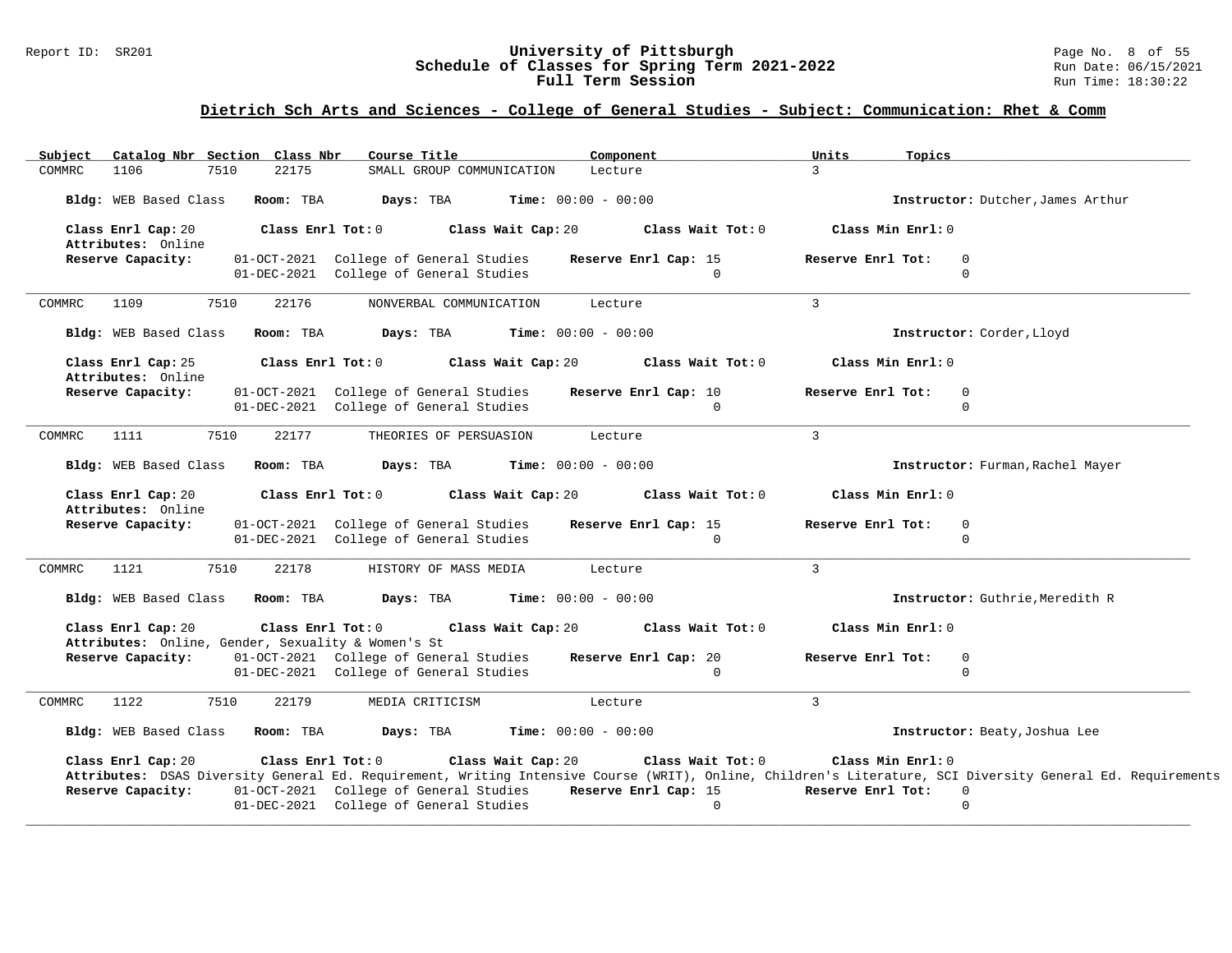#### Report ID: SR201 **University of Pittsburgh** Page No. 8 of 55 **Schedule of Classes for Spring Term 2021-2022** Run Date: 06/15/2021 **Full Term Session Rundall Term Session Rundall Term Session**

### **Dietrich Sch Arts and Sciences - College of General Studies - Subject: Communication: Rhet & Comm**

| Subject<br>Catalog Nbr Section Class Nbr | Course Title                                                                                          | Component                                                                     | Units<br>Topics                                                                                                                                                                                                    |  |
|------------------------------------------|-------------------------------------------------------------------------------------------------------|-------------------------------------------------------------------------------|--------------------------------------------------------------------------------------------------------------------------------------------------------------------------------------------------------------------|--|
| 7510<br>COMMRC<br>1106                   | 22175<br>SMALL GROUP COMMUNICATION                                                                    | Lecture                                                                       | $\mathcal{L}$                                                                                                                                                                                                      |  |
| Bldg: WEB Based Class                    | Room: TBA<br>Days: TBA                                                                                | <b>Time:</b> $00:00 - 00:00$                                                  | Instructor: Dutcher, James Arthur                                                                                                                                                                                  |  |
| Class Enrl Cap: 20<br>Attributes: Online | Class Enrl Tot: 0                                                                                     | Class Wait Cap: 20<br>Class Wait Tot: 0                                       | Class Min Enrl: 0                                                                                                                                                                                                  |  |
| Reserve Capacity:                        | 01-OCT-2021 College of General Studies<br>01-DEC-2021 College of General Studies                      | Reserve Enrl Cap: 15<br>$\Omega$                                              | Reserve Enrl Tot:<br>$\Omega$<br>$\Omega$                                                                                                                                                                          |  |
| 1109<br>7510<br>COMMRC                   | 22176<br>NONVERBAL COMMUNICATION                                                                      | Lecture                                                                       | $\mathcal{R}$                                                                                                                                                                                                      |  |
| Bldg: WEB Based Class                    | Room: TBA<br>Days: TBA                                                                                | <b>Time:</b> $00:00 - 00:00$                                                  | Instructor: Corder, Lloyd                                                                                                                                                                                          |  |
| Class Enrl Cap: 25<br>Attributes: Online | Class Enrl Tot: 0                                                                                     | Class Wait Cap: 20<br>Class Wait Tot: 0                                       | Class Min Enrl: 0                                                                                                                                                                                                  |  |
| Reserve Capacity:                        | 01-OCT-2021 College of General Studies<br>01-DEC-2021 College of General Studies                      | Reserve Enrl Cap: 10<br>$\Omega$                                              | Reserve Enrl Tot:<br>$\mathbf{0}$<br>$\Omega$                                                                                                                                                                      |  |
| 7510<br><b>COMMRC</b><br>1111            | 22177<br>THEORIES OF PERSUASION                                                                       | Lecture                                                                       | 3                                                                                                                                                                                                                  |  |
| Bldg: WEB Based Class                    | Room: TBA<br>Days: TBA                                                                                | <b>Time:</b> $00:00 - 00:00$                                                  | Instructor: Furman, Rachel Mayer                                                                                                                                                                                   |  |
| Class Enrl Cap: 20<br>Attributes: Online | $Class$ $Enr1$ $Tot: 0$                                                                               | Class Wait Cap: 20<br>Class Wait Tot: 0                                       | Class Min Enrl: 0                                                                                                                                                                                                  |  |
| Reserve Capacity:                        | 01-OCT-2021 College of General Studies<br>01-DEC-2021 College of General Studies                      | Reserve Enrl Cap: 15<br>$\cap$                                                | Reserve Enrl Tot:<br>0<br>$\cap$                                                                                                                                                                                   |  |
| 7510<br>COMMRC<br>1121                   | 22178<br>HISTORY OF MASS MEDIA                                                                        | Lecture                                                                       | $\mathbf{3}$                                                                                                                                                                                                       |  |
| Bldg: WEB Based Class Room: TBA          | Days: TBA                                                                                             | <b>Time:</b> $00:00 - 00:00$                                                  | Instructor: Guthrie, Meredith R                                                                                                                                                                                    |  |
| Class Enrl Cap: 20                       | Class Enrl Tot: 0<br>Attributes: Online, Gender, Sexuality & Women's St                               | Class Wait Cap: 20<br>Class Wait Tot: 0                                       | Class Min Enrl: 0                                                                                                                                                                                                  |  |
| Reserve Capacity:                        | 01-OCT-2021 College of General Studies<br>01-DEC-2021 College of General Studies                      | Reserve Enrl Cap: 20<br>$\Omega$                                              | Reserve Enrl Tot:<br>$\overline{0}$<br>$\Omega$                                                                                                                                                                    |  |
| 1122<br>7510<br>COMMRC                   | 22179<br>MEDIA CRITICISM                                                                              | Lecture                                                                       | $\overline{3}$                                                                                                                                                                                                     |  |
| Bldg: WEB Based Class Room: TBA          | Days: TBA                                                                                             | <b>Time:</b> $00:00 - 00:00$                                                  | Instructor: Beaty, Joshua Lee                                                                                                                                                                                      |  |
| Class Enrl Cap: 20<br>Reserve Capacity:  | Class Enrl Tot: 0<br>01-OCT-2021 College of General Studies<br>01-DEC-2021 College of General Studies | Class Wait Cap: 20<br>Class Wait Tot: $0$<br>Reserve Enrl Cap: 15<br>$\Omega$ | Class Min Enrl: 0<br>Attributes: DSAS Diversity General Ed. Requirement, Writing Intensive Course (WRIT), Online, Children's Literature, SCI Diversity General Ed. Requirements<br>Reserve Enrl Tot: 0<br>$\Omega$ |  |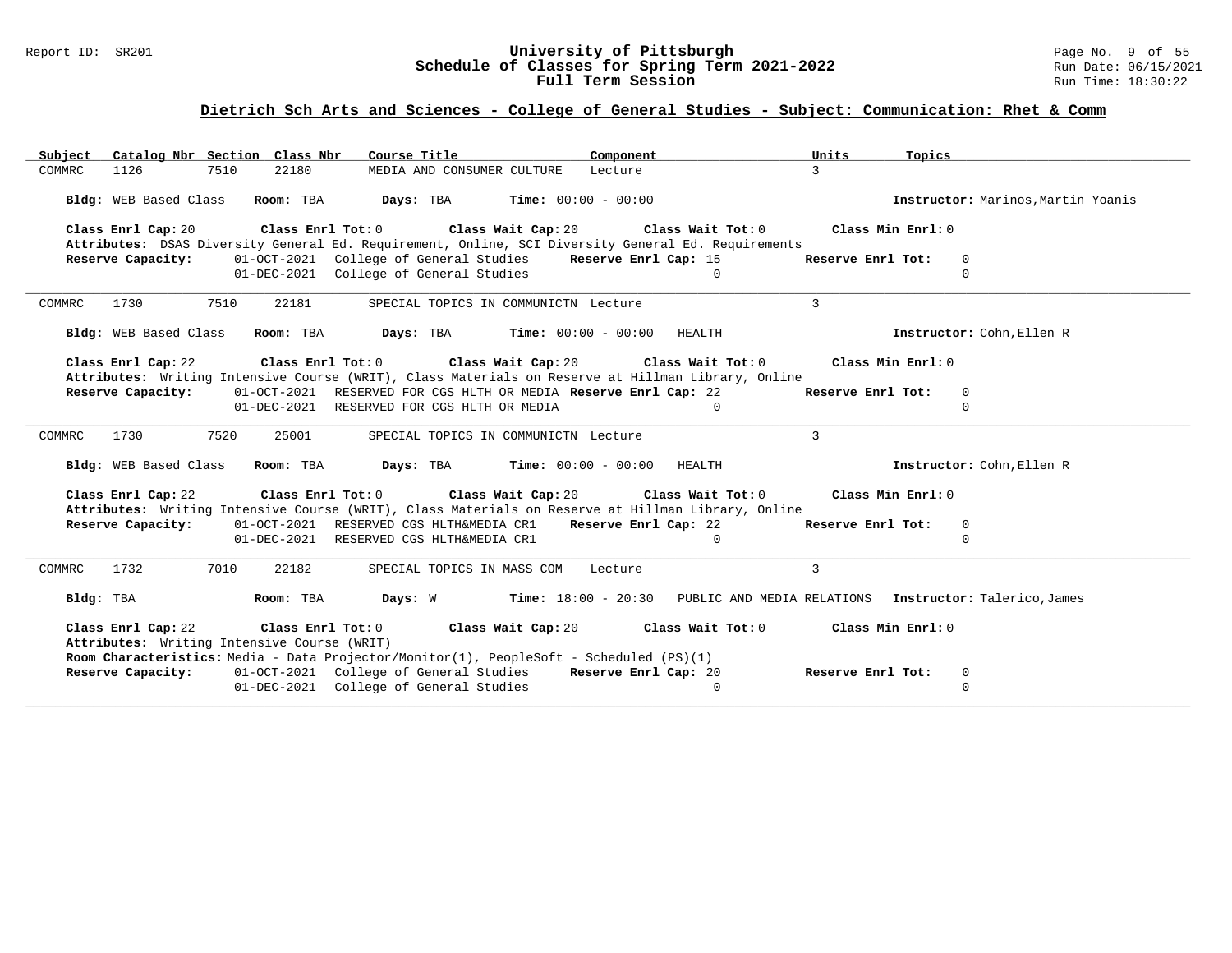### Report ID: SR201 **University of Pittsburgh** Page No. 9 of 55 **Schedule of Classes for Spring Term 2021-2022** Run Date: 06/15/2021 **Full Term Session Rundall Term Session Rundall Term Session**

### **Dietrich Sch Arts and Sciences - College of General Studies - Subject: Communication: Rhet & Comm**

| Subject Catalog Nbr Section Class Nbr                                                                                                                                                                                                 | Course Title <b>Sourse In the Search</b>                                                     | Component                        | Units                              | <b>Topics</b>                      |
|---------------------------------------------------------------------------------------------------------------------------------------------------------------------------------------------------------------------------------------|----------------------------------------------------------------------------------------------|----------------------------------|------------------------------------|------------------------------------|
| COMMRC<br>1126<br>7510<br>22180                                                                                                                                                                                                       | MEDIA AND CONSUMER CULTURE                                                                   | Lecture                          | $\mathcal{L}$                      |                                    |
| Bldg: WEB Based Class Room: TBA Days: TBA Time: 00:00 - 00:00                                                                                                                                                                         |                                                                                              |                                  |                                    | Instructor: Marinos, Martin Yoanis |
| Class Enrl Cap: 20                                                                                                                                                                                                                    | Class Enrl Tot: $0$ class Wait Cap: $20$ Class Wait Tot: $0$                                 |                                  | Class Min Enrl: 0                  |                                    |
| Attributes: DSAS Diversity General Ed. Requirement, Online, SCI Diversity General Ed. Requirements                                                                                                                                    |                                                                                              |                                  |                                    |                                    |
| Reserve Capacity:                                                                                                                                                                                                                     | 01-OCT-2021 College of General Studies<br>01-DEC-2021 College of General Studies             | Reserve Enrl Cap: 15<br>$\Omega$ | Reserve Enrl Tot:<br>0<br>$\Omega$ |                                    |
|                                                                                                                                                                                                                                       |                                                                                              |                                  |                                    |                                    |
| 1730<br>7510<br>22181<br>COMMRC                                                                                                                                                                                                       | SPECIAL TOPICS IN COMMUNICTN Lecture                                                         |                                  | $\mathcal{L}$                      |                                    |
| Bldg: WEB Based Class Room: TBA Days: TBA Time: 00:00 - 00:00 HEALTH                                                                                                                                                                  |                                                                                              |                                  |                                    | Instructor: Cohn, Ellen R          |
| Class Enrl Cap: 22<br>Attributes: Writing Intensive Course (WRIT), Class Materials on Reserve at Hillman Library, Online                                                                                                              | Class Enrl Tot: $0$ Class Wait Cap: $20$ Class Wait Tot: $0$                                 |                                  | Class Min Enrl: 0                  |                                    |
| Reserve Capacity:                                                                                                                                                                                                                     | 01-OCT-2021 RESERVED FOR CGS HLTH OR MEDIA Reserve Enrl Cap: 22                              |                                  | Reserve Enrl Tot:<br>$\mathbf 0$   |                                    |
|                                                                                                                                                                                                                                       | 01-DEC-2021 RESERVED FOR CGS HLTH OR MEDIA                                                   | $\overline{0}$                   | $\Omega$                           |                                    |
| 7520<br>25001<br>COMMRC<br>1730                                                                                                                                                                                                       | SPECIAL TOPICS IN COMMUNICTN Lecture                                                         |                                  | $\mathbf{3}$                       |                                    |
| Bldg: WEB Based Class Room: TBA Days: TBA Time: 00:00 - 00:00                                                                                                                                                                         |                                                                                              | HEALTH                           |                                    | Instructor: Cohn, Ellen R          |
| Class Enrl Cap: 22<br>Attributes: Writing Intensive Course (WRIT), Class Materials on Reserve at Hillman Library, Online                                                                                                              | Class Enrl Tot: $0$ Class Wait Cap: $20$ Class Wait Tot: $0$                                 |                                  | Class Min Enrl: 0                  |                                    |
| Reserve Capacity: 01-OCT-2021 RESERVED CGS HLTH&MEDIA CR1 Reserve Enrl Cap: 22                                                                                                                                                        |                                                                                              |                                  | Reserve Enrl Tot:<br>$\mathbf 0$   |                                    |
|                                                                                                                                                                                                                                       | 01-DEC-2021 RESERVED CGS HLTH&MEDIA CR1                                                      | $\Omega$                         | $\Omega$                           |                                    |
| 7010<br>1732<br>22182<br>COMMRC                                                                                                                                                                                                       | SPECIAL TOPICS IN MASS COM Lecture                                                           |                                  | $\mathbf{3}$                       |                                    |
| Bldg: TBA                                                                                                                                                                                                                             | Room: TBA Days: W Time: 18:00 - 20:30 PUBLIC AND MEDIA RELATIONS Instructor: Talerico, James |                                  |                                    |                                    |
| Class Enrl Cap: 22 Class Enrl Tot: 0 Class Wait Cap: 20 Class Wait Tot: 0 Class Min Enrl: 0<br>Attributes: Writing Intensive Course (WRIT)<br>Room Characteristics: Media - Data Projector/Monitor(1), PeopleSoft - Scheduled (PS)(1) |                                                                                              |                                  |                                    |                                    |
| Reserve Capacity: 01-OCT-2021 College of General Studies Reserve Enrl Cap: 20                                                                                                                                                         |                                                                                              |                                  | Reserve Enrl Tot:<br>0             |                                    |
|                                                                                                                                                                                                                                       | 01-DEC-2021 College of General Studies                                                       | $\mathbf{0}$                     | $\Omega$                           |                                    |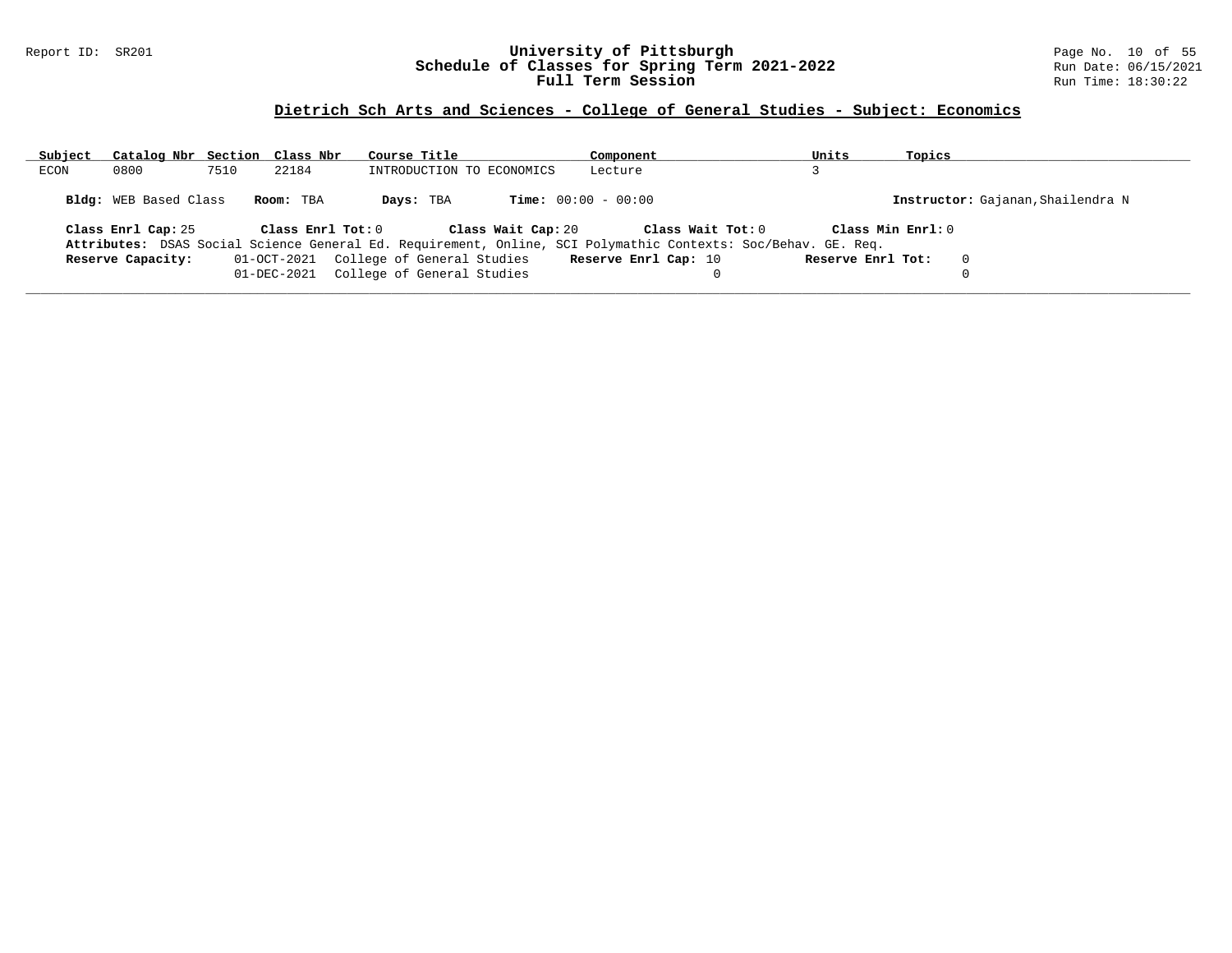### Report ID: SR201 **University of Pittsburgh** Page No. 10 of 55 **Schedule of Classes for Spring Term 2021-2022** Run Date: 06/15/2021 **Full Term Session Rundall Term Session Rundall Term Session**

# **Dietrich Sch Arts and Sciences - College of General Studies - Subject: Economics**

| Subject | Catalog Nbr Section Class Nbr |      |                       | Course Title                           |                    | Component                                                                                                     | Units             | Topics            |                                   |
|---------|-------------------------------|------|-----------------------|----------------------------------------|--------------------|---------------------------------------------------------------------------------------------------------------|-------------------|-------------------|-----------------------------------|
| ECON    | 0800                          | 7510 | 22184                 | INTRODUCTION TO ECONOMICS              |                    | Lecture                                                                                                       |                   |                   |                                   |
|         | <b>Bldg:</b> WEB Based Class  |      | Room: TBA             | Days: TBA                              |                    | <b>Time:</b> $00:00 - 00:00$                                                                                  |                   |                   | Instructor: Gajanan, Shailendra N |
|         | Class Enrl Cap: 25            |      | Class $Enr1$ Tot: $0$ |                                        | Class Wait Cap: 20 | Class Wait Tot: 0                                                                                             |                   | Class Min Enrl: 0 |                                   |
|         |                               |      |                       |                                        |                    | Attributes: DSAS Social Science General Ed. Requirement, Online, SCI Polymathic Contexts: Soc/Behav. GE. Req. |                   |                   |                                   |
|         | Reserve Capacity:             |      |                       | 01-OCT-2021 College of General Studies |                    | Reserve Enrl Cap: 10                                                                                          | Reserve Enrl Tot: |                   | $\Omega$                          |
|         |                               |      | 01-DEC-2021           | College of General Studies             |                    |                                                                                                               |                   |                   |                                   |
|         |                               |      |                       |                                        |                    |                                                                                                               |                   |                   |                                   |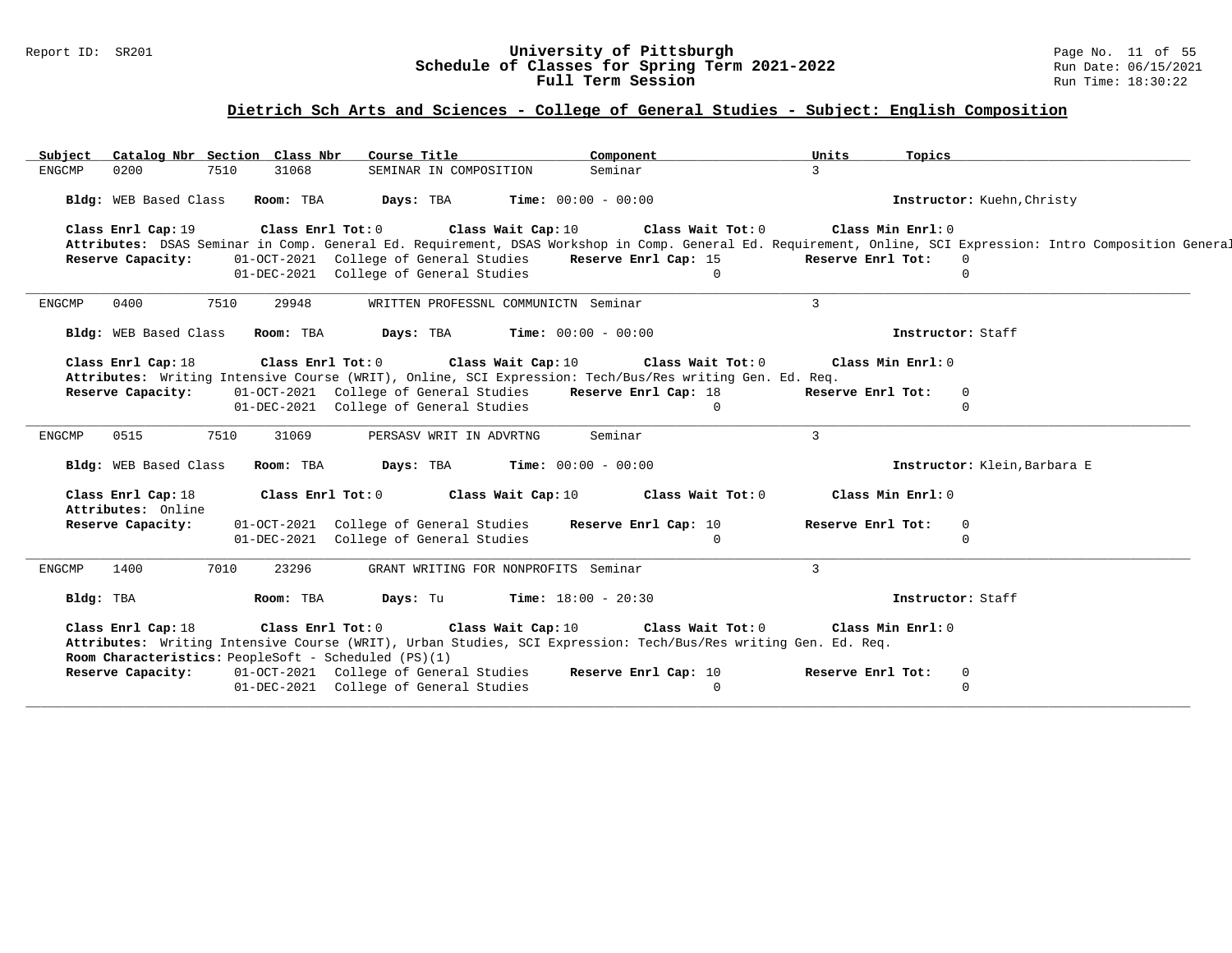### Report ID: SR201 **University of Pittsburgh** Page No. 11 of 55 **Schedule of Classes for Spring Term 2021-2022** Run Date: 06/15/2021 **Full Term Session Rundall Term Session Rundall Term Session**

# **Dietrich Sch Arts and Sciences - College of General Studies - Subject: English Composition**

| Subject       |                                          | Catalog Nbr Section Class Nbr   | Course Title                                                                                            |          |                         |                                      | Component            |                   | Units                                                                                                          | Topics            |                            |                              |                                                                                                                                                              |
|---------------|------------------------------------------|---------------------------------|---------------------------------------------------------------------------------------------------------|----------|-------------------------|--------------------------------------|----------------------|-------------------|----------------------------------------------------------------------------------------------------------------|-------------------|----------------------------|------------------------------|--------------------------------------------------------------------------------------------------------------------------------------------------------------|
| <b>ENGCMP</b> | 0200                                     | 31068<br>7510                   |                                                                                                         |          | SEMINAR IN COMPOSITION  | Seminar                              |                      |                   | $\mathcal{L}$                                                                                                  |                   |                            |                              |                                                                                                                                                              |
|               |                                          | Bldg: WEB Based Class Room: TBA | Days: TBA                                                                                               |          |                         | <b>Time:</b> $00:00 - 00:00$         |                      |                   |                                                                                                                |                   |                            | Instructor: Kuehn, Christy   |                                                                                                                                                              |
|               | Class Enrl Cap: 19                       |                                 | Class Enrl Tot: 0 Class Wait Cap: 10                                                                    |          |                         |                                      |                      | Class Wait Tot: 0 |                                                                                                                | Class Min Enrl: 0 |                            |                              |                                                                                                                                                              |
|               |                                          |                                 |                                                                                                         |          |                         |                                      |                      |                   |                                                                                                                |                   |                            |                              | Attributes: DSAS Seminar in Comp. General Ed. Requirement, DSAS Workshop in Comp. General Ed. Requirement, Online, SCI Expression: Intro Composition General |
|               | Reserve Capacity:                        |                                 | 01-OCT-2021 College of General Studies<br>01-DEC-2021 College of General Studies                        |          |                         |                                      | Reserve Enrl Cap: 15 | $\Omega$          |                                                                                                                | Reserve Enrl Tot: | $\overline{0}$<br>$\Omega$ |                              |                                                                                                                                                              |
|               |                                          |                                 |                                                                                                         |          |                         |                                      |                      |                   |                                                                                                                |                   |                            |                              |                                                                                                                                                              |
| <b>ENGCMP</b> | 0400                                     | 7510<br>29948                   |                                                                                                         |          |                         | WRITTEN PROFESSNL COMMUNICTN Seminar |                      |                   | $\mathbf{3}$                                                                                                   |                   |                            |                              |                                                                                                                                                              |
|               | Bldg: WEB Based Class                    | Room: TBA                       | Days: TBA                                                                                               |          |                         | <b>Time:</b> $00:00 - 00:00$         |                      |                   |                                                                                                                |                   | Instructor: Staff          |                              |                                                                                                                                                              |
|               | Class Enrl Cap: 18                       |                                 | Class Enrl Tot: 0 Class Wait Cap: 10                                                                    |          |                         |                                      |                      | Class Wait Tot: 0 |                                                                                                                | Class Min Enrl: 0 |                            |                              |                                                                                                                                                              |
|               |                                          |                                 | Attributes: Writing Intensive Course (WRIT), Online, SCI Expression: Tech/Bus/Res writing Gen. Ed. Req. |          |                         |                                      |                      |                   |                                                                                                                |                   |                            |                              |                                                                                                                                                              |
|               | Reserve Capacity:                        |                                 | 01-OCT-2021 College of General Studies Reserve Enrl Cap: 18<br>01-DEC-2021 College of General Studies   |          |                         |                                      |                      | $\Omega$          |                                                                                                                | Reserve Enrl Tot: | $\overline{0}$<br>$\Omega$ |                              |                                                                                                                                                              |
|               |                                          |                                 |                                                                                                         |          |                         |                                      |                      |                   |                                                                                                                |                   |                            |                              |                                                                                                                                                              |
| <b>ENGCMP</b> | 0515                                     | 7510<br>31069                   |                                                                                                         |          | PERSASV WRIT IN ADVRTNG | Seminar                              |                      |                   | $\mathbf{3}$                                                                                                   |                   |                            |                              |                                                                                                                                                              |
|               | Bldg: WEB Based Class                    | Room: TBA                       | Days: TBA                                                                                               |          |                         | <b>Time:</b> $00:00 - 00:00$         |                      |                   |                                                                                                                |                   |                            | Instructor: Klein, Barbara E |                                                                                                                                                              |
|               | Class Enrl Cap: 18<br>Attributes: Online |                                 | Class Enrl Tot: 0                                                                                       |          | Class Wait Cap: 10      |                                      |                      | Class Wait Tot: 0 |                                                                                                                | Class Min Enrl: 0 |                            |                              |                                                                                                                                                              |
|               | Reserve Capacity:                        |                                 | 01-OCT-2021 College of General Studies                                                                  |          |                         |                                      | Reserve Enrl Cap: 10 |                   |                                                                                                                | Reserve Enrl Tot: | $\overline{0}$             |                              |                                                                                                                                                              |
|               |                                          |                                 | 01-DEC-2021 College of General Studies                                                                  |          |                         |                                      |                      | $\Omega$          |                                                                                                                |                   | $\Omega$                   |                              |                                                                                                                                                              |
| <b>ENGCMP</b> | 1400                                     | 7010<br>23296                   |                                                                                                         |          |                         | GRANT WRITING FOR NONPROFITS Seminar |                      |                   | $\mathbf{3}$                                                                                                   |                   |                            |                              |                                                                                                                                                              |
|               | Bldg: TBA                                | Room: TBA                       |                                                                                                         | Days: Tu |                         | $Time: 18:00 - 20:30$                |                      |                   |                                                                                                                |                   | Instructor: Staff          |                              |                                                                                                                                                              |
|               | Class Enrl Cap: 18                       |                                 | Class Enrl Tot: 0 Class Wait Cap: 10<br>Room Characteristics: PeopleSoft - Scheduled (PS)(1)            |          |                         |                                      |                      | Class Wait Tot: 0 | Attributes: Writing Intensive Course (WRIT), Urban Studies, SCI Expression: Tech/Bus/Res writing Gen. Ed. Req. | Class Min Enrl: 0 |                            |                              |                                                                                                                                                              |
|               | Reserve Capacity:                        |                                 | 01-OCT-2021 College of General Studies                                                                  |          |                         |                                      | Reserve Enrl Cap: 10 |                   |                                                                                                                | Reserve Enrl Tot: | $\overline{0}$             |                              |                                                                                                                                                              |
|               |                                          |                                 | 01-DEC-2021 College of General Studies                                                                  |          |                         |                                      |                      | $\Omega$          |                                                                                                                |                   | $\mathbf{0}$               |                              |                                                                                                                                                              |
|               |                                          |                                 |                                                                                                         |          |                         |                                      |                      |                   |                                                                                                                |                   |                            |                              |                                                                                                                                                              |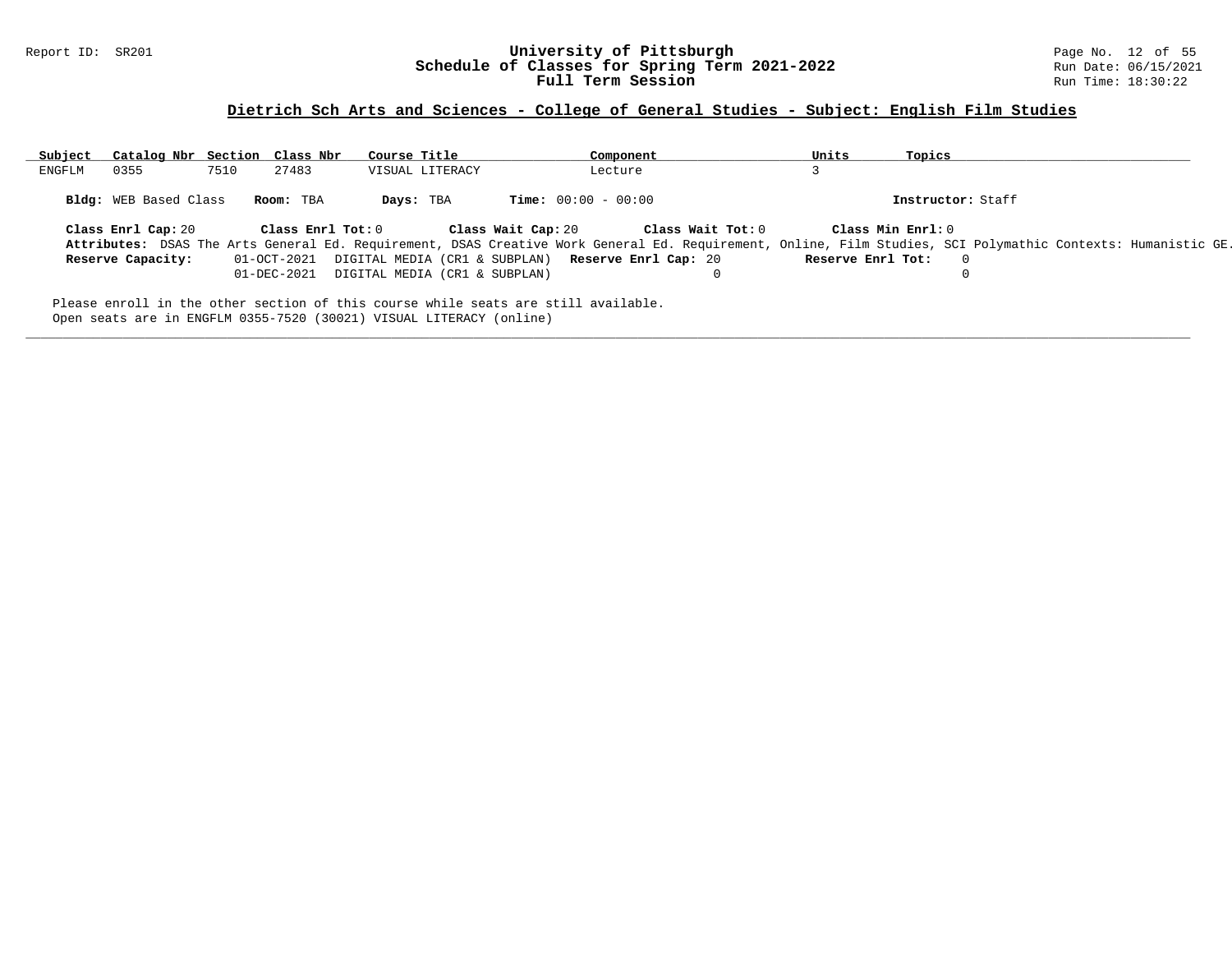### Report ID: SR201 **University of Pittsburgh** Page No. 12 of 55 **Schedule of Classes for Spring Term 2021-2022** Run Date: 06/15/2021 **Full Term Session Rundall Term Session Rundall Term Session**

# **Dietrich Sch Arts and Sciences - College of General Studies - Subject: English Film Studies**

| Subject | Catalog Nbr Section Class Nbr                                                                                                                             |      |                         | Course Title                                                   |                 |                    | Component                    |                                                                                                                                                              | Units             | Topics            |                   |  |
|---------|-----------------------------------------------------------------------------------------------------------------------------------------------------------|------|-------------------------|----------------------------------------------------------------|-----------------|--------------------|------------------------------|--------------------------------------------------------------------------------------------------------------------------------------------------------------|-------------------|-------------------|-------------------|--|
| ENGFLM  | 0355                                                                                                                                                      | 7510 | 27483                   |                                                                | VISUAL LITERACY |                    | Lecture                      |                                                                                                                                                              |                   |                   |                   |  |
|         | <b>Bldg:</b> WEB Based Class                                                                                                                              |      | Room: TBA               | Days: TBA                                                      |                 |                    | <b>Time:</b> $00:00 - 00:00$ |                                                                                                                                                              |                   |                   | Instructor: Staff |  |
|         | Class Enrl Cap: 20                                                                                                                                        |      | $Class$ $Enr1$ $Tot: 0$ |                                                                |                 | Class Wait Cap: 20 |                              | Class Wait Tot: 0                                                                                                                                            |                   | Class Min Enrl: 0 |                   |  |
|         |                                                                                                                                                           |      |                         |                                                                |                 |                    |                              | Attributes: DSAS The Arts General Ed. Requirement, DSAS Creative Work General Ed. Requirement, Online, Film Studies, SCI Polymathic Contexts: Humanistic GE. |                   |                   |                   |  |
|         | Reserve Capacity:                                                                                                                                         |      |                         | 01-OCT-2021 DIGITAL MEDIA (CR1 & SUBPLAN) Reserve Enrl Cap: 20 |                 |                    |                              |                                                                                                                                                              | Reserve Enrl Tot: |                   | $\Omega$          |  |
|         |                                                                                                                                                           |      |                         | 01-DEC-2021 DIGITAL MEDIA (CR1 & SUBPLAN)                      |                 |                    |                              |                                                                                                                                                              |                   |                   |                   |  |
|         | Please enroll in the other section of this course while seats are still available.<br>Open seats are in ENGFLM 0355-7520 (30021) VISUAL LITERACY (online) |      |                         |                                                                |                 |                    |                              |                                                                                                                                                              |                   |                   |                   |  |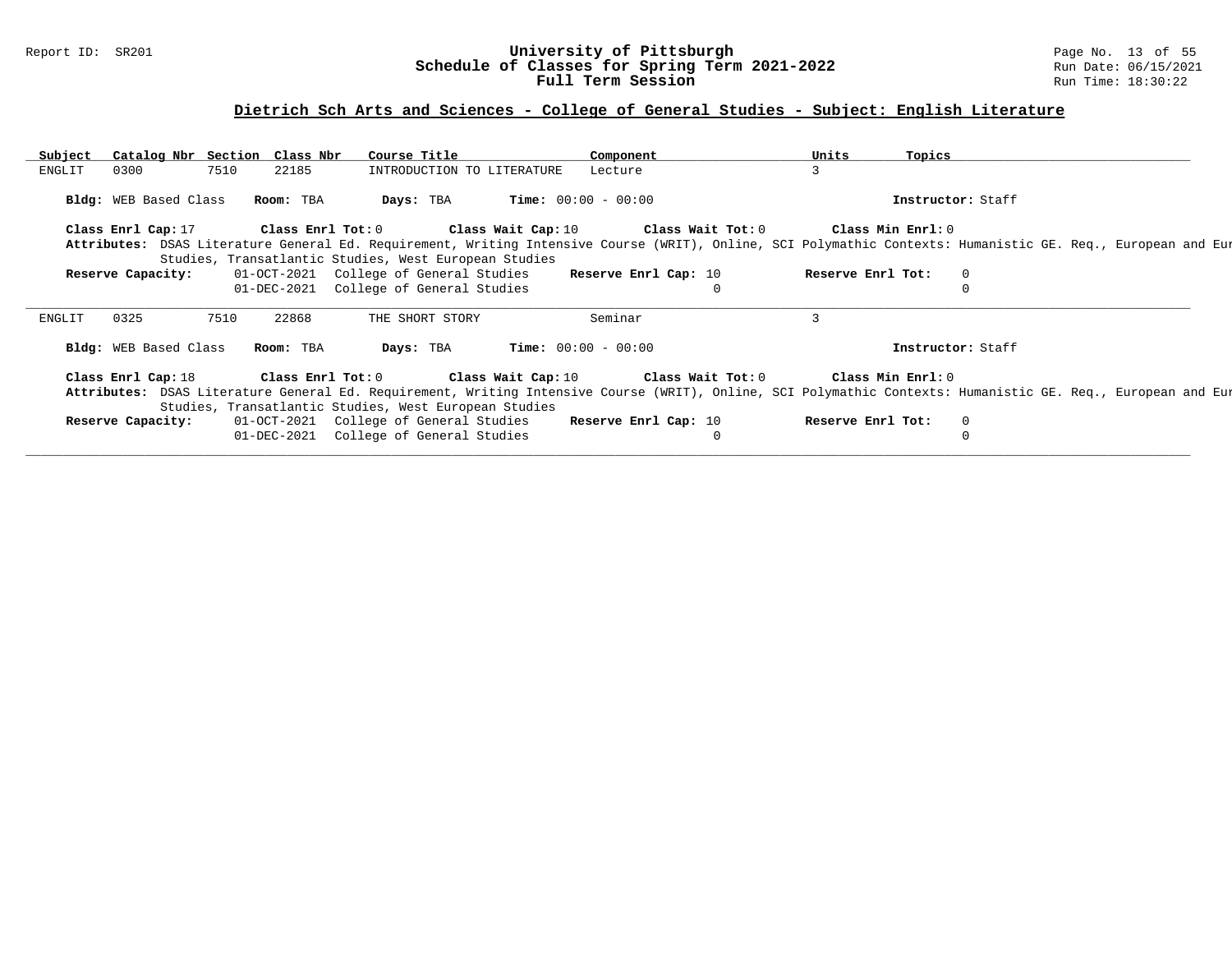### Report ID: SR201 **University of Pittsburgh** Page No. 13 of 55 **Schedule of Classes for Spring Term 2021-2022** Run Date: 06/15/2021 **Full Term Session Rundall Term Session Rundall Term Session**

# **Dietrich Sch Arts and Sciences - College of General Studies - Subject: English Literature**

| Subject | Catalog Nbr Section Class Nbr   |      |       | Course Title                                          |                            | Component                                                                                        | Units             | Topics            |                   |                                                                                                                                                              |
|---------|---------------------------------|------|-------|-------------------------------------------------------|----------------------------|--------------------------------------------------------------------------------------------------|-------------------|-------------------|-------------------|--------------------------------------------------------------------------------------------------------------------------------------------------------------|
| ENGLIT  | 0300                            | 7510 | 22185 |                                                       | INTRODUCTION TO LITERATURE | Lecture                                                                                          | 3                 |                   |                   |                                                                                                                                                              |
|         | Bldg: WEB Based Class Room: TBA |      |       | Days: TBA                                             |                            | $Time: 00:00 - 00:00$                                                                            |                   |                   | Instructor: Staff |                                                                                                                                                              |
|         |                                 |      |       |                                                       |                            | Class Enrl Cap: 17 (Class Enrl Tot: 0 (Class Wait Cap: 10 (Class Wait Tot: 0 (Class Min Enrl: 0) |                   |                   |                   |                                                                                                                                                              |
|         |                                 |      |       |                                                       |                            |                                                                                                  |                   |                   |                   | Attributes: DSAS Literature General Ed. Requirement, Writing Intensive Course (WRIT), Online, SCI Polymathic Contexts: Humanistic GE. Req., European and Eur |
|         |                                 |      |       | Studies, Transatlantic Studies, West European Studies |                            |                                                                                                  |                   |                   |                   |                                                                                                                                                              |
|         | Reserve Capacity:               |      |       | 01-OCT-2021 College of General Studies                |                            | Reserve Enrl Cap: 10                                                                             | Reserve Enrl Tot: |                   | $\overline{0}$    |                                                                                                                                                              |
|         |                                 |      |       | 01-DEC-2021 College of General Studies                |                            |                                                                                                  |                   |                   | $\Omega$          |                                                                                                                                                              |
| ENGLIT  | 0325                            | 7510 | 22868 | THE SHORT STORY                                       |                            | Seminar                                                                                          | 3                 |                   |                   |                                                                                                                                                              |
|         | Bldg: WEB Based Class Room: TBA |      |       | Days: TBA                                             |                            | $Time: 00:00 - 00:00$                                                                            |                   |                   | Instructor: Staff |                                                                                                                                                              |
|         |                                 |      |       |                                                       |                            | Class Enrl Cap: 18 		 Class Enrl Tot: 0 		 Class Wait Cap: 10 		 Class Wait Tot: 0               |                   | Class Min Enrl: 0 |                   |                                                                                                                                                              |
|         |                                 |      |       | Studies, Transatlantic Studies, West European Studies |                            |                                                                                                  |                   |                   |                   | Attributes: DSAS Literature General Ed. Requirement, Writing Intensive Course (WRIT), Online, SCI Polymathic Contexts: Humanistic GE. Req., European and Eur |
|         | Reserve Capacity:               |      |       |                                                       |                            | 01-OCT-2021 College of General Studies Reserve Enrl Cap: 10                                      | Reserve Enrl Tot: |                   | $\circ$           |                                                                                                                                                              |
|         |                                 |      |       |                                                       |                            |                                                                                                  |                   |                   |                   |                                                                                                                                                              |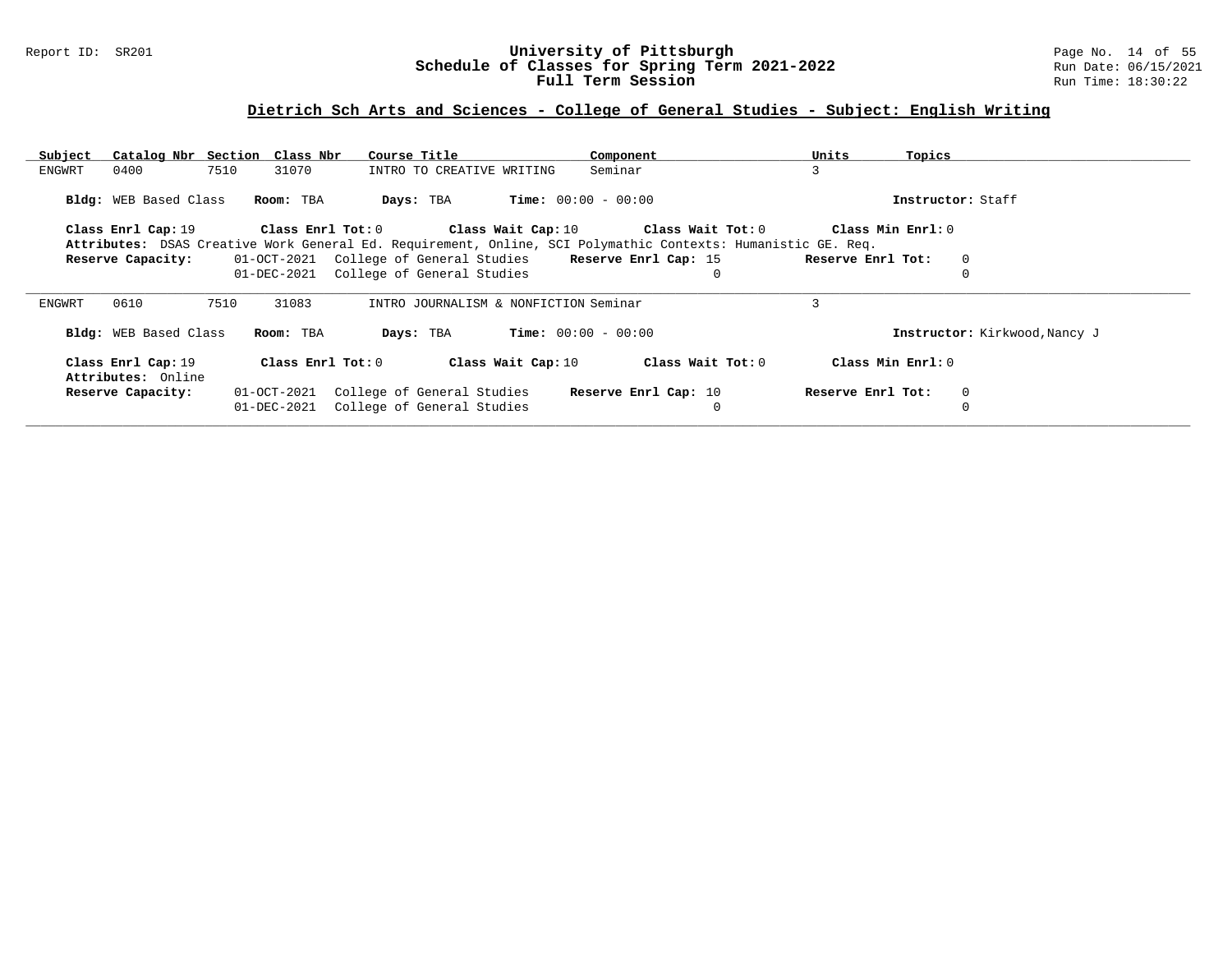### Report ID: SR201 **University of Pittsburgh** Page No. 14 of 55 **Schedule of Classes for Spring Term 2021-2022** Run Date: 06/15/2021 **Full Term Session Rundall Term Session Rundall Term Session**

# **Dietrich Sch Arts and Sciences - College of General Studies - Subject: English Writing**

| Subject                                  | Catalog Nbr Section Class Nbr | Course Title                          | Component                                                                                                    | Units<br>Topics        |                               |
|------------------------------------------|-------------------------------|---------------------------------------|--------------------------------------------------------------------------------------------------------------|------------------------|-------------------------------|
| 7510<br>0400<br>ENGWRT                   | 31070                         | INTRO TO CREATIVE WRITING             | Seminar                                                                                                      | 3                      |                               |
|                                          |                               |                                       | <b>Time:</b> $00:00 - 00:00$                                                                                 | Instructor: Staff      |                               |
| Bldg: WEB Based Class                    | Room: TBA                     | Days: TBA                             |                                                                                                              |                        |                               |
| Class Enrl Cap: 19                       | Class Enrl Tot: 0             |                                       | Class Wait Cap: $10$ Class Wait Tot: $0$                                                                     | Class Min Enrl: 0      |                               |
|                                          |                               |                                       | Attributes: DSAS Creative Work General Ed. Requirement, Online, SCI Polymathic Contexts: Humanistic GE. Req. |                        |                               |
| Reserve Capacity:                        | 01-OCT-2021                   | College of General Studies            | Reserve Enrl Cap: 15                                                                                         | Reserve Enrl Tot:<br>0 |                               |
|                                          | 01-DEC-2021                   | College of General Studies            | $\Omega$                                                                                                     |                        |                               |
| 0610<br>7510<br>ENGWRT                   | 31083                         | INTRO JOURNALISM & NONFICTION Seminar |                                                                                                              |                        |                               |
| Bldg: WEB Based Class                    | Room: TBA                     | Days: TBA                             | <b>Time:</b> $00:00 - 00:00$                                                                                 |                        | Instructor: Kirkwood, Nancy J |
| Class Enrl Cap: 19<br>Attributes: Online | Class Enrl Tot: 0             | Class Wait Cap: 10                    | Class Wait Tot: 0                                                                                            | Class Min Enrl: 0      |                               |
| Reserve Capacity:                        | 01-OCT-2021                   | College of General Studies            | Reserve Enrl Cap: 10                                                                                         | Reserve Enrl Tot:<br>0 |                               |
|                                          | 01-DEC-2021                   | College of General Studies            | $\mathbf 0$                                                                                                  |                        |                               |
|                                          |                               |                                       |                                                                                                              |                        |                               |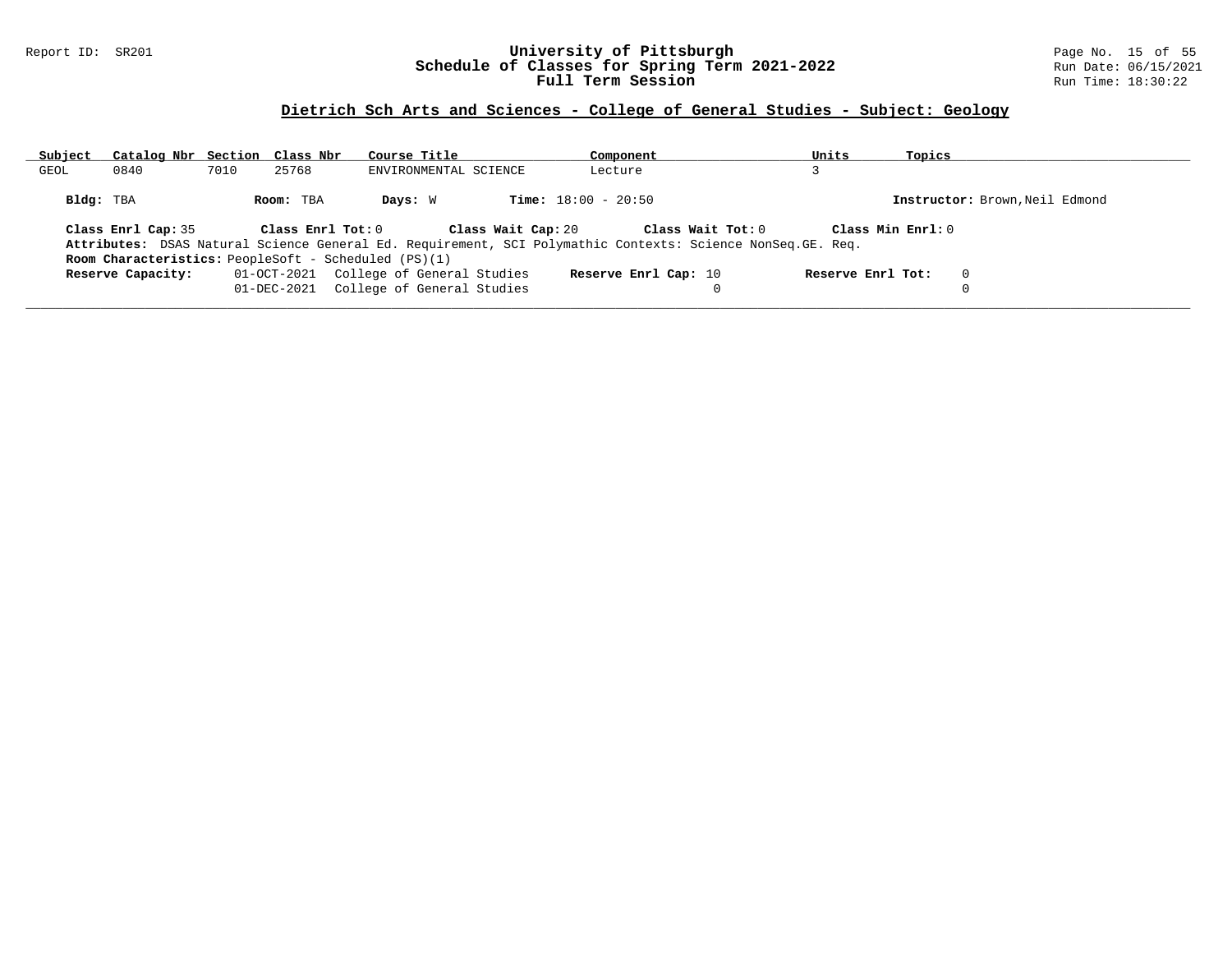#### Report ID: SR201 **University of Pittsburgh** Page No. 15 of 55 **Schedule of Classes for Spring Term 2021-2022** Run Date: 06/15/2021 **Full Term Session Rundall Term Session Rundall Term Session**

### **Dietrich Sch Arts and Sciences - College of General Studies - Subject: Geology**

| Subject   | Catalog Nbr Section Class Nbr |      |                         | Course Title                                                                      | Component                                                                                                                        | Units             | Topics                         |
|-----------|-------------------------------|------|-------------------------|-----------------------------------------------------------------------------------|----------------------------------------------------------------------------------------------------------------------------------|-------------------|--------------------------------|
| GEOL      | 0840                          | 7010 | 25768                   | ENVIRONMENTAL SCIENCE                                                             | Lecture                                                                                                                          |                   |                                |
| Bldg: TBA |                               |      | Room: TBA               | Days: W                                                                           | <b>Time:</b> $18:00 - 20:50$                                                                                                     |                   | Instructor: Brown, Neil Edmond |
|           | Class Enrl Cap: 35            |      | $Class$ $Enr1$ $Tot: 0$ | Class Wait Cap: 20<br><b>Room Characteristics:</b> PeopleSoft - Scheduled (PS)(1) | Class Wait Tot: 0<br>Attributes: DSAS Natural Science General Ed. Requirement, SCI Polymathic Contexts: Science NonSeq. GE. Req. | Class Min Enrl: 0 |                                |
|           | Reserve Capacity:             |      |                         | 01-OCT-2021 College of General Studies<br>01-DEC-2021 College of General Studies  | Reserve Enrl Cap: 10                                                                                                             | Reserve Enrl Tot: | $\Omega$                       |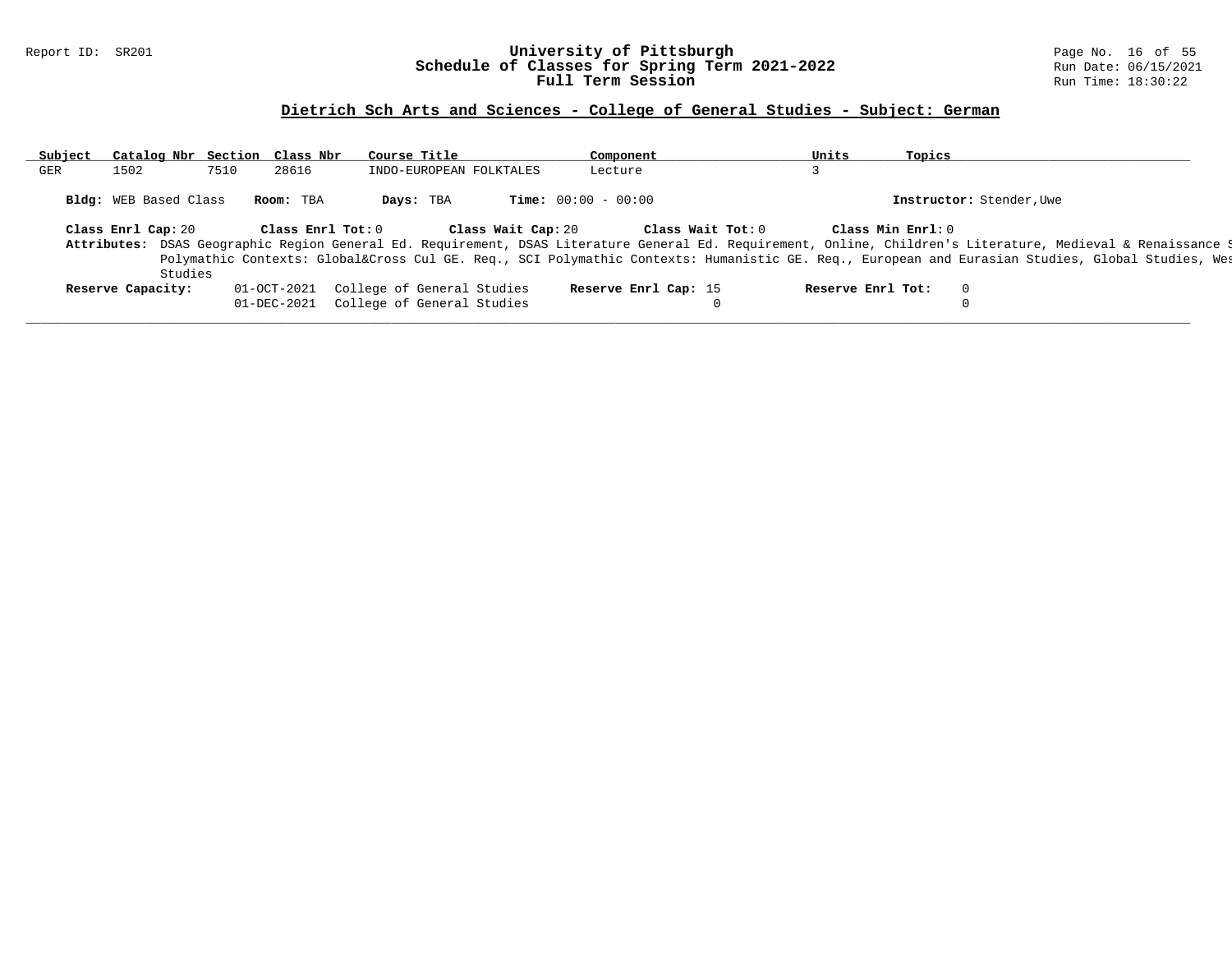#### Report ID: SR201 **University of Pittsburgh** Page No. 16 of 55 **Schedule of Classes for Spring Term 2021-2022** Run Date: 06/15/2021 **Full Term Session Rundall Term Session Rundall Term Session**

# **Dietrich Sch Arts and Sciences - College of General Studies - Subject: German**

| Subject | Catalog Nbr Section Class Nbr |             |                   | Course Title |                            | Component                    |                      |                   | Units             | Topics            |                                                                                                                                                              |
|---------|-------------------------------|-------------|-------------------|--------------|----------------------------|------------------------------|----------------------|-------------------|-------------------|-------------------|--------------------------------------------------------------------------------------------------------------------------------------------------------------|
| GER     | 1502                          | 7510        | 28616             |              | INDO-EUROPEAN FOLKTALES    | Lecture                      |                      |                   |                   |                   |                                                                                                                                                              |
|         | <b>Bldg:</b> WEB Based Class  |             | Room: TBA         | Days: TBA    |                            | <b>Time:</b> $00:00 - 00:00$ |                      |                   |                   |                   | Instructor: Stender, Uwe                                                                                                                                     |
|         | Class Enrl Cap: 20            |             | Class Enrl Tot: 0 |              | Class Wait Cap: 20         |                              |                      | Class Wait Tot: 0 |                   | Class Min Enrl: 0 |                                                                                                                                                              |
|         |                               |             |                   |              |                            |                              |                      |                   |                   |                   | Attributes: DSAS Geographic Region General Ed. Requirement, DSAS Literature General Ed. Requirement, Online, Children's Literature, Medieval & Renaissance 9 |
|         |                               |             |                   |              |                            |                              |                      |                   |                   |                   | Polymathic Contexts: Global⨯ Cul GE. Req., SCI Polymathic Contexts: Humanistic GE. Req., European and Eurasian Studies, Global Studies, Wes                  |
|         | Studies                       |             |                   |              |                            |                              |                      |                   |                   |                   |                                                                                                                                                              |
|         | Reserve Capacity:             | 01-OCT-2021 |                   |              | College of General Studies |                              | Reserve Enrl Cap: 15 |                   | Reserve Enrl Tot: |                   | $\overline{0}$                                                                                                                                               |
|         |                               | 01-DEC-2021 |                   |              | College of General Studies |                              |                      |                   |                   |                   |                                                                                                                                                              |
|         |                               |             |                   |              |                            |                              |                      |                   |                   |                   |                                                                                                                                                              |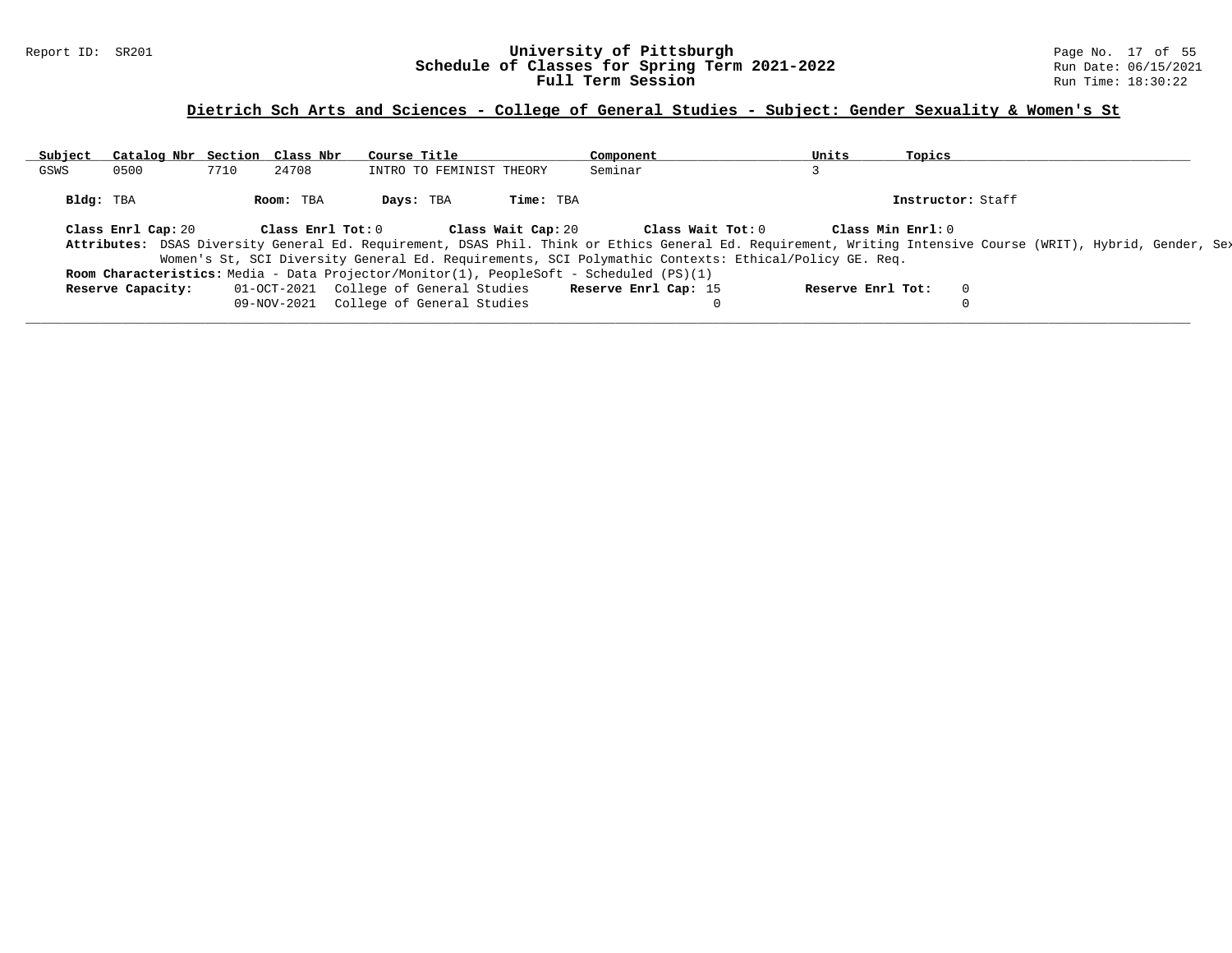#### Report ID: SR201 **University of Pittsburgh** Page No. 17 of 55 **Schedule of Classes for Spring Term 2021-2022** Run Date: 06/15/2021 **Full Term Session Rundall Term Session Rundall Term Session**

### **Dietrich Sch Arts and Sciences - College of General Studies - Subject: Gender Sexuality & Women's St**

| Subject   | Catalog Nbr Section Class Nbr |      |                   | Course Title                           |                    | Component                                                                                                                                                    | Units             | Topics            |  |
|-----------|-------------------------------|------|-------------------|----------------------------------------|--------------------|--------------------------------------------------------------------------------------------------------------------------------------------------------------|-------------------|-------------------|--|
| GSWS      | 0500                          | 7710 | 24708             | INTRO TO FEMINIST THEORY               |                    | Seminar                                                                                                                                                      |                   |                   |  |
| Bldg: TBA |                               |      | Room: TBA         | Days: TBA                              | Time: TBA          |                                                                                                                                                              |                   | Instructor: Staff |  |
|           | Class Enrl Cap: 20            |      | Class Enrl Tot: 0 |                                        | Class Wait Cap: 20 | Class Wait Tot: 0                                                                                                                                            |                   | Class Min Enrl: 0 |  |
|           |                               |      |                   |                                        |                    | Attributes: DSAS Diversity General Ed. Requirement, DSAS Phil. Think or Ethics General Ed. Requirement, Writing Intensive Course (WRIT), Hybrid, Gender, Se> |                   |                   |  |
|           |                               |      |                   |                                        |                    | Women's St, SCI Diversity General Ed. Requirements, SCI Polymathic Contexts: Ethical/Policy GE. Req.                                                         |                   |                   |  |
|           |                               |      |                   |                                        |                    | <b>Room Characteristics:</b> Media - Data Projector/Monitor(1), PeopleSoft - Scheduled (PS)(1)                                                               |                   |                   |  |
|           | Reserve Capacity:             |      |                   | 01-OCT-2021 College of General Studies |                    | Reserve Enrl Cap: 15                                                                                                                                         | Reserve Enrl Tot: |                   |  |
|           |                               |      |                   | 09-NOV-2021 College of General Studies |                    |                                                                                                                                                              |                   |                   |  |
|           |                               |      |                   |                                        |                    |                                                                                                                                                              |                   |                   |  |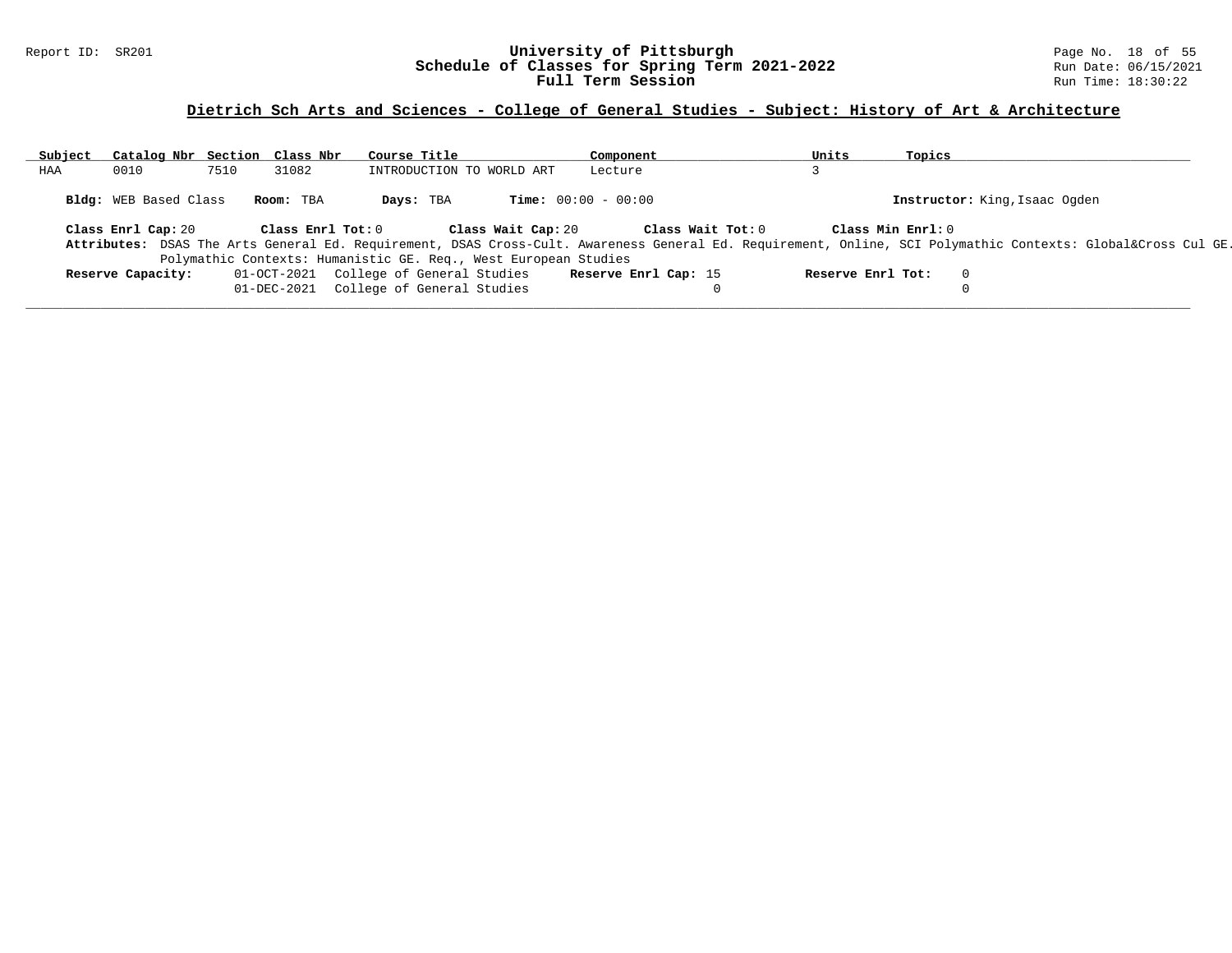### Report ID: SR201 **University of Pittsburgh** Page No. 18 of 55 **Schedule of Classes for Spring Term 2021-2022** Run Date: 06/15/2021 **Full Term Session Rundall Term Session Rundall Term Session**

# **Dietrich Sch Arts and Sciences - College of General Studies - Subject: History of Art & Architecture**

| Subject | Catalog Nbr Section Class Nbr |      |                   | Course Title                                                    |                              | Component            |                   | Units             | Topics         |                                                                                                                                                         |  |
|---------|-------------------------------|------|-------------------|-----------------------------------------------------------------|------------------------------|----------------------|-------------------|-------------------|----------------|---------------------------------------------------------------------------------------------------------------------------------------------------------|--|
| HAA     | 0010                          | 7510 | 31082             | INTRODUCTION TO WORLD ART                                       |                              | Lecture              |                   |                   |                |                                                                                                                                                         |  |
|         | <b>Bldg:</b> WEB Based Class  |      | Room: TBA         | Days: TBA                                                       | <b>Time:</b> $00:00 - 00:00$ |                      |                   |                   |                | Instructor: King, Isaac Ogden                                                                                                                           |  |
|         | Class Enrl Cap: 20            |      | Class Enrl Tot: 0 |                                                                 | Class Wait Cap: 20           |                      | Class Wait Tot: 0 | Class Min Enrl: 0 |                | Attributes: DSAS The Arts General Ed. Requirement, DSAS Cross-Cult. Awareness General Ed. Requirement, Online, SCI Polymathic Contexts: Global⨯ Cul GE. |  |
|         |                               |      |                   | Polymathic Contexts: Humanistic GE. Req., West European Studies |                              |                      |                   |                   |                |                                                                                                                                                         |  |
|         | Reserve Capacity:             |      |                   | 01-OCT-2021 College of General Studies                          |                              | Reserve Enrl Cap: 15 |                   | Reserve Enrl Tot: | $\overline{0}$ |                                                                                                                                                         |  |
|         |                               |      | 01-DEC-2021       | College of General Studies                                      |                              |                      |                   |                   |                |                                                                                                                                                         |  |
|         |                               |      |                   |                                                                 |                              |                      |                   |                   |                |                                                                                                                                                         |  |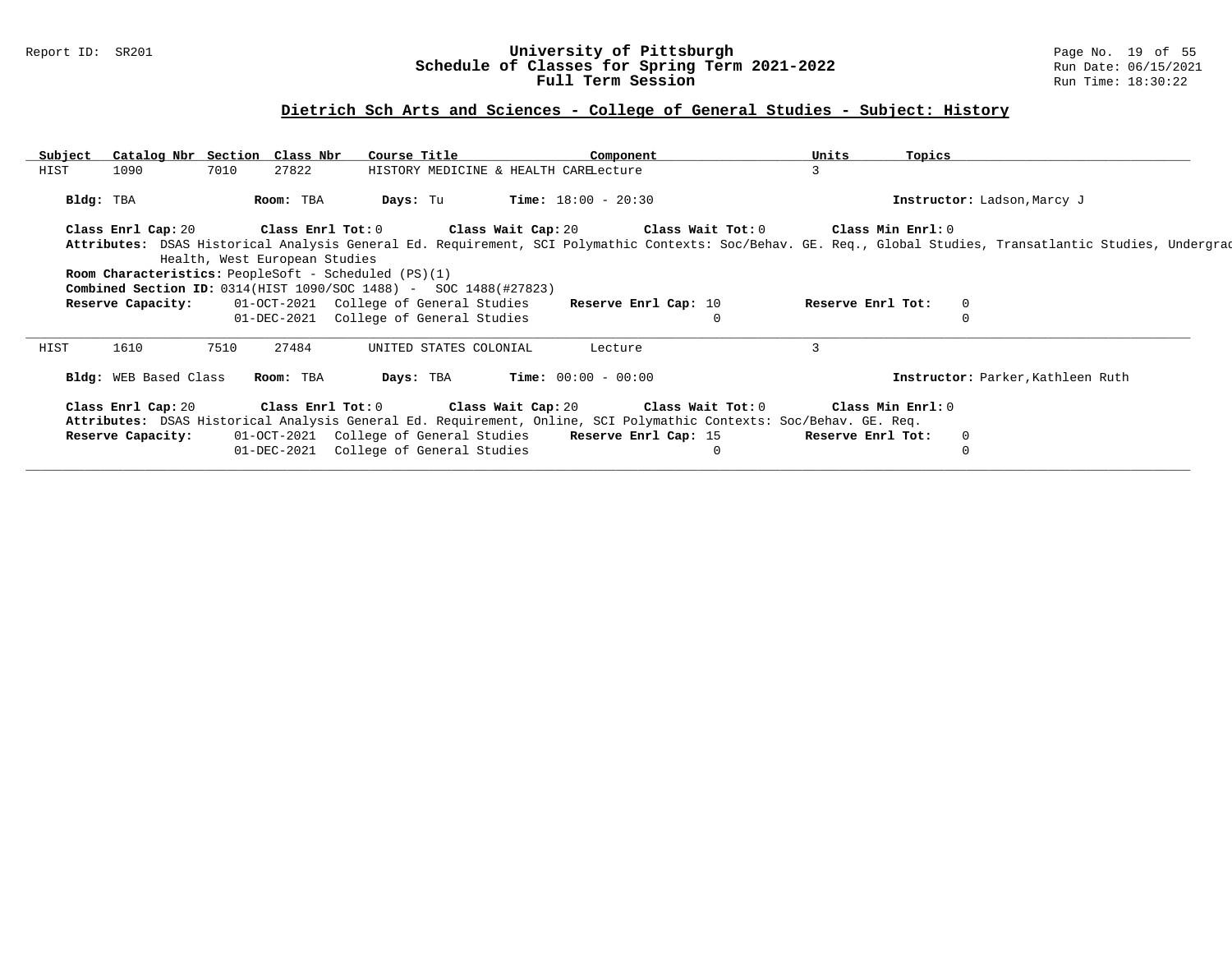### Report ID: SR201 **University of Pittsburgh** Page No. 19 of 55 **Schedule of Classes for Spring Term 2021-2022** Run Date: 06/15/2021 **Full Term Session Rundall Term Session Rundall Term Session**

### **Dietrich Sch Arts and Sciences - College of General Studies - Subject: History**

| Subject   | Catalog Nbr Section Class Nbr                               |      |                               | Course Title      |                                                                           | Component                    |                                                                                                                    | Units             | Topics                      |                                                                                                                                                              |  |
|-----------|-------------------------------------------------------------|------|-------------------------------|-------------------|---------------------------------------------------------------------------|------------------------------|--------------------------------------------------------------------------------------------------------------------|-------------------|-----------------------------|--------------------------------------------------------------------------------------------------------------------------------------------------------------|--|
| HIST      | 1090                                                        | 7010 | 27822                         |                   | HISTORY MEDICINE & HEALTH CARELecture                                     |                              |                                                                                                                    |                   |                             |                                                                                                                                                              |  |
| Bldg: TBA |                                                             |      | Room: TBA                     | Days: Tu          |                                                                           | <b>Time:</b> $18:00 - 20:30$ |                                                                                                                    |                   | Instructor: Ladson, Marcy J |                                                                                                                                                              |  |
|           | Class Enrl Cap: 20                                          |      |                               | Class Enrl Tot: 0 |                                                                           |                              | Class Wait Cap: 20 $\,$ Class Wait Tot: 0 $\,$                                                                     | Class Min Enrl: 0 |                             |                                                                                                                                                              |  |
|           |                                                             |      |                               |                   |                                                                           |                              |                                                                                                                    |                   |                             | Attributes: DSAS Historical Analysis General Ed. Requirement, SCI Polymathic Contexts: Soc/Behav. GE. Req., Global Studies, Transatlantic Studies, Undergrad |  |
|           |                                                             |      | Health, West European Studies |                   |                                                                           |                              |                                                                                                                    |                   |                             |                                                                                                                                                              |  |
|           | <b>Room Characteristics:</b> PeopleSoft - Scheduled (PS)(1) |      |                               |                   |                                                                           |                              |                                                                                                                    |                   |                             |                                                                                                                                                              |  |
|           |                                                             |      |                               |                   | <b>Combined Section ID:</b> $0314(HIST 1090/SOC 1488) - SOC 1488(H27823)$ |                              |                                                                                                                    |                   |                             |                                                                                                                                                              |  |
|           | Reserve Capacity:                                           |      |                               |                   | 01-OCT-2021 College of General Studies                                    | Reserve Enrl Cap: 10         |                                                                                                                    | Reserve Enrl Tot: | $\mathbf{0}$                |                                                                                                                                                              |  |
|           |                                                             |      |                               |                   | 01-DEC-2021 College of General Studies                                    |                              |                                                                                                                    |                   |                             |                                                                                                                                                              |  |
| HIST      | 1610                                                        | 7510 | 27484                         |                   | UNITED STATES COLONIAL                                                    | Lecture                      |                                                                                                                    | $\mathbf{3}$      |                             |                                                                                                                                                              |  |
|           | Bldg: WEB Based Class                                       |      | Room: TBA                     | Days: TBA         |                                                                           | <b>Time:</b> $00:00 - 00:00$ |                                                                                                                    |                   |                             | Instructor: Parker, Kathleen Ruth                                                                                                                            |  |
|           | Class Enrl Cap: 20 Class Enrl Tot: 0                        |      |                               |                   |                                                                           |                              | Class Wait Cap: 20 Class Wait Tot: 0                                                                               |                   | Class Min Enrl: 0           |                                                                                                                                                              |  |
|           |                                                             |      |                               |                   |                                                                           |                              | Attributes: DSAS Historical Analysis General Ed. Requirement, Online, SCI Polymathic Contexts: Soc/Behav. GE. Req. |                   |                             |                                                                                                                                                              |  |
|           | Reserve Capacity:                                           |      |                               |                   | 01-OCT-2021 College of General Studies Reserve Enrl Cap: 15               |                              |                                                                                                                    | Reserve Enrl Tot: | $\mathbf 0$                 |                                                                                                                                                              |  |
|           |                                                             |      | 01-DEC-2021                   |                   | College of General Studies                                                |                              |                                                                                                                    |                   | 0                           |                                                                                                                                                              |  |
|           |                                                             |      |                               |                   |                                                                           |                              |                                                                                                                    |                   |                             |                                                                                                                                                              |  |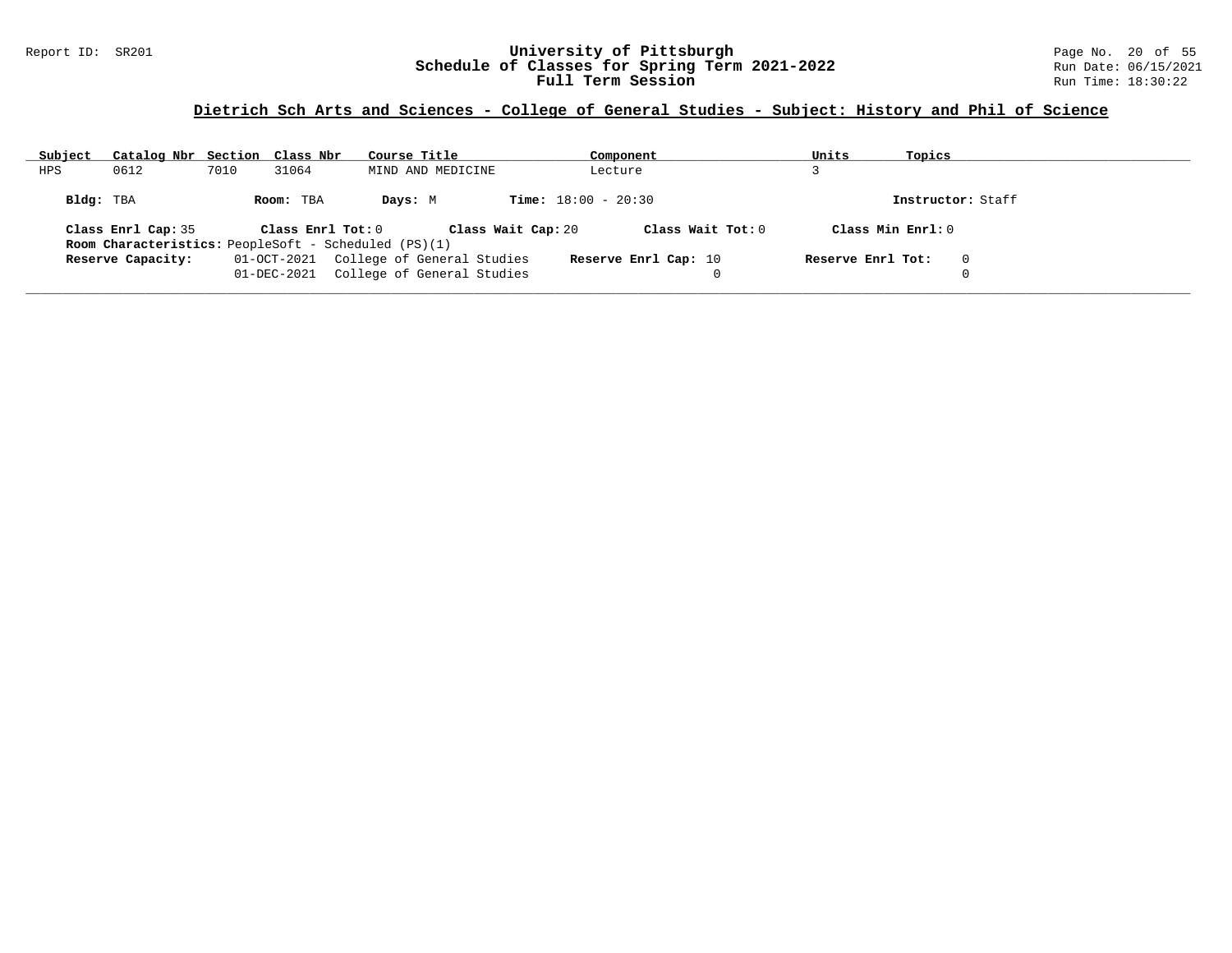### Report ID: SR201 **University of Pittsburgh** Page No. 20 of 55 **Schedule of Classes for Spring Term 2021-2022** Run Date: 06/15/2021 **Full Term Session Rundall Term Session Rundall Term Session**

# **Dietrich Sch Arts and Sciences - College of General Studies - Subject: History and Phil of Science**

| Subject   | Catalog Nbr Section Class Nbr |      |                   | Course Title                                                | Component                               | Units             | Topics             |
|-----------|-------------------------------|------|-------------------|-------------------------------------------------------------|-----------------------------------------|-------------------|--------------------|
| HPS       | 0612                          | 7010 | 31064             | MIND AND MEDICINE                                           | Lecture                                 |                   |                    |
| Bldg: TBA |                               |      | Room: TBA         | Days: M                                                     | <b>Time:</b> $18:00 - 20:30$            |                   | Instructor: Staff  |
|           | Class Enrl Cap: 35            |      | Class Enrl Tot: 0 |                                                             | Class Wait Tot: 0<br>Class Wait Cap: 20 |                   | Class Min $Enr1:0$ |
|           |                               |      |                   | <b>Room Characteristics:</b> PeopleSoft - Scheduled (PS)(1) |                                         |                   |                    |
|           | Reserve Capacity:             |      | 01-OCT-2021       | College of General Studies                                  | Reserve Enrl Cap: 10                    | Reserve Enrl Tot: | $\Omega$           |
|           |                               |      | 01-DEC-2021       | College of General Studies                                  | 0                                       |                   |                    |

**\_\_\_\_\_\_\_\_\_\_\_\_\_\_\_\_\_\_\_\_\_\_\_\_\_\_\_\_\_\_\_\_\_\_\_\_\_\_\_\_\_\_\_\_\_\_\_\_\_\_\_\_\_\_\_\_\_\_\_\_\_\_\_\_\_\_\_\_\_\_\_\_\_\_\_\_\_\_\_\_\_\_\_\_\_\_\_\_\_\_\_\_\_\_\_\_\_\_\_\_\_\_\_\_\_\_\_\_\_\_\_\_\_\_\_\_\_\_\_\_\_\_\_\_\_\_\_\_\_\_\_\_\_\_\_\_\_\_\_\_\_\_\_\_\_\_\_\_\_\_\_\_\_\_\_\_**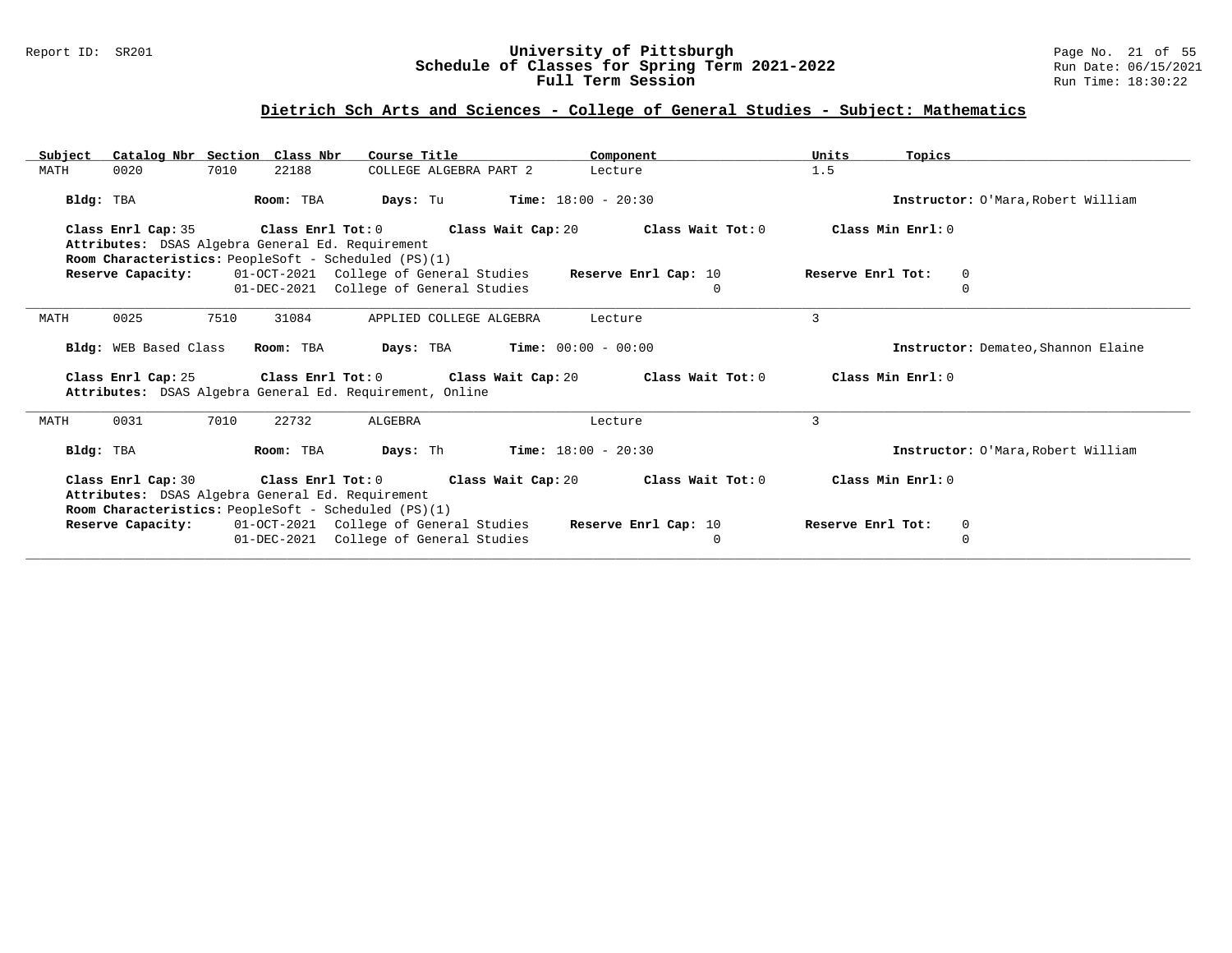### Report ID: SR201 **University of Pittsburgh** Page No. 21 of 55 **Schedule of Classes for Spring Term 2021-2022** Run Date: 06/15/2021 **Full Term Session Rundall Term Session Rundall Term Session**

# **Dietrich Sch Arts and Sciences - College of General Studies - Subject: Mathematics**

| Catalog Nbr Section Class Nbr<br>Subject | Course Title                                                                                             | Component                                                                                            | Units<br>Topics                     |
|------------------------------------------|----------------------------------------------------------------------------------------------------------|------------------------------------------------------------------------------------------------------|-------------------------------------|
| 7010<br>MATH<br>0020                     | 22188<br>COLLEGE ALGEBRA PART 2                                                                          | Lecture                                                                                              | 1.5                                 |
| Bldg: TBA                                | Room: TBA<br>Days: Tu                                                                                    | <b>Time:</b> $18:00 - 20:30$                                                                         | Instructor: O'Mara, Robert William  |
| Class Enrl Cap: 35                       | Class Enrl Tot: 0 Class Wait Cap: 20                                                                     | Class Wait Tot: 0                                                                                    | Class Min Enrl: 0                   |
|                                          | Attributes: DSAS Algebra General Ed. Requirement                                                         |                                                                                                      |                                     |
|                                          | Room Characteristics: PeopleSoft - Scheduled (PS)(1)                                                     |                                                                                                      |                                     |
| Reserve Capacity:                        | 01-OCT-2021 College of General Studies                                                                   | Reserve Enrl Cap: 10                                                                                 | Reserve Enrl Tot:<br>$\mathbf{0}$   |
|                                          | 01-DEC-2021 College of General Studies                                                                   | $\mathbf{0}$                                                                                         | 0                                   |
| 0025<br>7510<br>MATH                     | 31084<br>APPLIED COLLEGE ALGEBRA                                                                         | Lecture                                                                                              | 3                                   |
| Bldg: WEB Based Class                    | <b>Days:</b> TBA <b>Time:</b> $00:00 - 00:00$<br>Room: TBA                                               |                                                                                                      | Instructor: Demateo, Shannon Elaine |
| Class Enrl Cap: 25                       | Attributes: DSAS Algebra General Ed. Requirement, Online                                                 | Class Enrl Tot: $0$ Class Wait Cap: $20$ Class Wait Tot: $0$                                         | Class Min Enrl: 0                   |
| 0031<br>7010<br>MATH                     | 22732<br>ALGEBRA                                                                                         | Lecture                                                                                              | 3                                   |
| Bldg: TBA                                | Room: TBA<br>Days: Th                                                                                    | $Time: 18:00 - 20:30$                                                                                | Instructor: O'Mara, Robert William  |
|                                          | Attributes: DSAS Algebra General Ed. Requirement<br>Room Characteristics: PeopleSoft - Scheduled (PS)(1) | Class Enrl Cap: 30 $\qquad$ Class Enrl Tot: 0 $\qquad$ Class Wait Cap: 20 $\qquad$ Class Wait Tot: 0 | Class Min Enrl: 0                   |
|                                          | <b>Reserve Capacity:</b> 01-OCT-2021 College of General Studies                                          | Reserve Enrl Cap: 10                                                                                 | Reserve Enrl Tot:<br>$\overline{0}$ |
|                                          | 01-DEC-2021 College of General Studies                                                                   | $\mathbf{0}$                                                                                         | $\mathbf 0$                         |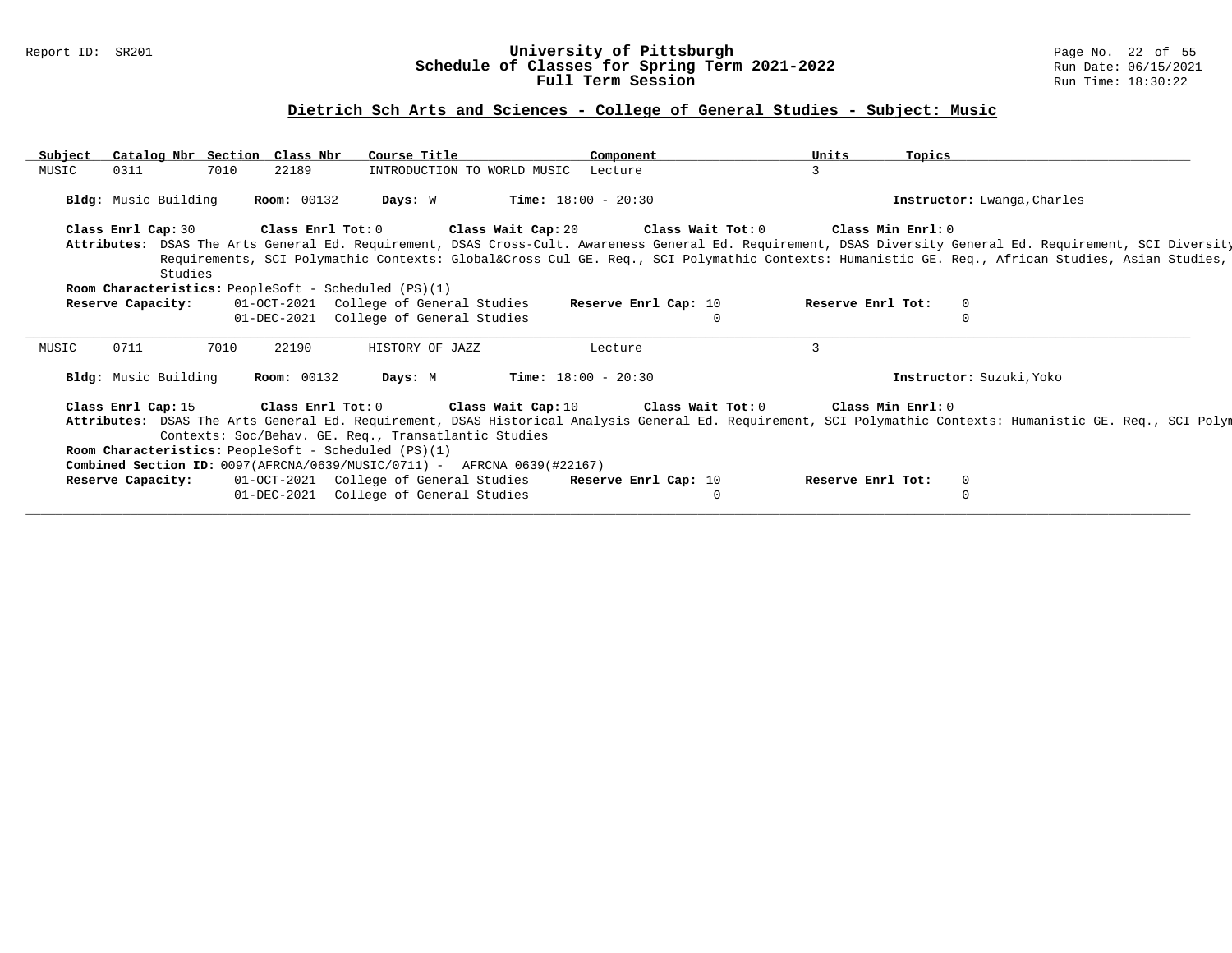#### Report ID: SR201 **University of Pittsburgh** Page No. 22 of 55 **Schedule of Classes for Spring Term 2021-2022** Run Date: 06/15/2021 **Full Term Session Rundall Term Session Rundall Term Session**

# **Dietrich Sch Arts and Sciences - College of General Studies - Subject: Music**

| Subject | Catalog Nbr Section Class Nbr        |      |                    | Course Title                                         |                                                                                    | Component                    |          | Units             | Topics                      |                                                                                                                                                              |  |
|---------|--------------------------------------|------|--------------------|------------------------------------------------------|------------------------------------------------------------------------------------|------------------------------|----------|-------------------|-----------------------------|--------------------------------------------------------------------------------------------------------------------------------------------------------------|--|
| MUSIC   | 0311                                 | 7010 | 22189              |                                                      | INTRODUCTION TO WORLD MUSIC                                                        | Lecture                      |          |                   |                             |                                                                                                                                                              |  |
|         |                                      |      |                    |                                                      |                                                                                    |                              |          |                   |                             |                                                                                                                                                              |  |
|         | Bldg: Music Building                 |      | <b>Room: 00132</b> | Days: W                                              |                                                                                    | <b>Time:</b> $18:00 - 20:30$ |          |                   | Instructor: Lwanga, Charles |                                                                                                                                                              |  |
|         | Class Enrl Cap: 30                   |      | Class Enrl Tot: 0  |                                                      | Class Wait Cap: 20 Class Wait Tot: 0                                               |                              |          |                   | Class Min Enrl: 0           |                                                                                                                                                              |  |
|         |                                      |      |                    |                                                      |                                                                                    |                              |          |                   |                             | Attributes: DSAS The Arts General Ed. Requirement, DSAS Cross-Cult. Awareness General Ed. Requirement, DSAS Diversity General Ed. Requirement, SCI Diversity |  |
|         |                                      |      |                    |                                                      |                                                                                    |                              |          |                   |                             | Requirements, SCI Polymathic Contexts: Global⨯ Cul GE. Req., SCI Polymathic Contexts: Humanistic GE. Req., African Studies, Asian Studies,                   |  |
|         | Studies                              |      |                    |                                                      |                                                                                    |                              |          |                   |                             |                                                                                                                                                              |  |
|         |                                      |      |                    | Room Characteristics: PeopleSoft - Scheduled (PS)(1) |                                                                                    |                              |          |                   |                             |                                                                                                                                                              |  |
|         | Reserve Capacity:                    |      |                    | 01-OCT-2021 College of General Studies               |                                                                                    | Reserve Enrl Cap: 10         |          | Reserve Enrl Tot: | $\mathbf 0$                 |                                                                                                                                                              |  |
|         |                                      |      | 01-DEC-2021        | College of General Studies                           |                                                                                    |                              |          |                   |                             |                                                                                                                                                              |  |
|         |                                      |      |                    |                                                      |                                                                                    |                              |          |                   |                             |                                                                                                                                                              |  |
| MUSIC   | 0711                                 | 7010 | 22190              | HISTORY OF JAZZ                                      |                                                                                    | Lecture                      |          | ζ                 |                             |                                                                                                                                                              |  |
|         |                                      |      |                    |                                                      |                                                                                    |                              |          |                   |                             |                                                                                                                                                              |  |
|         | Bldg: Music Building                 |      | <b>Room: 00132</b> | Days: M                                              |                                                                                    | <b>Time:</b> $18:00 - 20:30$ |          |                   | Instructor: Suzuki, Yoko    |                                                                                                                                                              |  |
|         |                                      |      |                    |                                                      |                                                                                    |                              |          |                   |                             |                                                                                                                                                              |  |
|         | Class Enrl Cap: 15 Class Enrl Tot: 0 |      |                    |                                                      | Class Wait Cap: 10 $\qquad$ Class Wait Tot: 0 $\qquad$ Class Min Enrl: 0           |                              |          |                   |                             |                                                                                                                                                              |  |
|         |                                      |      |                    |                                                      |                                                                                    |                              |          |                   |                             | Attributes: DSAS The Arts General Ed. Requirement, DSAS Historical Analysis General Ed. Requirement, SCI Polymathic Contexts: Humanistic GE. Req., SCI Polym |  |
|         |                                      |      |                    | Contexts: Soc/Behav. GE. Req., Transatlantic Studies |                                                                                    |                              |          |                   |                             |                                                                                                                                                              |  |
|         |                                      |      |                    | Room Characteristics: PeopleSoft - Scheduled (PS)(1) |                                                                                    |                              |          |                   |                             |                                                                                                                                                              |  |
|         |                                      |      |                    |                                                      | <b>Combined Section ID:</b> $0097(RFRCNA/0639/MUSIC/0711)$ - AFRCNA $0639(H22167)$ |                              |          |                   |                             |                                                                                                                                                              |  |
|         | Reserve Capacity:                    |      |                    | 01-OCT-2021 College of General Studies               |                                                                                    | Reserve Enrl Cap: 10         |          | Reserve Enrl Tot: | $\mathbf{0}$                |                                                                                                                                                              |  |
|         |                                      |      |                    | 01-DEC-2021 College of General Studies               |                                                                                    |                              | $\Omega$ |                   | $\Omega$                    |                                                                                                                                                              |  |
|         |                                      |      |                    |                                                      |                                                                                    |                              |          |                   |                             |                                                                                                                                                              |  |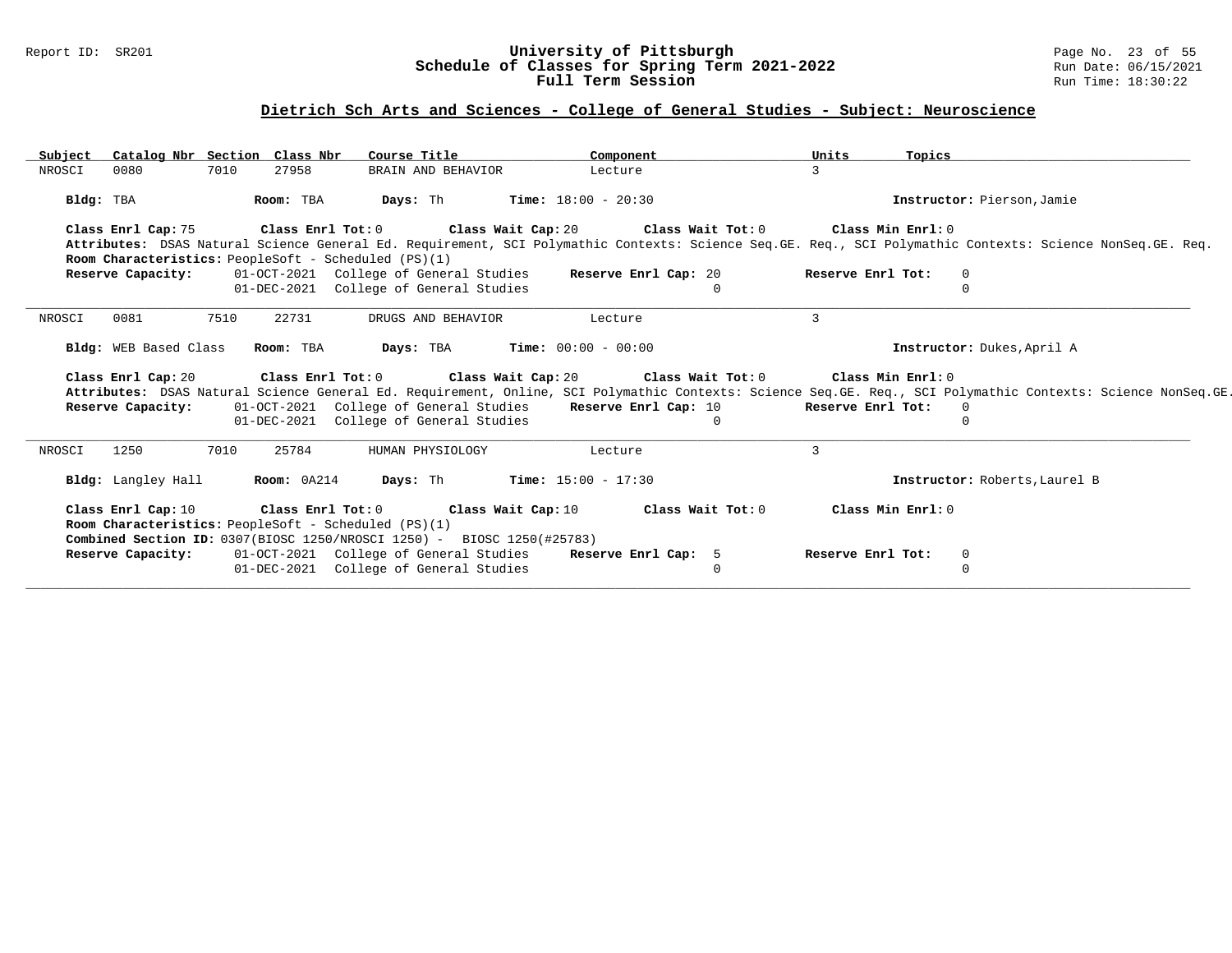### Report ID: SR201 **University of Pittsburgh** Page No. 23 of 55 **Schedule of Classes for Spring Term 2021-2022** Run Date: 06/15/2021 **Full Term Session Rundall Term Session Rundall Term Session**

# **Dietrich Sch Arts and Sciences - College of General Studies - Subject: Neuroscience**

| Subject   | Catalog Nbr Section Class Nbr   |      |                   | Course Title                                                                     | Component                                                                                                                                                    | Units             | Topics                        |  |
|-----------|---------------------------------|------|-------------------|----------------------------------------------------------------------------------|--------------------------------------------------------------------------------------------------------------------------------------------------------------|-------------------|-------------------------------|--|
| NROSCI    | 0080                            | 7010 | 27958             | BRAIN AND BEHAVIOR                                                               | Lecture                                                                                                                                                      | 3                 |                               |  |
| Bldg: TBA |                                 |      | Room: TBA         |                                                                                  | <b>Days:</b> Th <b>Time:</b> $18:00 - 20:30$                                                                                                                 |                   | Instructor: Pierson, Jamie    |  |
|           | Class Enrl Cap: 75              |      |                   |                                                                                  | Class Enrl Tot: 0 $\,$ Class Wait Cap: 20 $\,$ Class Wait Tot: 0 $\,$ Class Min Enrl: 0 $\,$                                                                 |                   |                               |  |
|           |                                 |      |                   |                                                                                  | Attributes: DSAS Natural Science General Ed. Requirement, SCI Polymathic Contexts: Science Seq.GE. Req., SCI Polymathic Contexts: Science NonSeq.GE. Req.    |                   |                               |  |
|           |                                 |      |                   | Room Characteristics: PeopleSoft - Scheduled (PS)(1)                             |                                                                                                                                                              |                   |                               |  |
|           | Reserve Capacity:               |      |                   | 01-OCT-2021 College of General Studies                                           | Reserve Enrl Cap: 20                                                                                                                                         | Reserve Enrl Tot: | $\mathbf{0}$                  |  |
|           |                                 |      |                   | 01-DEC-2021 College of General Studies                                           | $\Omega$                                                                                                                                                     |                   | 0                             |  |
| NROSCI    | 0081                            | 7510 | 22731             | DRUGS AND BEHAVIOR                                                               | Lecture                                                                                                                                                      | 3                 |                               |  |
|           |                                 |      |                   |                                                                                  |                                                                                                                                                              |                   |                               |  |
|           | Bldg: WEB Based Class Room: TBA |      |                   |                                                                                  | <b>Days:</b> TBA <b>Time:</b> $00:00 - 00:00$                                                                                                                |                   | Instructor: Dukes, April A    |  |
|           |                                 |      |                   |                                                                                  | Class Enrl Cap: 20 Class Enrl Tot: 0 Class Wait Cap: 20 Class Wait Tot: 0 Class Min Enrl: 0                                                                  |                   |                               |  |
|           |                                 |      |                   |                                                                                  | Attributes: DSAS Natural Science General Ed. Requirement, Online, SCI Polymathic Contexts: Science Seq.GE. Req., SCI Polymathic Contexts: Science NonSeq.GE. |                   |                               |  |
|           | Reserve Capacity:               |      |                   |                                                                                  | 01-OCT-2021 College of General Studies Reserve Enrl Cap: 10                                                                                                  | Reserve Enrl Tot: | $\overline{0}$                |  |
|           |                                 |      |                   | 01-DEC-2021 College of General Studies                                           | $\Omega$                                                                                                                                                     |                   | $\Omega$                      |  |
| NROSCI    | 1250                            | 7010 | 25784             | HUMAN PHYSIOLOGY                                                                 | Lecture                                                                                                                                                      | 3                 |                               |  |
|           | Bldg: Langley Hall              |      | Room: 0A214       |                                                                                  | <b>Days:</b> Th <b>Time:</b> $15:00 - 17:30$                                                                                                                 |                   | Instructor: Roberts, Laurel B |  |
|           | Class Enrl Cap: 10              |      | Class Enrl Tot: 0 |                                                                                  | Class Wait Cap: 10 Class Wait Tot: 0                                                                                                                         |                   | Class Min Enrl: 0             |  |
|           |                                 |      |                   | Room Characteristics: PeopleSoft - Scheduled (PS)(1)                             |                                                                                                                                                              |                   |                               |  |
|           |                                 |      |                   | <b>Combined Section ID:</b> 0307(BIOSC 1250/NROSCI 1250) - BIOSC 1250(#25783)    |                                                                                                                                                              |                   |                               |  |
|           | Reserve Capacity:               |      |                   | 01-OCT-2021 College of General Studies<br>01-DEC-2021 College of General Studies | Reserve Enrl Cap: 5<br>$\Omega$                                                                                                                              | Reserve Enrl Tot: | $\mathbf 0$<br>0              |  |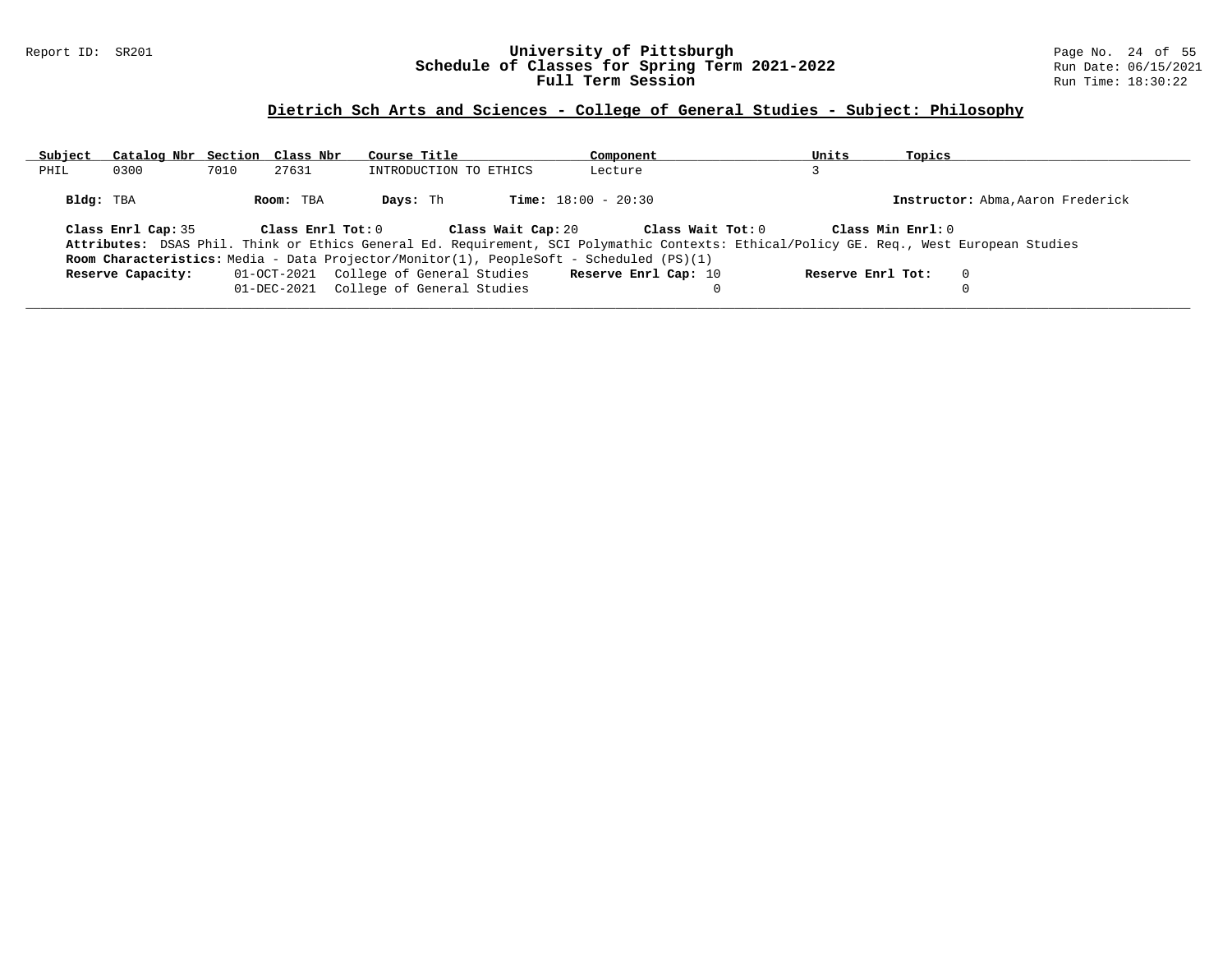### Report ID: SR201 **University of Pittsburgh** Page No. 24 of 55 **Schedule of Classes for Spring Term 2021-2022** Run Date: 06/15/2021 **Full Term Session Rundall Term Session Rundall Term Session**

# **Dietrich Sch Arts and Sciences - College of General Studies - Subject: Philosophy**

| Subject   | Catalog Nbr Section Class Nbr |      |                   | Course Title                           |                    | Component                                                                                                                               |                   | Units             | Topics            |                                   |
|-----------|-------------------------------|------|-------------------|----------------------------------------|--------------------|-----------------------------------------------------------------------------------------------------------------------------------------|-------------------|-------------------|-------------------|-----------------------------------|
| PHIL      | 0300                          | 7010 | 27631             | INTRODUCTION TO ETHICS                 |                    | Lecture                                                                                                                                 |                   |                   |                   |                                   |
| Bldg: TBA |                               |      | Room: TBA         | Days: Th                               |                    | <b>Time:</b> $18:00 - 20:30$                                                                                                            |                   |                   |                   | Instructor: Abma, Aaron Frederick |
|           | Class Enrl Cap: 35            |      | Class Enrl Tot: 0 |                                        | Class Wait Cap: 20 | Attributes: DSAS Phil. Think or Ethics General Ed. Requirement, SCI Polymathic Contexts: Ethical/Policy GE. Req., West European Studies | Class Wait Tot: 0 |                   | Class Min Enrl: 0 |                                   |
|           |                               |      |                   |                                        |                    | Room Characteristics: Media - Data Projector/Monitor(1), PeopleSoft - Scheduled (PS)(1)                                                 |                   |                   |                   |                                   |
|           | Reserve Capacity:             |      |                   | 01-OCT-2021 College of General Studies |                    | Reserve Enrl Cap: 10                                                                                                                    |                   | Reserve Enrl Tot: |                   | $\Omega$                          |
|           |                               |      |                   | 01-DEC-2021 College of General Studies |                    |                                                                                                                                         |                   |                   |                   |                                   |
|           |                               |      |                   |                                        |                    |                                                                                                                                         |                   |                   |                   |                                   |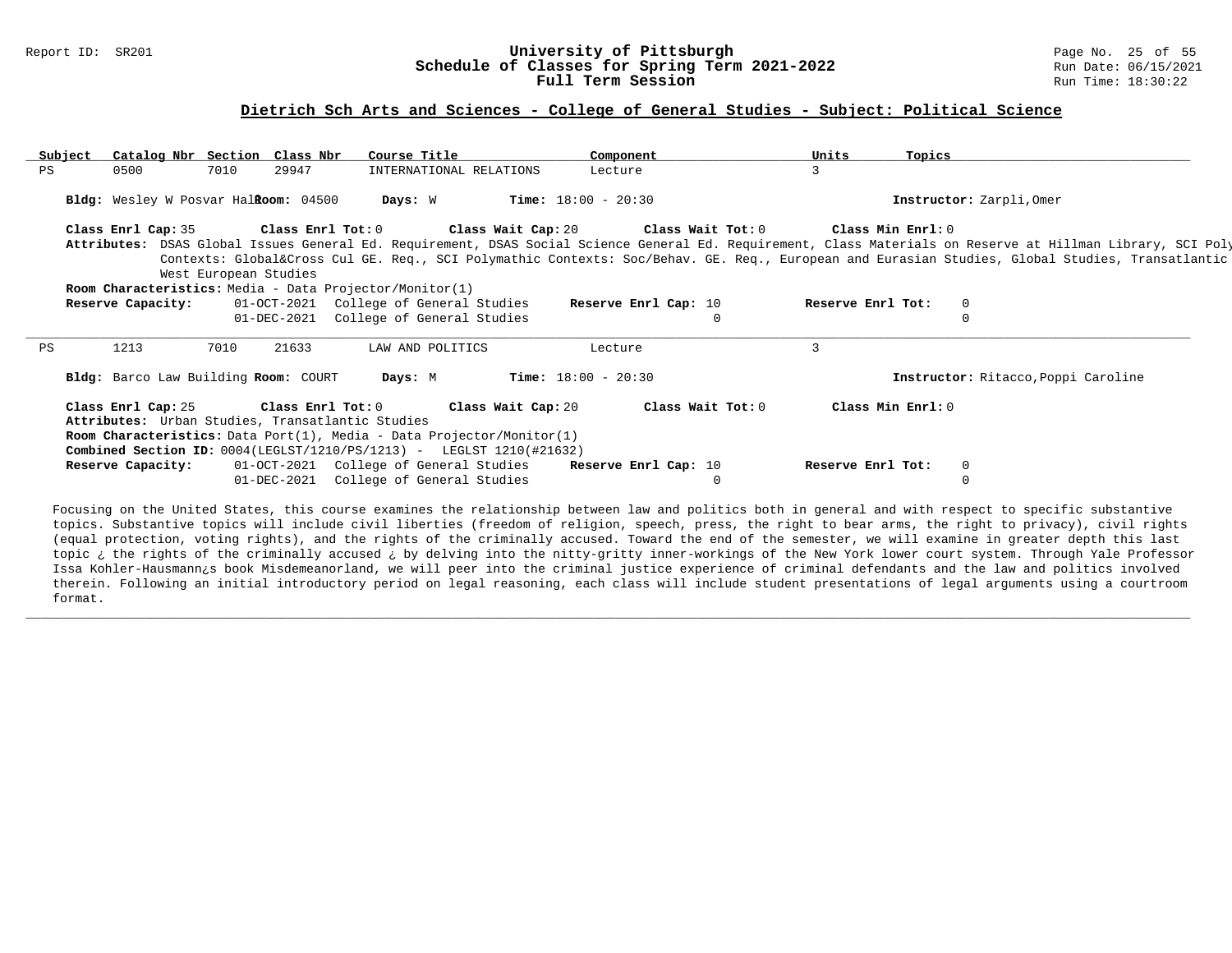#### Report ID: SR201 **University of Pittsburgh University of Pittsburgh** Page No. 25 of 55<br>**Schedule of Classes for Spring Term 2021-2022** 2011 Run Date: 06/15/2021 **Schedule of Classes for Spring Term 2021-2022** Run Date: 06/15/2021<br>**Full Term Session** Run Time: 18:30:22 Full Term Session

#### **Dietrich Sch Arts and Sciences - College of General Studies - Subject: Political Science**

| Subject | Catalog Nbr Section Class Nbr                    |                       |       | Course Title                                                                 | Component                                 | Units             | Topics                                                                                                                                                       |  |
|---------|--------------------------------------------------|-----------------------|-------|------------------------------------------------------------------------------|-------------------------------------------|-------------------|--------------------------------------------------------------------------------------------------------------------------------------------------------------|--|
| PS      | 0500                                             | 7010                  | 29947 | INTERNATIONAL RELATIONS                                                      | Lecture                                   |                   |                                                                                                                                                              |  |
|         | Bldg: Wesley W Posvar HalRoom: 04500             |                       |       | Days: W                                                                      | <b>Time:</b> $18:00 - 20:30$              |                   | Instructor: Zarpli, Omer                                                                                                                                     |  |
|         | Class Enrl Cap: 35 Class Enrl Tot: 0             |                       |       |                                                                              | Class Wait Cap: 20 $\,$ Class Wait Tot: 0 |                   | Class Min Enrl: 0                                                                                                                                            |  |
|         |                                                  |                       |       |                                                                              |                                           |                   | Attributes: DSAS Global Issues General Ed. Requirement, DSAS Social Science General Ed. Requirement, Class Materials on Reserve at Hillman Library, SCI Poly |  |
|         |                                                  |                       |       |                                                                              |                                           |                   | Contexts: Global⨯ Cul GE. Req., SCI Polymathic Contexts: Soc/Behav. GE. Req., European and Eurasian Studies, Global Studies, Transatlantic                   |  |
|         |                                                  | West European Studies |       |                                                                              |                                           |                   |                                                                                                                                                              |  |
|         |                                                  |                       |       | Room Characteristics: Media - Data Projector/Monitor(1)                      |                                           |                   |                                                                                                                                                              |  |
|         | Reserve Capacity:                                |                       |       | 01-OCT-2021 College of General Studies                                       | Reserve Enrl Cap: 10                      | Reserve Enrl Tot: | $\Omega$                                                                                                                                                     |  |
|         |                                                  |                       |       | 01-DEC-2021 College of General Studies                                       | $\Omega$                                  |                   |                                                                                                                                                              |  |
| PS      | 1213                                             | 7010                  | 21633 | LAW AND POLITICS                                                             | Lecture                                   | 3                 |                                                                                                                                                              |  |
|         | Bldg: Barco Law Building Room: COURT             |                       |       | Days: M                                                                      | <b>Time:</b> $18:00 - 20:30$              |                   | Instructor: Ritacco, Poppi Caroline                                                                                                                          |  |
|         | Attributes: Urban Studies, Transatlantic Studies |                       |       | Class Enrl Cap: 25 Class Enrl Tot: 0 Class Wait Cap: 20                      | Class Wait Tot: 0                         |                   | Class Min Enrl: 0                                                                                                                                            |  |
|         |                                                  |                       |       | <b>Room Characteristics:</b> Data Port(1), Media - Data Projector/Monitor(1) |                                           |                   |                                                                                                                                                              |  |
|         |                                                  |                       |       | Combined Section ID: 0004(LEGLST/1210/PS/1213) - LEGLST 1210(#21632)         |                                           |                   |                                                                                                                                                              |  |
|         | Reserve Capacity:                                |                       |       | 01-OCT-2021 College of General Studies                                       | Reserve Enrl Cap: 10                      | Reserve Enrl Tot: | $\mathbf 0$                                                                                                                                                  |  |
|         |                                                  |                       |       | 01-DEC-2021 College of General Studies                                       | $\Omega$                                  |                   |                                                                                                                                                              |  |
|         |                                                  |                       |       |                                                                              |                                           |                   |                                                                                                                                                              |  |

Focusing on the United States, this course examines the relationship between law and politics both in general and with respect to specific substantive topics. Substantive topics will include civil liberties (freedom of religion, speech, press, the right to bear arms, the right to privacy), civil rights (equal protection, voting rights), and the rights of the criminally accused. Toward the end of the semester, we will examine in greater depth this last topic ¿ the rights of the criminally accused ¿ by delving into the nitty-gritty inner-workings of the New York lower court system. Through Yale Professor Issa Kohler-Hausmann¿s book Misdemeanorland, we will peer into the criminal justice experience of criminal defendants and the law and politics involved therein. Following an initial introductory period on legal reasoning, each class will include student presentations of legal arguments using a courtroom format.

**\_\_\_\_\_\_\_\_\_\_\_\_\_\_\_\_\_\_\_\_\_\_\_\_\_\_\_\_\_\_\_\_\_\_\_\_\_\_\_\_\_\_\_\_\_\_\_\_\_\_\_\_\_\_\_\_\_\_\_\_\_\_\_\_\_\_\_\_\_\_\_\_\_\_\_\_\_\_\_\_\_\_\_\_\_\_\_\_\_\_\_\_\_\_\_\_\_\_\_\_\_\_\_\_\_\_\_\_\_\_\_\_\_\_\_\_\_\_\_\_\_\_\_\_\_\_\_\_\_\_\_\_\_\_\_\_\_\_\_\_\_\_\_\_\_\_\_\_\_\_\_\_\_\_\_\_**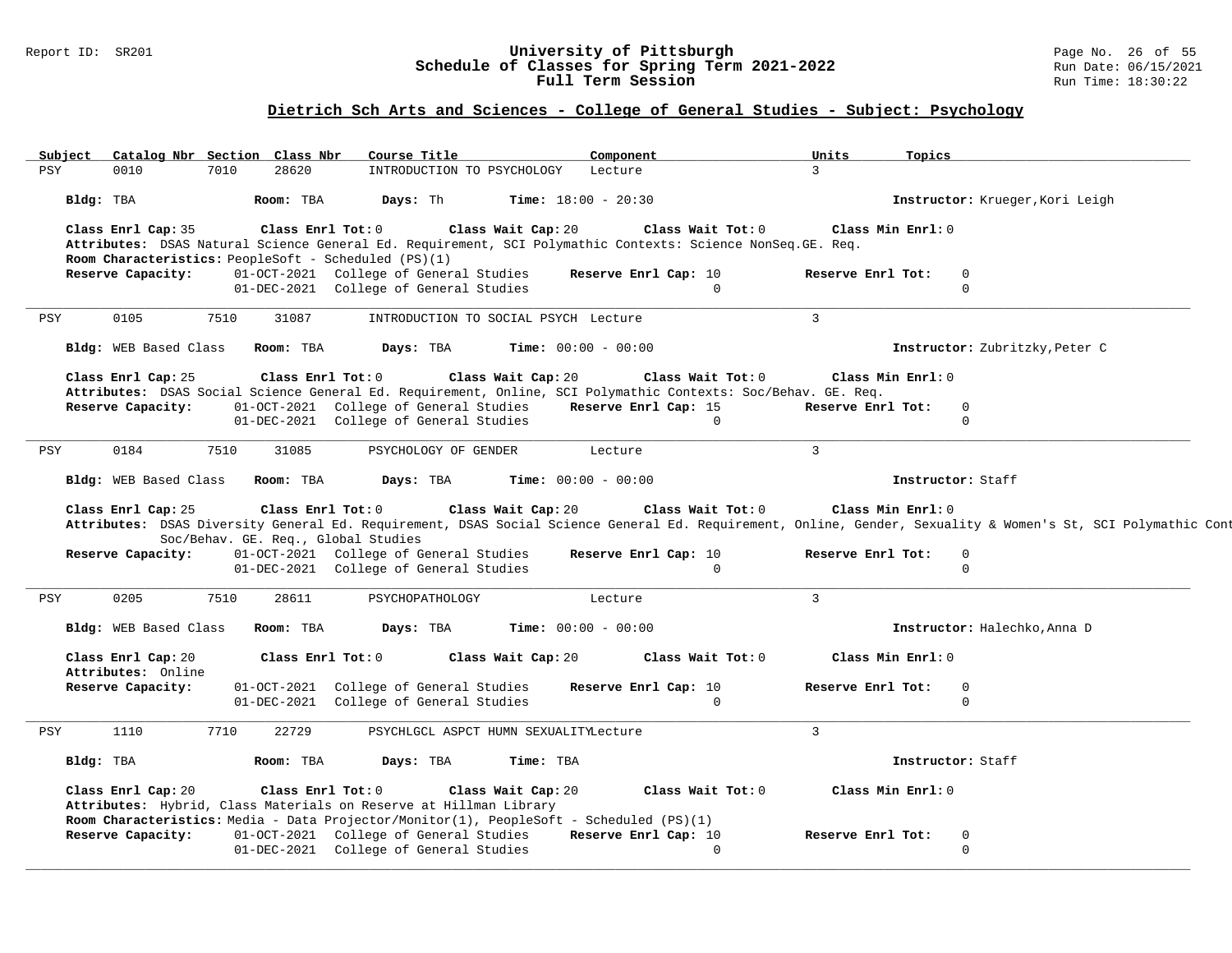### Report ID: SR201 **University of Pittsburgh** Page No. 26 of 55 **Schedule of Classes for Spring Term 2021-2022** Run Date: 06/15/2021 **Full Term Session Rundall Term Session Rundall Term Session**

# **Dietrich Sch Arts and Sciences - College of General Studies - Subject: Psychology**

| Subject    | Catalog Nbr Section Class Nbr               |      |                                | Course Title                                                                                                            |                                                                                         | Component                                                                                                       | Units             | Topics                                                                                                                                                                                     |
|------------|---------------------------------------------|------|--------------------------------|-------------------------------------------------------------------------------------------------------------------------|-----------------------------------------------------------------------------------------|-----------------------------------------------------------------------------------------------------------------|-------------------|--------------------------------------------------------------------------------------------------------------------------------------------------------------------------------------------|
| <b>PSY</b> | 0010                                        | 7010 | 28620                          |                                                                                                                         | INTRODUCTION TO PSYCHOLOGY                                                              | Lecture                                                                                                         | $\mathbf{3}$      |                                                                                                                                                                                            |
|            | Bldg: TBA                                   |      | Room: TBA                      | Days: Th                                                                                                                |                                                                                         | <b>Time:</b> $18:00 - 20:30$                                                                                    |                   | Instructor: Krueger, Kori Leigh                                                                                                                                                            |
|            | Class Enrl Cap: 35                          |      | Class Enrl Tot: 0              |                                                                                                                         | Class Wait Cap: 20                                                                      | Class Wait Tot: 0                                                                                               |                   | Class Min Enrl: 0                                                                                                                                                                          |
|            |                                             |      |                                |                                                                                                                         |                                                                                         | Attributes: DSAS Natural Science General Ed. Requirement, SCI Polymathic Contexts: Science NonSeq. GE. Req.     |                   |                                                                                                                                                                                            |
|            | Reserve Capacity:                           |      |                                | Room Characteristics: PeopleSoft - Scheduled (PS)(1)<br>01-OCT-2021 College of General Studies                          |                                                                                         | Reserve Enrl Cap: 10                                                                                            | Reserve Enrl Tot: | 0                                                                                                                                                                                          |
|            |                                             |      |                                | 01-DEC-2021 College of General Studies                                                                                  |                                                                                         | $\Omega$                                                                                                        |                   | $\Omega$                                                                                                                                                                                   |
| PSY        | 0105                                        | 7510 | 31087                          |                                                                                                                         | INTRODUCTION TO SOCIAL PSYCH Lecture                                                    |                                                                                                                 | $\mathcal{L}$     |                                                                                                                                                                                            |
|            |                                             |      |                                |                                                                                                                         |                                                                                         |                                                                                                                 |                   |                                                                                                                                                                                            |
|            | Bldg: WEB Based Class                       |      | Room: TBA                      | Days: TBA                                                                                                               |                                                                                         | <b>Time:</b> $00:00 - 00:00$                                                                                    |                   | Instructor: Zubritzky, Peter C                                                                                                                                                             |
|            | Class Enrl Cap: 25                          |      | Class Enrl Tot: 0              |                                                                                                                         | Class Wait Cap: 20                                                                      | Class Wait Tot: 0                                                                                               |                   | Class Min Enrl: 0                                                                                                                                                                          |
|            |                                             |      |                                |                                                                                                                         |                                                                                         | Attributes: DSAS Social Science General Ed. Requirement, Online, SCI Polymathic Contexts: Soc/Behav. GE. Req.   |                   |                                                                                                                                                                                            |
|            | Reserve Capacity:                           |      |                                | 01-OCT-2021 College of General Studies<br>01-DEC-2021 College of General Studies                                        |                                                                                         | Reserve Enrl Cap: 15<br>$\mathbf{0}$                                                                            | Reserve Enrl Tot: | $\mathbf 0$<br>$\mathbf 0$                                                                                                                                                                 |
|            |                                             |      |                                |                                                                                                                         |                                                                                         |                                                                                                                 |                   |                                                                                                                                                                                            |
|            | 0184                                        | 7510 | 31085                          |                                                                                                                         | PSYCHOLOGY OF GENDER                                                                    | Lecture                                                                                                         | 3                 |                                                                                                                                                                                            |
| <b>PSY</b> |                                             |      |                                |                                                                                                                         |                                                                                         |                                                                                                                 |                   |                                                                                                                                                                                            |
|            | Bldg: WEB Based Class<br>Class Enrl Cap: 25 |      | Room: TBA<br>Class Enrl Tot: 0 | Days: TBA                                                                                                               | Class Wait Cap: 20                                                                      | <b>Time:</b> $00:00 - 00:00$<br>Class Wait Tot: 0                                                               |                   | Instructor: Staff<br>Class Min Enrl: 0                                                                                                                                                     |
|            | Reserve Capacity:                           |      |                                | Soc/Behav. GE. Req., Global Studies<br>01-OCT-2021 College of General Studies<br>01-DEC-2021 College of General Studies |                                                                                         | Reserve Enrl Cap: 10<br>$\Omega$                                                                                | Reserve Enrl Tot: | Attributes: DSAS Diversity General Ed. Requirement, DSAS Social Science General Ed. Requirement, Online, Gender, Sexuality & Women's St, SCI Polymathic Cont<br>$\mathbf 0$<br>$\mathbf 0$ |
| PSY        | 0205                                        | 7510 | 28611                          | PSYCHOPATHOLOGY                                                                                                         |                                                                                         | Lecture                                                                                                         | $\overline{3}$    |                                                                                                                                                                                            |
|            | Bldg: WEB Based Class                       |      | Room: TBA                      | Days: TBA                                                                                                               |                                                                                         | <b>Time:</b> $00:00 - 00:00$                                                                                    |                   | Instructor: Halechko, Anna D                                                                                                                                                               |
|            | Class Enrl Cap: 20                          |      | Class Enrl Tot: 0              |                                                                                                                         | Class Wait Cap: 20                                                                      | Class Wait Tot: 0                                                                                               |                   | Class Min Enrl: 0                                                                                                                                                                          |
|            | Attributes: Online<br>Reserve Capacity:     |      |                                | 01-OCT-2021 College of General Studies                                                                                  |                                                                                         | Reserve Enrl Cap: 10                                                                                            | Reserve Enrl Tot: | 0                                                                                                                                                                                          |
|            |                                             |      |                                | 01-DEC-2021 College of General Studies                                                                                  |                                                                                         | $\Omega$                                                                                                        |                   | $\mathbf 0$                                                                                                                                                                                |
| <b>PSY</b> | 1110                                        | 7710 | 22729                          |                                                                                                                         | PSYCHLGCL ASPCT HUMN SEXUALITYLecture                                                   |                                                                                                                 | $\overline{3}$    |                                                                                                                                                                                            |
|            | Bldg: TBA                                   |      | Room: TBA                      | Days: TBA                                                                                                               | Time: TBA                                                                               |                                                                                                                 |                   | Instructor: Staff                                                                                                                                                                          |
|            | Class Enrl Cap: 20                          |      | Class Enrl Tot: 0              |                                                                                                                         | Class Wait Cap: 20<br>Attributes: Hybrid, Class Materials on Reserve at Hillman Library | Class Wait Tot: 0                                                                                               |                   | Class Min Enrl: 0                                                                                                                                                                          |
|            | Reserve Capacity:                           |      |                                | 01-OCT-2021 College of General Studies                                                                                  |                                                                                         | Room Characteristics: Media - Data Projector/Monitor(1), PeopleSoft - Scheduled (PS)(1)<br>Reserve Enrl Cap: 10 | Reserve Enrl Tot: | 0                                                                                                                                                                                          |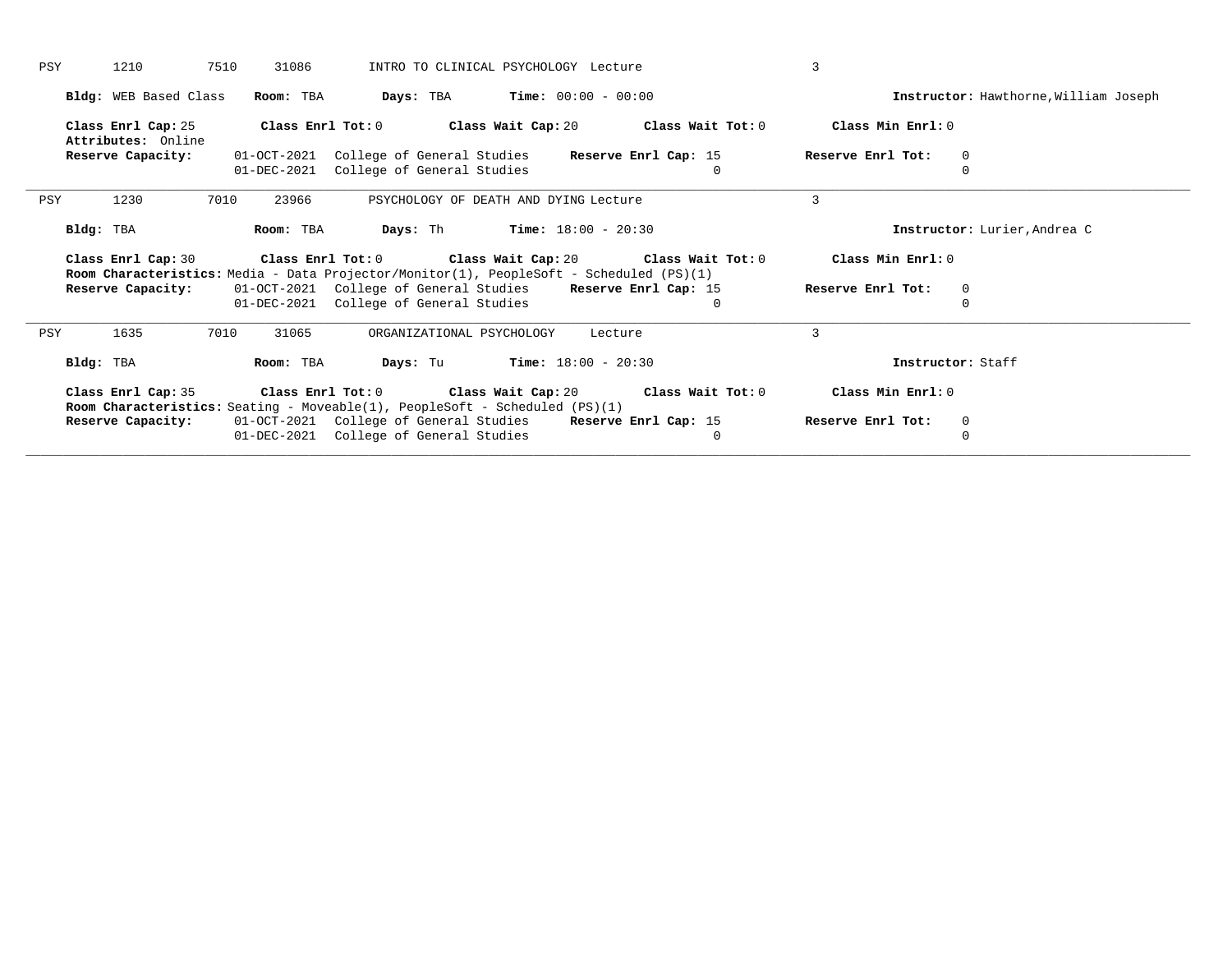| Bldg: WEB Based Class<br><b>Days:</b> TBA <b>Time:</b> $00:00 - 00:00$<br>Room: TBA<br>Instructor: Hawthorne, William Joseph                                                                    |  |
|-------------------------------------------------------------------------------------------------------------------------------------------------------------------------------------------------|--|
|                                                                                                                                                                                                 |  |
| Class Min Enrl: 0<br>Class Enrl Tot: $0$<br>Class Wait Cap: $20$ Class Wait Tot: $0$<br>Class Enrl Cap: 25<br>Attributes: Online                                                                |  |
| 01-OCT-2021 College of General Studies<br>Reserve Enrl Cap: 15<br>Reserve Enrl Tot:<br>Reserve Capacity:<br>$\mathbf 0$                                                                         |  |
| College of General Studies<br>$\Omega$<br>01-DEC-2021<br>$\Omega$                                                                                                                               |  |
| 3<br>1230<br>7010<br>PSYCHOLOGY OF DEATH AND DYING Lecture<br>PSY<br>23966                                                                                                                      |  |
| <b>Days:</b> Th <b>Time:</b> $18:00 - 20:30$<br>Instructor: Lurier, Andrea C<br>Bldg: TBA<br>Room: TBA                                                                                          |  |
| Class Enrl Tot: 0<br>Class Wait Cap: 20 Class Wait Tot: 0<br>Class Min Enrl: 0<br>Class Enrl Cap: 30<br>Room Characteristics: Media - Data Projector/Monitor(1), PeopleSoft - Scheduled (PS)(1) |  |
| 01-OCT-2021 College of General Studies Reserve Enrl Cap: 15<br>Reserve Capacity:<br>Reserve Enrl Tot:<br>$\mathbf 0$                                                                            |  |
| 01-DEC-2021 College of General Studies<br>$\mathbf 0$<br>0                                                                                                                                      |  |
| ζ<br>1635<br>7010<br>31065<br>PSY<br>ORGANIZATIONAL PSYCHOLOGY<br>Lecture                                                                                                                       |  |
| <b>Days:</b> Tu <b>Time:</b> $18:00 - 20:30$<br>Room: TBA<br>Bldg: TBA<br>Instructor: Staff                                                                                                     |  |
| Class Enrl Cap: 35<br>Class Enrl Tot: $0$ Class Wait Cap: $20$ Class Wait Tot: $0$<br>Class Min Enrl: 0<br><b>Room Characteristics:</b> Seating - Moveable(1), PeopleSoft - Scheduled $(PS)(1)$ |  |
| 01-OCT-2021 College of General Studies Reserve Enrl Cap: 15<br>Reserve Enrl Tot:<br>Reserve Capacity:<br>$\mathbf 0$                                                                            |  |
| 01-DEC-2021 College of General Studies<br>$\mathbf 0$<br>$\Omega$                                                                                                                               |  |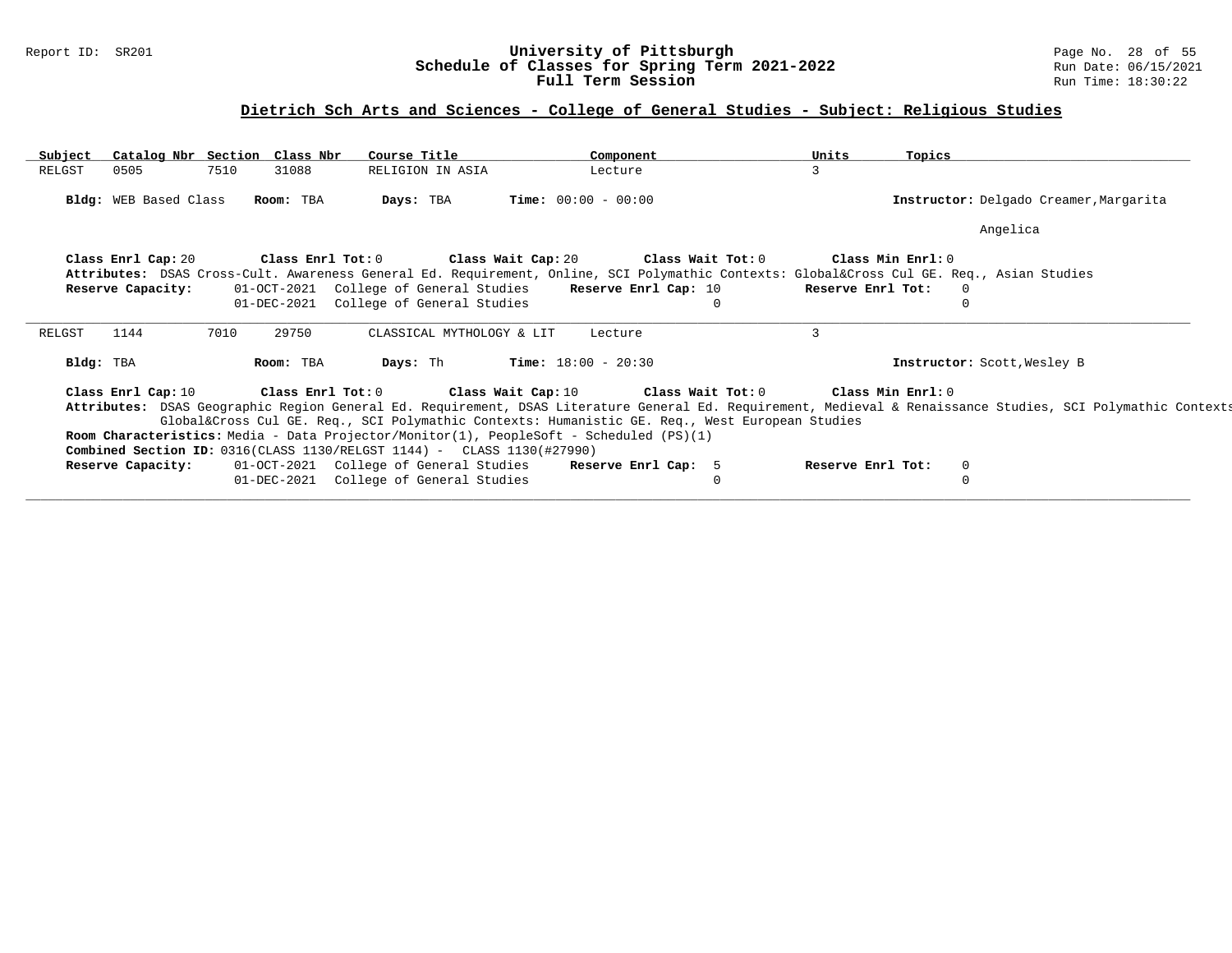### Report ID: SR201 **University of Pittsburgh** Page No. 28 of 55 **Schedule of Classes for Spring Term 2021-2022** Run Date: 06/15/2021 **Full Term Session Rundall Term Session Rundall Term Session**

# **Dietrich Sch Arts and Sciences - College of General Studies - Subject: Religious Studies**

| Subject   | Catalog Nbr Section Class Nbr |      |           | Course Title                                                                     | Component                                                                                                                            | Units    | Topics            |                                                                                                                                                              |  |
|-----------|-------------------------------|------|-----------|----------------------------------------------------------------------------------|--------------------------------------------------------------------------------------------------------------------------------------|----------|-------------------|--------------------------------------------------------------------------------------------------------------------------------------------------------------|--|
| RELGST    | 0505                          | 7510 | 31088     | RELIGION IN ASIA                                                                 | Lecture                                                                                                                              | 3        |                   |                                                                                                                                                              |  |
|           | Bldg: WEB Based Class         |      | Room: TBA | Days: TBA                                                                        | <b>Time:</b> $00:00 - 00:00$                                                                                                         |          |                   | Instructor: Delgado Creamer, Margarita                                                                                                                       |  |
|           |                               |      |           |                                                                                  |                                                                                                                                      |          |                   | Angelica                                                                                                                                                     |  |
|           | Class Enrl Cap: 20            |      |           |                                                                                  | Class Enrl Tot: $0$ Class Wait Cap: $20$ Class Wait Tot: $0$                                                                         |          | Class Min Enrl: 0 |                                                                                                                                                              |  |
|           |                               |      |           |                                                                                  | Attributes: DSAS Cross-Cult. Awareness General Ed. Requirement, Online, SCI Polymathic Contexts: Global⨯ Cul GE. Req., Asian Studies |          |                   |                                                                                                                                                              |  |
|           | Reserve Capacity:             |      |           |                                                                                  | 01-OCT-2021 College of General Studies Reserve Enrl Cap: 10                                                                          |          | Reserve Enrl Tot: | <u>ິດ</u>                                                                                                                                                    |  |
|           |                               |      |           | 01-DEC-2021 College of General Studies                                           |                                                                                                                                      | $\Omega$ |                   | $\Omega$                                                                                                                                                     |  |
|           |                               |      |           |                                                                                  |                                                                                                                                      |          |                   |                                                                                                                                                              |  |
|           |                               |      |           |                                                                                  |                                                                                                                                      |          |                   |                                                                                                                                                              |  |
|           | 1144                          | 7010 | 29750     | CLASSICAL MYTHOLOGY & LIT                                                        | Lecture                                                                                                                              | 3        |                   |                                                                                                                                                              |  |
| Bldg: TBA |                               |      | Room: TBA | Days: Th                                                                         | <b>Time:</b> $18:00 - 20:30$                                                                                                         |          |                   | Instructor: Scott, Wesley B                                                                                                                                  |  |
|           | Class Enrl Cap: 10            |      |           |                                                                                  | Class Enrl Tot: $0$ Class Wait Cap: $10$ Class Wait Tot: $0$ Class Min Enrl: $0$                                                     |          |                   |                                                                                                                                                              |  |
|           |                               |      |           |                                                                                  |                                                                                                                                      |          |                   | Attributes: DSAS Geographic Region General Ed. Requirement, DSAS Literature General Ed. Requirement, Medieval & Renaissance Studies, SCI Polymathic Contexts |  |
|           |                               |      |           |                                                                                  | Global⨯ Cul GE. Req., SCI Polymathic Contexts: Humanistic GE. Req., West European Studies                                            |          |                   |                                                                                                                                                              |  |
|           |                               |      |           |                                                                                  | Room Characteristics: Media - Data Projector/Monitor(1), PeopleSoft - Scheduled (PS)(1)                                              |          |                   |                                                                                                                                                              |  |
|           |                               |      |           | <b>Combined Section ID:</b> $0316$ (CLASS 1130/RELGST 1144) - CLASS 1130(#27990) |                                                                                                                                      |          |                   |                                                                                                                                                              |  |
| RELGST    | Reserve Capacity:             |      |           |                                                                                  | 01-OCT-2021 College of General Studies Reserve Enrl Cap: 5                                                                           |          | Reserve Enrl Tot: | $\Omega$                                                                                                                                                     |  |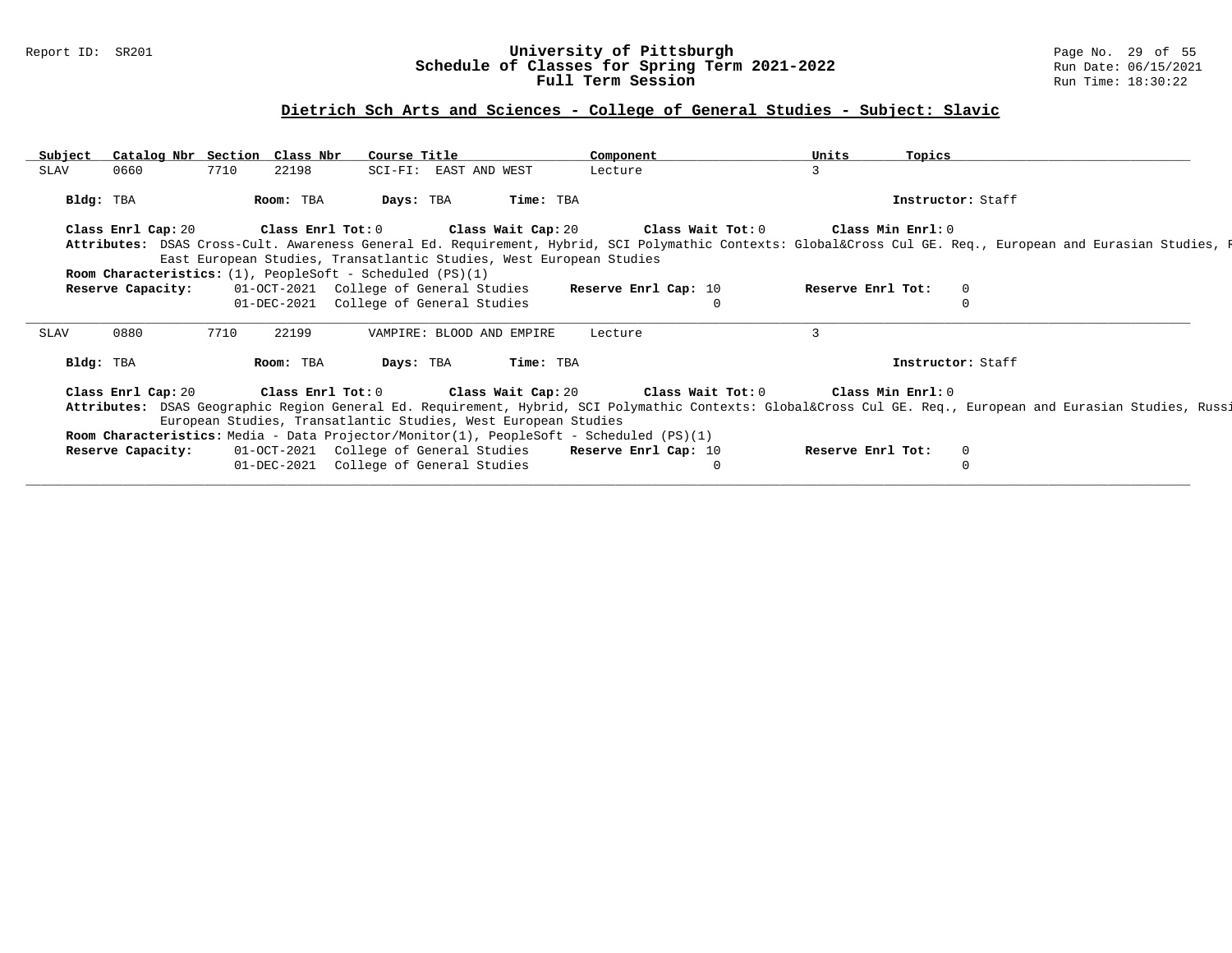### Report ID: SR201 **University of Pittsburgh** Page No. 29 of 55 **Schedule of Classes for Spring Term 2021-2022** Run Date: 06/15/2021 **Full Term Session Rundall Term Session Rundall Term Session**

# **Dietrich Sch Arts and Sciences - College of General Studies - Subject: Slavic**

| Subject   | Catalog Nbr Section Class Nbr |      |           | Course Title                                                          |                                                                | Component                                                                                           | Units                                                                                                                           | Topics            |                                                                                                                                                         |
|-----------|-------------------------------|------|-----------|-----------------------------------------------------------------------|----------------------------------------------------------------|-----------------------------------------------------------------------------------------------------|---------------------------------------------------------------------------------------------------------------------------------|-------------------|---------------------------------------------------------------------------------------------------------------------------------------------------------|
| SLAV      | 0660                          | 7710 | 22198     |                                                                       | SCI-FI: EAST AND WEST                                          | Lecture                                                                                             | 3                                                                                                                               |                   |                                                                                                                                                         |
| Bldg: TBA |                               |      | Room: TBA | Days: TBA                                                             |                                                                | Time: TBA                                                                                           |                                                                                                                                 | Instructor: Staff |                                                                                                                                                         |
|           |                               |      |           |                                                                       |                                                                |                                                                                                     | Class Enrl Cap: 20 $\qquad$ Class Enrl Tot: 0 $\qquad$ Class Wait Cap: 20 $\qquad$ Class Wait Tot: 0 $\qquad$ Class Min Enrl: 0 |                   |                                                                                                                                                         |
|           |                               |      |           |                                                                       |                                                                |                                                                                                     |                                                                                                                                 |                   | Attributes: DSAS Cross-Cult. Awareness General Ed. Requirement, Hybrid, SCI Polymathic Contexts: Global⨯ Cul GE. Req., European and Eurasian Studies, R |
|           |                               |      |           |                                                                       |                                                                | East European Studies, Transatlantic Studies, West European Studies                                 |                                                                                                                                 |                   |                                                                                                                                                         |
|           |                               |      |           | <b>Room Characteristics:</b> $(1)$ , PeopleSoft - Scheduled $(PS)(1)$ |                                                                |                                                                                                     |                                                                                                                                 |                   |                                                                                                                                                         |
|           | Reserve Capacity:             |      |           |                                                                       | 01-OCT-2021 College of General Studies                         | Reserve Enrl Cap: 10                                                                                | Reserve Enrl Tot:                                                                                                               | $\Omega$          |                                                                                                                                                         |
|           |                               |      |           |                                                                       | 01-DEC-2021 College of General Studies                         |                                                                                                     | $\Omega$                                                                                                                        |                   |                                                                                                                                                         |
| SLAV      | 0880                          | 7710 | 22199     |                                                                       | VAMPIRE: BLOOD AND EMPIRE                                      | Lecture                                                                                             | 3                                                                                                                               |                   |                                                                                                                                                         |
| Bldg: TBA |                               |      | Room: TBA | Days: TBA                                                             |                                                                | Time: TBA                                                                                           |                                                                                                                                 | Instructor: Staff |                                                                                                                                                         |
|           |                               |      |           |                                                                       |                                                                | Class Enrl Cap: 20 $\hbox{Class Enrl Tot:0}$ $\hbox{Class Wait Cap: 20}$ $\hbox{Class Wait Tot: 0}$ |                                                                                                                                 | Class Min Enrl: 0 |                                                                                                                                                         |
|           |                               |      |           |                                                                       | European Studies, Transatlantic Studies, West European Studies |                                                                                                     |                                                                                                                                 |                   | Attributes: DSAS Geographic Region General Ed. Requirement, Hybrid, SCI Polymathic Contexts: Global⨯ Cul GE. Req., European and Eurasian Studies, Russi |
|           |                               |      |           |                                                                       |                                                                | Room Characteristics: Media - Data Projector/Monitor(1), PeopleSoft - Scheduled (PS)(1)             |                                                                                                                                 |                   |                                                                                                                                                         |
|           | Reserve Capacity:             |      |           |                                                                       |                                                                | 01-OCT-2021 College of General Studies Reserve Enrl Cap: 10                                         | Reserve Enrl Tot:                                                                                                               | $\mathbf{0}$      |                                                                                                                                                         |
|           |                               |      |           |                                                                       |                                                                |                                                                                                     |                                                                                                                                 |                   |                                                                                                                                                         |
|           |                               |      |           |                                                                       | 01-DEC-2021 College of General Studies                         |                                                                                                     | 0                                                                                                                               | $\Omega$          |                                                                                                                                                         |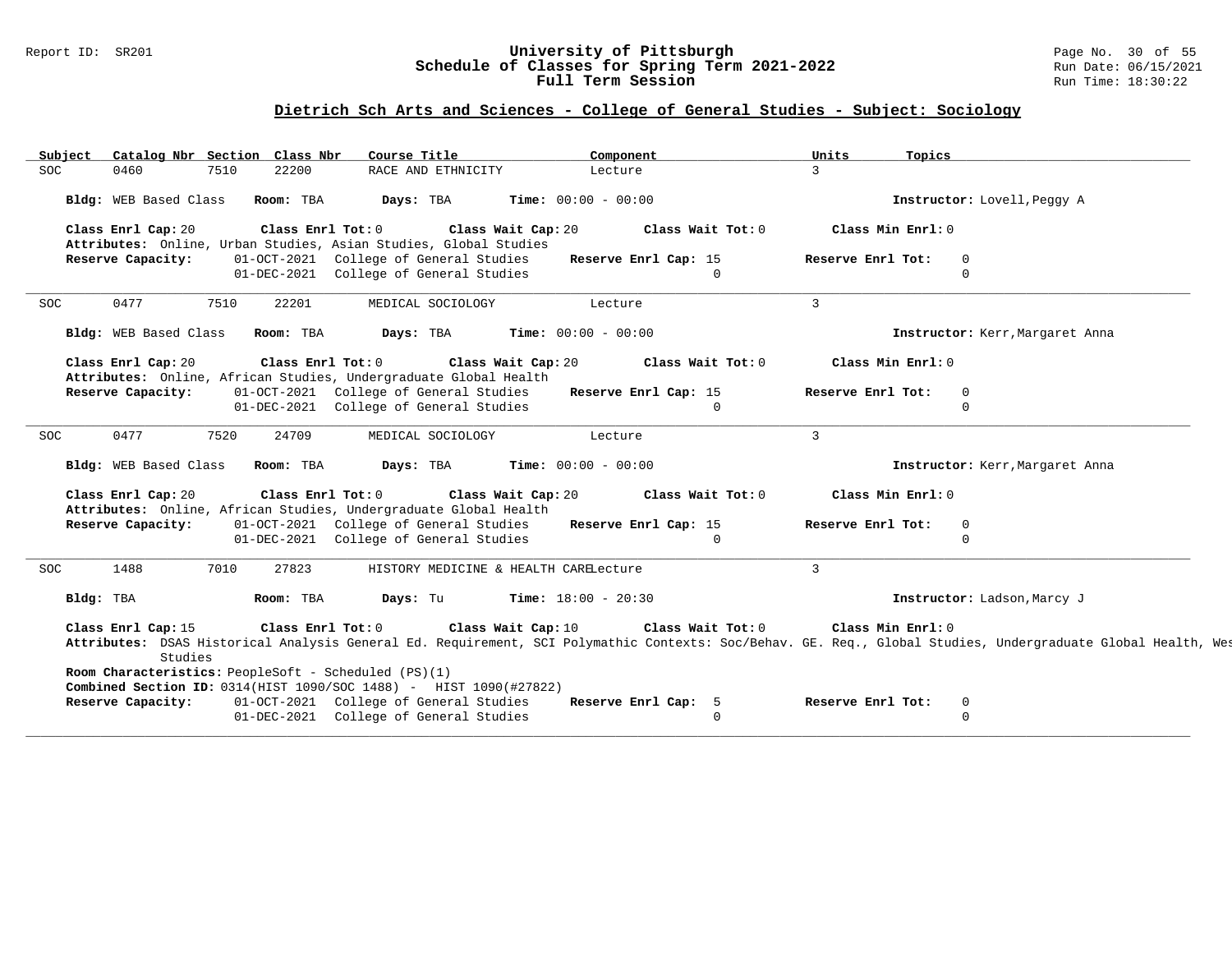### Report ID: SR201 **University of Pittsburgh** Page No. 30 of 55 **Schedule of Classes for Spring Term 2021-2022** Run Date: 06/15/2021 **Full Term Session Rundall Term Session Rundall Term Session**

# **Dietrich Sch Arts and Sciences - College of General Studies - Subject: Sociology**

| Subject               | Catalog Nbr Section Class Nbr |                   | Course Title                                                                                                              | Component                             |                                  | Units             | Topics                          |                                                                                                                                                              |
|-----------------------|-------------------------------|-------------------|---------------------------------------------------------------------------------------------------------------------------|---------------------------------------|----------------------------------|-------------------|---------------------------------|--------------------------------------------------------------------------------------------------------------------------------------------------------------|
| <b>SOC</b><br>0460    | 7510                          | 22200             | RACE AND ETHNICITY                                                                                                        | Lecture                               |                                  | $\overline{3}$    |                                 |                                                                                                                                                              |
| Bldg: WEB Based Class |                               | Room: TBA         | Days: TBA                                                                                                                 | Time: $00:00 - 00:00$                 |                                  |                   | Instructor: Lovell, Peggy A     |                                                                                                                                                              |
| Class Enrl Cap: 20    |                               | Class Enrl Tot: 0 | Attributes: Online, Urban Studies, Asian Studies, Global Studies                                                          | Class Wait Cap: 20                    | Class Wait Tot: 0                |                   | Class Min Enrl: 0               |                                                                                                                                                              |
| Reserve Capacity:     |                               |                   | 01-OCT-2021 College of General Studies<br>01-DEC-2021 College of General Studies                                          |                                       | Reserve Enrl Cap: 15<br>$\Omega$ | Reserve Enrl Tot: | $\Omega$<br>$\Omega$            |                                                                                                                                                              |
| 0477<br><b>SOC</b>    | 7510                          | 22201             | MEDICAL SOCIOLOGY                                                                                                         | Lecture                               |                                  | $\mathbf{3}$      |                                 |                                                                                                                                                              |
| Bldg: WEB Based Class |                               | Room: TBA         | Days: TBA                                                                                                                 | <b>Time:</b> $00:00 - 00:00$          |                                  |                   | Instructor: Kerr, Margaret Anna |                                                                                                                                                              |
| Class Enrl Cap: 20    |                               | Class Enrl Tot: 0 | Attributes: Online, African Studies, Undergraduate Global Health                                                          | Class Wait Cap: 20                    | Class Wait Tot: 0                |                   | Class Min Enrl: 0               |                                                                                                                                                              |
| Reserve Capacity:     |                               |                   | 01-OCT-2021 College of General Studies<br>01-DEC-2021 College of General Studies                                          |                                       | Reserve Enrl Cap: 15<br>$\Omega$ | Reserve Enrl Tot: | $\circ$<br>$\Omega$             |                                                                                                                                                              |
| 0477<br>SOC           | 7520                          | 24709             | MEDICAL SOCIOLOGY                                                                                                         | Lecture                               |                                  | $\mathbf{3}$      |                                 |                                                                                                                                                              |
| Bldg: WEB Based Class |                               | Room: TBA         | Days: TBA                                                                                                                 | <b>Time:</b> $00:00 - 00:00$          |                                  |                   | Instructor: Kerr, Margaret Anna |                                                                                                                                                              |
| Class Enrl Cap: 20    |                               | Class Enrl Tot: 0 | Attributes: Online, African Studies, Undergraduate Global Health                                                          | Class Wait Cap: 20                    | Class Wait Tot: 0                |                   | Class Min Enrl: 0               |                                                                                                                                                              |
| Reserve Capacity:     |                               |                   | 01-OCT-2021 College of General Studies<br>01-DEC-2021 College of General Studies                                          |                                       | Reserve Enrl Cap: 15<br>$\circ$  | Reserve Enrl Tot: | $\overline{0}$<br>$\Omega$      |                                                                                                                                                              |
| SOC<br>1488           | 7010                          | 27823             |                                                                                                                           | HISTORY MEDICINE & HEALTH CARELecture |                                  | $\mathbf{3}$      |                                 |                                                                                                                                                              |
| Bldg: TBA             |                               | Room: TBA         | Days: Tu                                                                                                                  | Time: $18:00 - 20:30$                 |                                  |                   | Instructor: Ladson, Marcy J     |                                                                                                                                                              |
| Class Enrl Cap: 15    |                               | Class Enrl Tot: 0 |                                                                                                                           | Class Wait Cap: 10                    | Class Wait Tot: 0                |                   | Class Min Enrl: 0               | Attributes: DSAS Historical Analysis General Ed. Requirement, SCI Polymathic Contexts: Soc/Behav. GE. Req., Global Studies, Undergraduate Global Health, Wes |
|                       | Studies                       |                   |                                                                                                                           |                                       |                                  |                   |                                 |                                                                                                                                                              |
|                       |                               |                   | Room Characteristics: PeopleSoft - Scheduled (PS)(1)<br>Combined Section ID: 0314(HIST 1090/SOC 1488) - HIST 1090(#27822) |                                       |                                  |                   |                                 |                                                                                                                                                              |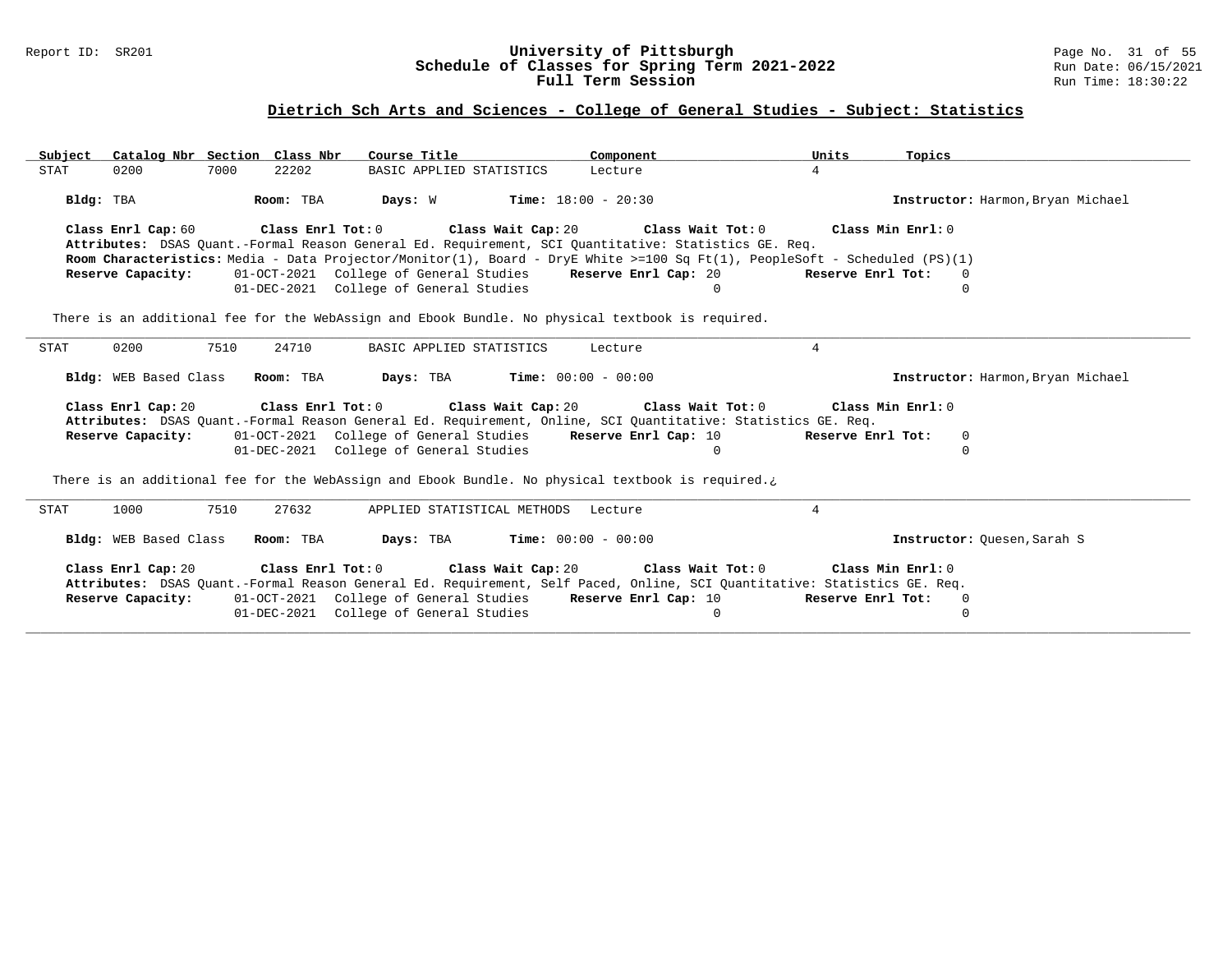### Report ID: SR201 **University of Pittsburgh** Page No. 31 of 55 **Schedule of Classes for Spring Term 2021-2022** Run Date: 06/15/2021 **Full Term Session Rundall Term Session Rundall Term Session**

### **Dietrich Sch Arts and Sciences - College of General Studies - Subject: Statistics**

| Catalog Nbr Section Class Nbr<br>Subject                                                                                                       | Course Title<br>Component                                                                                                                                                   | Units                                                                    | Topics                            |
|------------------------------------------------------------------------------------------------------------------------------------------------|-----------------------------------------------------------------------------------------------------------------------------------------------------------------------------|--------------------------------------------------------------------------|-----------------------------------|
| 0200<br>7000<br>22202<br>STAT                                                                                                                  | BASIC APPLIED STATISTICS<br>Lecture                                                                                                                                         | $\overline{4}$                                                           |                                   |
| Room: TBA<br>Bldg: TBA                                                                                                                         | <b>Days:</b> W <b>Time:</b> $18:00 - 20:30$                                                                                                                                 |                                                                          | Instructor: Harmon, Bryan Michael |
| Class Enrl Tot: 0<br>Class Enrl Cap: 60                                                                                                        | Class Wait Cap: 20 Class Wait Tot: 0                                                                                                                                        | Class Min Enrl: 0                                                        |                                   |
|                                                                                                                                                | Attributes: DSAS Quant.-Formal Reason General Ed. Requirement, SCI Quantitative: Statistics GE. Req.                                                                        |                                                                          |                                   |
|                                                                                                                                                | Room Characteristics: Media - Data Projector/Monitor(1), Board - DryE White >=100 Sq Ft(1), PeopleSoft - Scheduled (PS)(1)                                                  |                                                                          |                                   |
| Reserve Capacity:                                                                                                                              | 01-OCT-2021 College of General Studies Reserve Enrl Cap: 20                                                                                                                 | Reserve Enrl Tot:                                                        | $\Omega$                          |
|                                                                                                                                                | 01-DEC-2021 College of General Studies                                                                                                                                      | $\Omega$                                                                 | $\Omega$                          |
|                                                                                                                                                | There is an additional fee for the WebAssign and Ebook Bundle. No physical textbook is required.                                                                            |                                                                          |                                   |
| 0200<br>7510<br>24710<br><b>STAT</b>                                                                                                           | BASIC APPLIED STATISTICS<br>Lecture                                                                                                                                         | $\overline{4}$                                                           |                                   |
|                                                                                                                                                |                                                                                                                                                                             |                                                                          |                                   |
| <b>Bldg:</b> WEB Based Class<br>Room: TBA                                                                                                      | <b>Days:</b> TBA <b>Time:</b> $00:00 - 00:00$                                                                                                                               |                                                                          | Instructor: Harmon, Bryan Michael |
| Class Enrl Cap: 20<br>Class Enrl Tot: 0                                                                                                        |                                                                                                                                                                             | Class Wait Cap: 20 $\qquad$ Class Wait Tot: 0 $\qquad$ Class Min Enrl: 0 |                                   |
| Reserve Capacity:                                                                                                                              | Attributes: DSAS Quant.-Formal Reason General Ed. Requirement, Online, SCI Quantitative: Statistics GE. Req.<br>01-OCT-2021 College of General Studies Reserve Enrl Cap: 10 | Reserve Enrl Tot:                                                        | $\overline{0}$                    |
|                                                                                                                                                | 01-DEC-2021 College of General Studies                                                                                                                                      | $\Omega$                                                                 | $\Omega$                          |
|                                                                                                                                                |                                                                                                                                                                             |                                                                          |                                   |
|                                                                                                                                                | There is an additional fee for the WebAssign and Ebook Bundle. No physical textbook is required.                                                                            |                                                                          |                                   |
| 7510<br>27632<br>1000<br><b>STAT</b>                                                                                                           | APPLIED STATISTICAL METHODS<br>Lecture                                                                                                                                      | $\overline{4}$                                                           |                                   |
| Bldg: WEB Based Class<br>Room: TBA                                                                                                             | $\texttt{Davis:}$ TBA $\texttt{Time:}$ 00:00 - 00:00                                                                                                                        |                                                                          | Instructor: Quesen, Sarah S       |
| Class Enrl Cap: 20<br>Attributes: DSAS Quant.-Formal Reason General Ed. Requirement, Self Paced, Online, SCI Quantitative: Statistics GE. Req. | Class Enrl Tot: $0$ Class Wait Cap: $20$ Class Wait Tot: $0$                                                                                                                | Class Min Enrl: 0                                                        |                                   |
| Reserve Capacity:                                                                                                                              | 01-OCT-2021 College of General Studies<br>01-DEC-2021 College of General Studies                                                                                            | Reserve Enrl Cap: 10<br>Reserve Enrl Tot:<br>0                           | 0<br>$\Omega$                     |

**\_\_\_\_\_\_\_\_\_\_\_\_\_\_\_\_\_\_\_\_\_\_\_\_\_\_\_\_\_\_\_\_\_\_\_\_\_\_\_\_\_\_\_\_\_\_\_\_\_\_\_\_\_\_\_\_\_\_\_\_\_\_\_\_\_\_\_\_\_\_\_\_\_\_\_\_\_\_\_\_\_\_\_\_\_\_\_\_\_\_\_\_\_\_\_\_\_\_\_\_\_\_\_\_\_\_\_\_\_\_\_\_\_\_\_\_\_\_\_\_\_\_\_\_\_\_\_\_\_\_\_\_\_\_\_\_\_\_\_\_\_\_\_\_\_\_\_\_\_\_\_\_\_\_\_\_**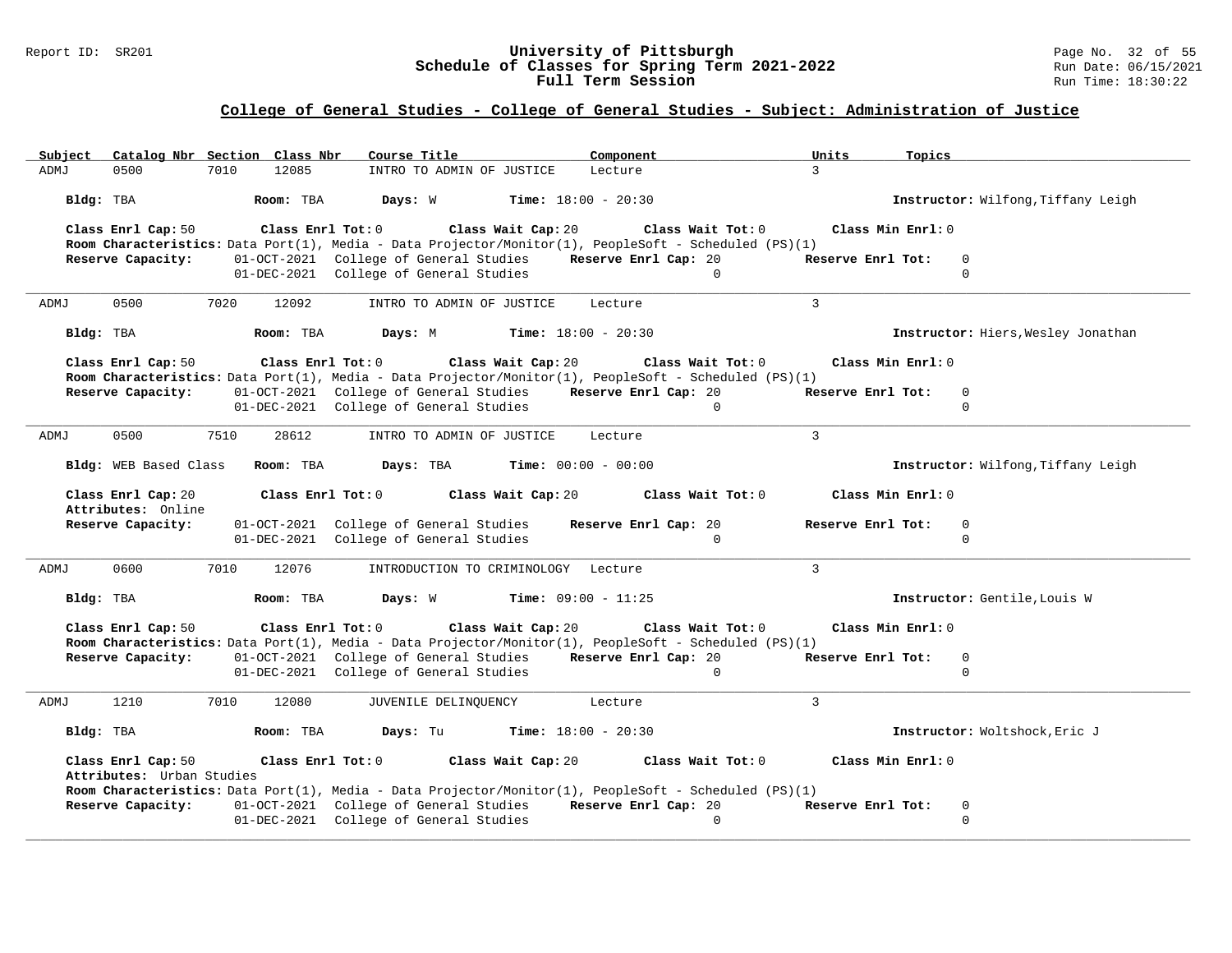#### Report ID: SR201 **University of Pittsburgh** Page No. 32 of 55 **Schedule of Classes for Spring Term 2021-2022** Run Date: 06/15/2021 **Full Term Session Rundall Term Session Rundall Term Session**

# **College of General Studies - College of General Studies - Subject: Administration of Justice**

| Catalog Nbr Section Class Nbr<br>Subject        | Course Title                                                | Component                                                                                             | Units<br>Topics                     |
|-------------------------------------------------|-------------------------------------------------------------|-------------------------------------------------------------------------------------------------------|-------------------------------------|
| 0500<br>7010<br>ADMJ                            | 12085<br>INTRO TO ADMIN OF JUSTICE                          | Lecture                                                                                               | $\mathcal{R}$                       |
| Bldg: TBA                                       | Room: TBA<br>Days: W                                        | <b>Time:</b> $18:00 - 20:30$                                                                          | Instructor: Wilfong, Tiffany Leigh  |
| Class Enrl Cap: 50                              | Class Enrl Tot: 0                                           | Class Wait Tot: 0<br>Class Wait Cap: 20                                                               | Class Min Enrl: 0                   |
|                                                 |                                                             | Room Characteristics: Data Port(1), Media - Data Projector/Monitor(1), PeopleSoft - Scheduled (PS)(1) |                                     |
| Reserve Capacity:                               | 01-OCT-2021 College of General Studies Reserve Enrl Cap: 20 |                                                                                                       | Reserve Enrl Tot:<br>$\overline{0}$ |
|                                                 | 01-DEC-2021 College of General Studies                      | $\overline{0}$                                                                                        | $\mathbf 0$                         |
| 0500<br>7020<br>ADMJ                            | 12092<br>INTRO TO ADMIN OF JUSTICE                          | Lecture                                                                                               | $\mathbf{3}$                        |
| Bldg: TBA                                       | Room: TBA<br>Days: M                                        | <b>Time:</b> $18:00 - 20:30$                                                                          | Instructor: Hiers, Wesley Jonathan  |
| Class Enrl Cap: 50                              | Class Enrl Tot: 0 Class Wait Cap: 20                        | Class Wait Tot: 0                                                                                     | Class Min Enrl: 0                   |
|                                                 |                                                             | Room Characteristics: Data Port(1), Media - Data Projector/Monitor(1), PeopleSoft - Scheduled (PS)(1) |                                     |
| Reserve Capacity:                               | 01-OCT-2021 College of General Studies Reserve Enrl Cap: 20 |                                                                                                       | Reserve Enrl Tot:<br>$\overline{0}$ |
|                                                 | 01-DEC-2021 College of General Studies                      | $\Omega$                                                                                              | $\mathbf{0}$                        |
| 0500<br>7510<br>ADMJ                            | 28612<br>INTRO TO ADMIN OF JUSTICE                          | Lecture                                                                                               | $\mathcal{E}$                       |
| Bldg: WEB Based Class                           | Room: TBA<br>Days: TBA                                      | Time: $00:00 - 00:00$                                                                                 | Instructor: Wilfong, Tiffany Leigh  |
| Class Enrl Cap: 20<br>Attributes: Online        | Class Enrl Tot: 0                                           | Class Wait Cap: 20<br>Class Wait Tot: 0                                                               | Class Min Enrl: 0                   |
| Reserve Capacity:                               | 01-OCT-2021 College of General Studies                      | Reserve Enrl Cap: 20                                                                                  | Reserve Enrl Tot:<br>$\overline{0}$ |
|                                                 | 01-DEC-2021 College of General Studies                      | $\mathbf{0}$                                                                                          | $\mathbf 0$                         |
| 0600<br>7010<br>ADMJ                            | 12076                                                       | INTRODUCTION TO CRIMINOLOGY Lecture                                                                   | $\mathcal{E}$                       |
| Bldg: TBA                                       | Room: TBA<br>Days: W                                        | <b>Time:</b> $09:00 - 11:25$                                                                          | Instructor: Gentile, Louis W        |
| Class Enrl Cap: 50                              | Class Enrl Tot: 0 Class Wait Cap: 20                        | Class Wait Tot: 0                                                                                     | Class Min Enrl: 0                   |
| Reserve Capacity:                               | 01-OCT-2021 College of General Studies Reserve Enrl Cap: 20 | Room Characteristics: Data Port(1), Media - Data Projector/Monitor(1), PeopleSoft - Scheduled (PS)(1) | Reserve Enrl Tot:<br>0              |
|                                                 | 01-DEC-2021 College of General Studies                      | $\Omega$                                                                                              | $\mathbf{0}$                        |
|                                                 |                                                             |                                                                                                       |                                     |
| 1210<br>ADMJ<br>7010                            | 12080<br>JUVENILE DELINQUENCY                               | Lecture                                                                                               | 3                                   |
| Bldg: TBA                                       | Room: TBA<br>Days: Tu                                       | <b>Time:</b> $18:00 - 20:30$                                                                          | Instructor: Woltshock, Eric J       |
| Class Enrl Cap: 50<br>Attributes: Urban Studies | $Class$ $Enr1$ $Tot: 0$                                     | Class Wait Cap: 20<br>Class Wait Tot: 0                                                               | Class Min Enrl: 0                   |
|                                                 |                                                             | Room Characteristics: Data Port(1), Media - Data Projector/Monitor(1), PeopleSoft - Scheduled (PS)(1) |                                     |
| Reserve Capacity:                               | 01-OCT-2021 College of General Studies                      | Reserve Enrl Cap: 20                                                                                  | Reserve Enrl Tot:<br>0              |
|                                                 | 01-DEC-2021 College of General Studies                      | $\Omega$                                                                                              | $\mathbf 0$                         |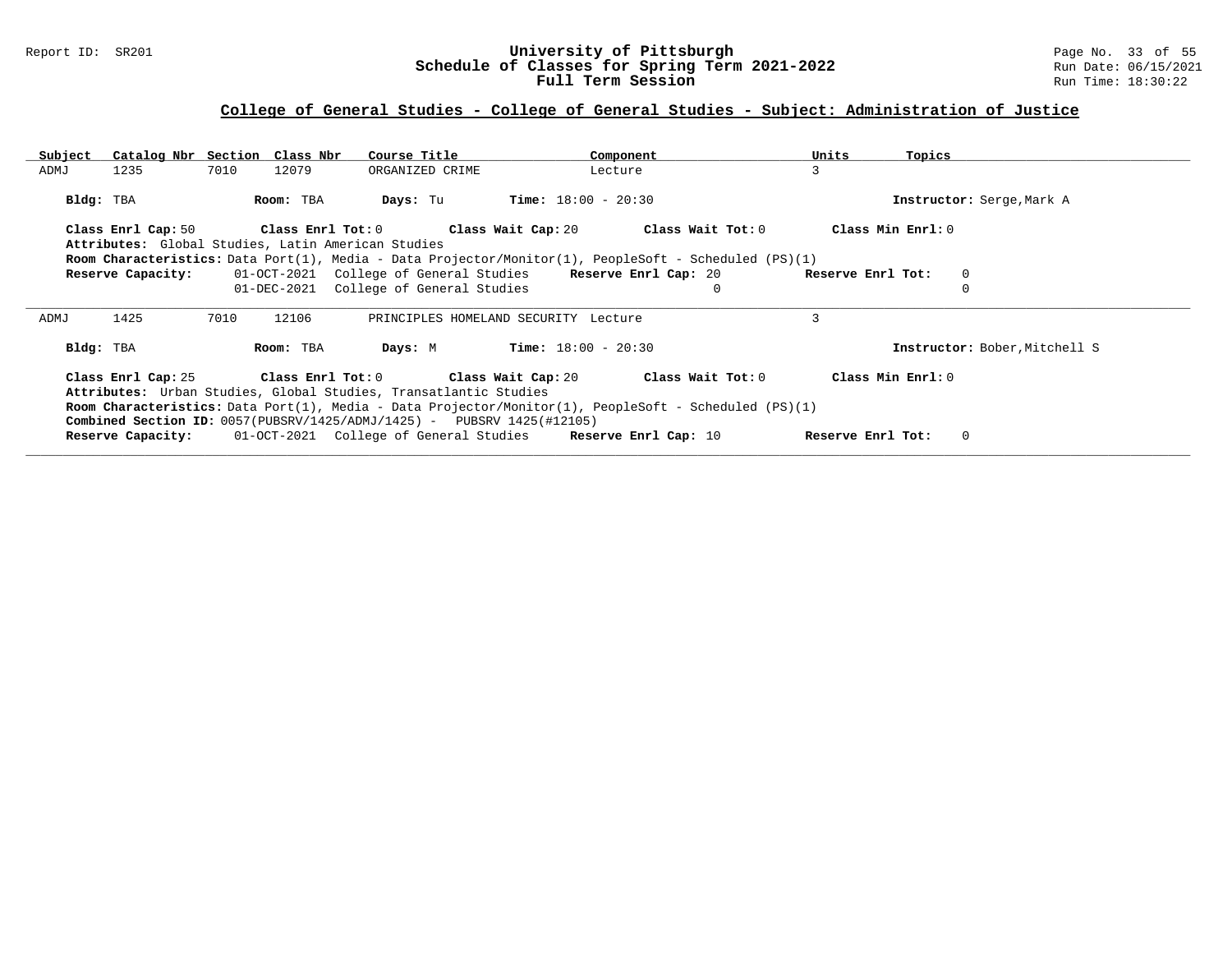### Report ID: SR201 **University of Pittsburgh** Page No. 33 of 55 **Schedule of Classes for Spring Term 2021-2022** Run Date: 06/15/2021 **Full Term Session Rundall Term Session Rundall Term Session**

# **College of General Studies - College of General Studies - Subject: Administration of Justice**

| Subiect   | Catalog Nbr Section Class Nbr |      |           | Course Title                                                                                                                                        |                       | Component                                                                                                                                                                                 | Units             | Topics                        |
|-----------|-------------------------------|------|-----------|-----------------------------------------------------------------------------------------------------------------------------------------------------|-----------------------|-------------------------------------------------------------------------------------------------------------------------------------------------------------------------------------------|-------------------|-------------------------------|
| ADMJ      | 1235                          | 7010 | 12079     | ORGANIZED CRIME                                                                                                                                     |                       | Lecture                                                                                                                                                                                   | 3                 |                               |
| Bldg: TBA |                               |      | Room: TBA | Days: Tu                                                                                                                                            | $Time: 18:00 - 20:30$ |                                                                                                                                                                                           |                   | Instructor: Serge, Mark A     |
|           |                               |      |           |                                                                                                                                                     |                       | Class Enrl Cap: 50 $\qquad$ Class Enrl Tot: 0 $\qquad$ Class Wait Cap: 20 $\qquad$ Class Wait Tot: 0                                                                                      |                   | Class Min Enrl: 0             |
|           |                               |      |           | Attributes: Global Studies, Latin American Studies                                                                                                  |                       |                                                                                                                                                                                           |                   |                               |
|           |                               |      |           |                                                                                                                                                     |                       | <b>Room Characteristics:</b> Data Port(1), Media - Data Projector/Monitor(1), PeopleSoft - Scheduled (PS)(1)                                                                              |                   |                               |
|           | Reserve Capacity:             |      |           | 01-OCT-2021 College of General Studies Reserve Enrl Cap: 20                                                                                         |                       |                                                                                                                                                                                           | Reserve Enrl Tot: | $\mathbf 0$                   |
|           |                               |      |           | 01-DEC-2021 College of General Studies                                                                                                              |                       | $\mathbf 0$                                                                                                                                                                               |                   |                               |
| ADMJ      | 1425                          | 7010 | 12106     | PRINCIPLES HOMELAND SECURITY Lecture                                                                                                                |                       |                                                                                                                                                                                           | 3                 |                               |
| Bldg: TBA |                               |      | Room: TBA | Days: M                                                                                                                                             | $Time: 18:00 - 20:30$ |                                                                                                                                                                                           |                   | Instructor: Bober, Mitchell S |
|           |                               |      |           | Attributes: Urban Studies, Global Studies, Transatlantic Studies<br><b>Combined Section ID:</b> $0057(PUBSRV/1425/ADMJ/1425) - PUBSRV 1425(#12105)$ |                       | Class Enrl Cap: 25 Class Enrl Tot: 0 Class Wait Cap: 20 Class Wait Tot: 0<br><b>Room Characteristics:</b> Data Port(1), Media - Data Projector/Monitor(1), PeopleSoft - Scheduled (PS)(1) |                   | Class Min Enrl: 0             |
|           |                               |      |           | <b>Reserve Capacity:</b> 01-OCT-2021 College of General Studies Reserve Enrl Cap: 10                                                                |                       |                                                                                                                                                                                           | Reserve Enrl Tot: | $\circ$                       |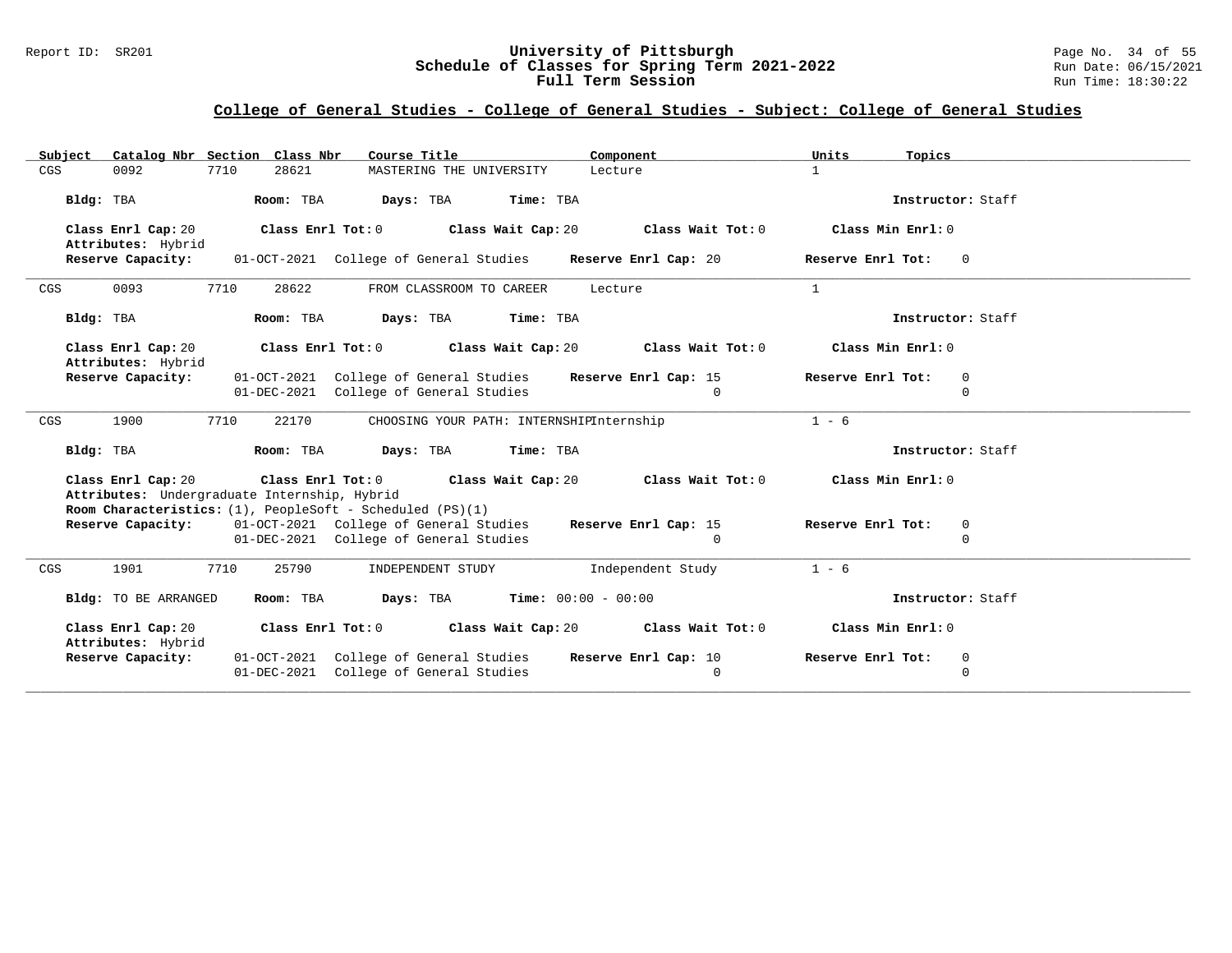### Report ID: SR201 **University of Pittsburgh** Page No. 34 of 55 **Schedule of Classes for Spring Term 2021-2022** Run Date: 06/15/2021 **Full Term Session Rundall Term Session Rundall Term Session**

# **College of General Studies - College of General Studies - Subject: College of General Studies**

| Catalog Nbr Section Class Nbr<br>Subject                                       | Course Title<br>Component                                      | Units<br>Topics                     |
|--------------------------------------------------------------------------------|----------------------------------------------------------------|-------------------------------------|
| 0092<br>7710<br>28621<br>CGS                                                   | MASTERING THE UNIVERSITY<br>Lecture                            | $\mathbf{1}$                        |
| Bldg: TBA<br>Room: TBA                                                         | Days: TBA<br>Time: TBA                                         | Instructor: Staff                   |
|                                                                                |                                                                |                                     |
| Class Enrl Tot: 0<br>Class Enrl Cap: 20<br>Attributes: Hybrid                  | Class Wait Tot: 0<br>Class Wait Cap: 20                        | Class Min Enrl: 0                   |
| Reserve Capacity:                                                              | 01-OCT-2021 College of General Studies<br>Reserve Enrl Cap: 20 | Reserve Enrl Tot:<br>$\overline{0}$ |
| 7710<br>0093<br>28622<br>CGS                                                   | FROM CLASSROOM TO CAREER<br>Lecture                            | $\mathbf{1}$                        |
| Bldg: TBA<br>Room: TBA                                                         | Days: TBA<br>Time: TBA                                         | Instructor: Staff                   |
| Class Enrl Cap: 20<br>Attributes: Hybrid                                       | Class Enrl Tot: 0 Class Wait Cap: 20<br>Class Wait Tot: 0      | Class Min Enrl: 0                   |
| Reserve Capacity:                                                              | 01-OCT-2021 College of General Studies<br>Reserve Enrl Cap: 15 | Reserve Enrl Tot:<br>$\overline{0}$ |
|                                                                                | 01-DEC-2021 College of General Studies<br>$\Omega$             | $\mathbf 0$                         |
| 1900<br>7710<br>22170<br>CGS                                                   | CHOOSING YOUR PATH: INTERNSHIPInternship                       | $1 - 6$                             |
| Bldg: TBA<br>Room: TBA                                                         | Days: TBA<br>Time: TBA                                         | Instructor: Staff                   |
| Class Enrl Cap: 20                                                             | Class Enrl Tot: 0 Class Wait Cap: 20<br>Class Wait Tot: 0      | Class Min Enrl: 0                   |
| Attributes: Undergraduate Internship, Hybrid                                   |                                                                |                                     |
| Room Characteristics: (1), PeopleSoft - Scheduled (PS)(1)<br>Reserve Capacity: | 01-OCT-2021 College of General Studies<br>Reserve Enrl Cap: 15 | Reserve Enrl Tot:<br>$\overline{0}$ |
|                                                                                | 01-DEC-2021 College of General Studies<br>$\mathbf{0}$         | $\mathbf 0$                         |
| CGS<br>1901<br>7710<br>25790                                                   | INDEPENDENT STUDY<br>Independent Study                         | $1 - 6$                             |
| Bldg: TO BE ARRANGED<br>Room: TBA                                              | <b>Days:</b> TBA <b>Time:</b> $00:00 - 00:00$                  | Instructor: Staff                   |
| Class Enrl Cap: 20<br>Attributes: Hybrid                                       | Class Enrl Tot: 0 Class Wait Cap: 20 Class Wait Tot: 0         | Class Min Enrl: 0                   |
| Reserve Capacity:                                                              | 01-OCT-2021 College of General Studies<br>Reserve Enrl Cap: 10 | Reserve Enrl Tot:<br>$\overline{0}$ |
|                                                                                | 01-DEC-2021 College of General Studies<br>0                    | $\mathbf 0$                         |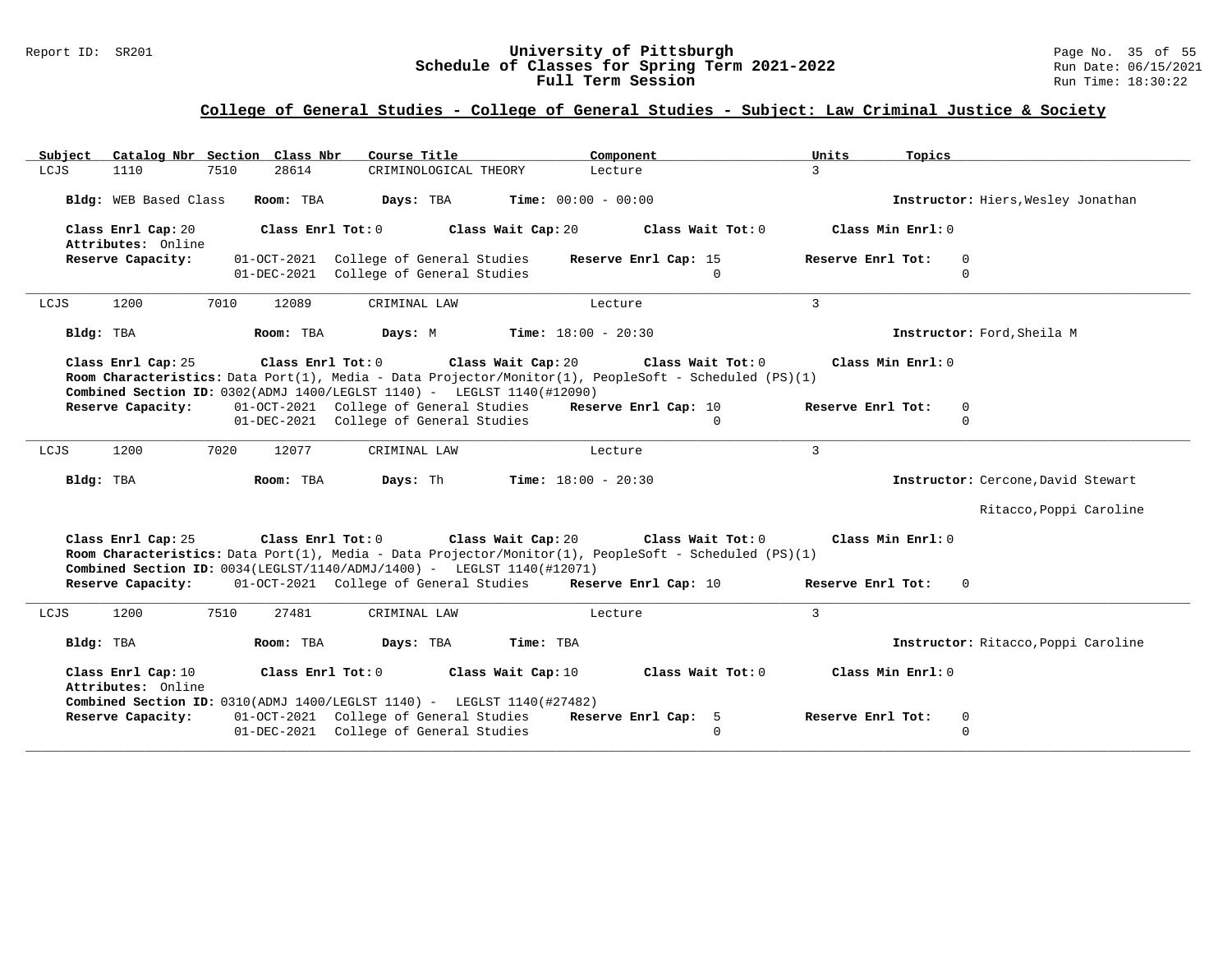### Report ID: SR201 **University of Pittsburgh** Page No. 35 of 55 **Schedule of Classes for Spring Term 2021-2022** Run Date: 06/15/2021 **Full Term Session Rundall Term Session Rundall Term Session**

| Catalog Nbr Section Class Nbr<br>Course Title<br>Subject<br>Component                                                                                                                                                                                                 | Units<br>Topics                     |
|-----------------------------------------------------------------------------------------------------------------------------------------------------------------------------------------------------------------------------------------------------------------------|-------------------------------------|
| LCJS<br>7510<br>28614<br>CRIMINOLOGICAL THEORY<br>1110<br>Lecture                                                                                                                                                                                                     | $\overline{3}$                      |
| Bldg: WEB Based Class<br>Room: TBA<br>Days: TBA<br><b>Time:</b> $00:00 - 00:00$                                                                                                                                                                                       | Instructor: Hiers, Wesley Jonathan  |
| Class Enrl Cap: 20<br>Class Enrl Tot: 0<br>Class Wait Cap: 20<br>Class Wait Tot: 0<br>Attributes: Online                                                                                                                                                              | Class Min Enrl: 0                   |
| Reserve Capacity:<br>01-OCT-2021 College of General Studies<br>Reserve Enrl Cap: 15                                                                                                                                                                                   | Reserve Enrl Tot:<br>$\mathbf 0$    |
| 01-DEC-2021 College of General Studies<br>$\Omega$                                                                                                                                                                                                                    | $\mathbf 0$                         |
| 1200<br>7010<br>12089<br>LCJS<br>CRIMINAL LAW<br>Lecture                                                                                                                                                                                                              | 3                                   |
| Bldg: TBA<br>Room: TBA<br>Days: M<br><b>Time:</b> $18:00 - 20:30$                                                                                                                                                                                                     | Instructor: Ford, Sheila M          |
| Class Wait Tot: 0<br>Class Enrl Cap: 25<br>Class Enrl Tot: 0<br>Class Wait Cap: 20<br>Room Characteristics: Data Port(1), Media - Data Projector/Monitor(1), PeopleSoft - Scheduled (PS)(1)<br>Combined Section ID: 0302(ADMJ 1400/LEGLST 1140) - LEGLST 1140(#12090) | Class Min Enrl: 0                   |
| 01-OCT-2021 College of General Studies<br>Reserve Capacity:<br>Reserve Enrl Cap: 10                                                                                                                                                                                   | Reserve Enrl Tot:<br>$\mathbf 0$    |
| 01-DEC-2021 College of General Studies<br>$\Omega$                                                                                                                                                                                                                    | $\Omega$                            |
| 1200<br>7020<br>LCJS<br>12077<br>CRIMINAL LAW<br>Lecture                                                                                                                                                                                                              | $\mathbf{3}$                        |
| Bldg: TBA<br>Room: TBA<br>Days: Th<br><b>Time:</b> $18:00 - 20:30$                                                                                                                                                                                                    | Instructor: Cercone, David Stewart  |
|                                                                                                                                                                                                                                                                       | Ritacco, Poppi Caroline             |
| Class Enrl Cap: 25<br>Class Enrl Tot: 0<br>Class Wait Cap: 20<br>Class Wait Tot: 0                                                                                                                                                                                    | Class Min Enrl: 0                   |
| Room Characteristics: Data Port(1), Media - Data Projector/Monitor(1), PeopleSoft - Scheduled (PS)(1)<br>Combined Section ID: 0034(LEGLST/1140/ADMJ/1400) - LEGLST 1140(#12071)                                                                                       |                                     |
| 01-OCT-2021 College of General Studies Reserve Enrl Cap: 10<br>Reserve Capacity:                                                                                                                                                                                      | Reserve Enrl Tot:<br>$\Omega$       |
| LCJS<br>1200<br>7510<br>27481<br>CRIMINAL LAW<br>Lecture                                                                                                                                                                                                              | $\mathbf{3}$                        |
| Bldg: TBA<br>Room: TBA<br>Days: TBA<br>Time: TBA                                                                                                                                                                                                                      | Instructor: Ritacco, Poppi Caroline |
| Class Enrl Cap: 10<br>Class Enrl Tot: 0<br>Class Wait Cap: 10<br>Class Wait Tot: 0<br>Attributes: Online<br>Combined Section ID: 0310(ADMJ 1400/LEGLST 1140) - LEGLST 1140(#27482)                                                                                    | Class Min Enrl: 0                   |
| 01-OCT-2021 College of General Studies<br>Reserve Capacity:<br>Reserve Enrl Cap: 5                                                                                                                                                                                    | Reserve Enrl Tot:<br>0              |
| 01-DEC-2021 College of General Studies<br>$\Omega$                                                                                                                                                                                                                    | $\mathbf 0$                         |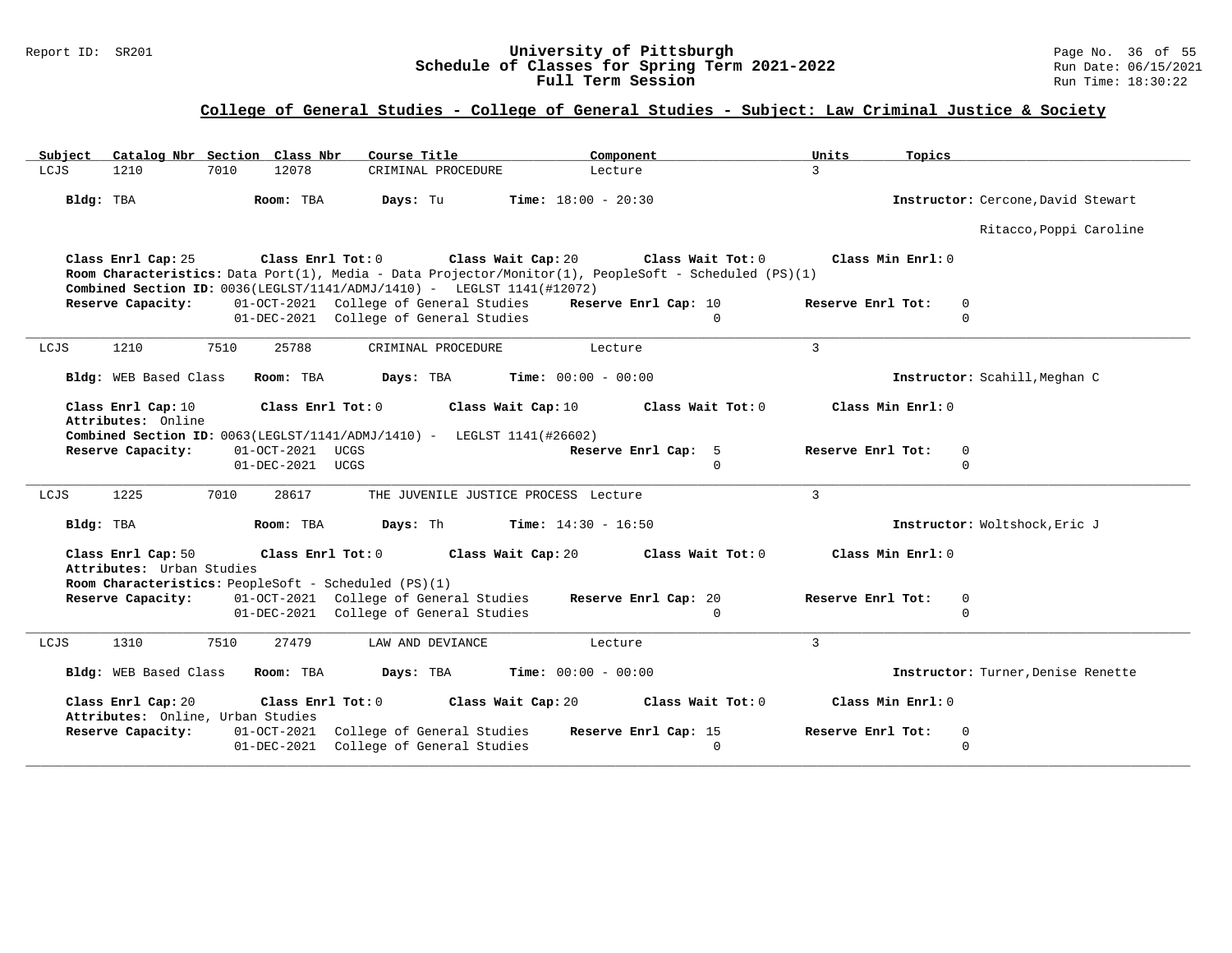### Report ID: SR201 **University of Pittsburgh** Page No. 36 of 55 **Schedule of Classes for Spring Term 2021-2022** Run Date: 06/15/2021 **Full Term Session Rundall Term Session Rundall Term Session**

| Catalog Nbr Section Class Nbr<br>Subject                | Course Title                                                                                                      | Component                                                                                                                  | Units<br>Topics                    |  |
|---------------------------------------------------------|-------------------------------------------------------------------------------------------------------------------|----------------------------------------------------------------------------------------------------------------------------|------------------------------------|--|
| 7010<br>LCJS<br>1210                                    | 12078<br>CRIMINAL PROCEDURE                                                                                       | Lecture                                                                                                                    | $\mathcal{L}$                      |  |
| Bldg: TBA                                               | Room: TBA<br>Days: Tu                                                                                             | <b>Time:</b> $18:00 - 20:30$                                                                                               | Instructor: Cercone, David Stewart |  |
|                                                         |                                                                                                                   |                                                                                                                            | Ritacco, Poppi Caroline            |  |
| Class Enrl Cap: 25                                      | Class Enrl Tot: 0<br>Class Wait Cap: 20<br>Combined Section ID: 0036(LEGLST/1141/ADMJ/1410) - LEGLST 1141(#12072) | Class Wait Tot: 0<br>Room Characteristics: Data Port(1), Media - Data Projector/Monitor(1), PeopleSoft - Scheduled (PS)(1) | Class Min Enrl: 0                  |  |
| Reserve Capacity:                                       | 01-OCT-2021 College of General Studies                                                                            | Reserve Enrl Cap: 10                                                                                                       | Reserve Enrl Tot:<br>$\mathbf 0$   |  |
|                                                         | 01-DEC-2021 College of General Studies                                                                            | $\Omega$                                                                                                                   | $\Omega$                           |  |
| 1210<br>7510<br>LCJS                                    | 25788<br>CRIMINAL PROCEDURE                                                                                       | Lecture                                                                                                                    | $\overline{3}$                     |  |
| Bldg: WEB Based Class                                   | Room: TBA<br>Days: TBA                                                                                            | <b>Time:</b> $00:00 - 00:00$                                                                                               | Instructor: Scahill, Meghan C      |  |
| Class Enrl Cap: 10<br>Attributes: Online                | Class Enrl Tot: 0                                                                                                 | Class Wait Tot: 0<br>Class Wait Cap: 10                                                                                    | Class Min Enrl: 0                  |  |
| Reserve Capacity:                                       | Combined Section ID: 0063(LEGLST/1141/ADMJ/1410) - LEGLST 1141(#26602)<br>01-OCT-2021 UCGS                        | Reserve Enrl Cap: 5                                                                                                        | Reserve Enrl Tot:<br>$\mathbf 0$   |  |
|                                                         | 01-DEC-2021 UCGS                                                                                                  | $\Omega$                                                                                                                   | $\Omega$                           |  |
| 1225<br>7010<br>LCJS                                    | 28617                                                                                                             | THE JUVENILE JUSTICE PROCESS Lecture                                                                                       | $\mathbf{3}$                       |  |
| Bldg: TBA                                               | Room: TBA<br>Days: Th                                                                                             | <b>Time:</b> $14:30 - 16:50$                                                                                               | Instructor: Woltshock, Eric J      |  |
| Class Enrl Cap: 50<br>Attributes: Urban Studies         | Class Enrl Tot: 0<br>Room Characteristics: PeopleSoft - Scheduled (PS)(1)                                         | Class Wait Cap: 20<br>Class Wait Tot: 0                                                                                    | Class Min $Enr1: 0$                |  |
| Reserve Capacity:                                       | 01-OCT-2021 College of General Studies                                                                            | Reserve Enrl Cap: 20                                                                                                       | Reserve Enrl Tot:<br>$\mathbf 0$   |  |
|                                                         | 01-DEC-2021 College of General Studies                                                                            | $\Omega$                                                                                                                   | $\Omega$                           |  |
| LCJS<br>1310<br>7510                                    | 27479<br>LAW AND DEVIANCE                                                                                         | Lecture                                                                                                                    | 3                                  |  |
| Bldg: WEB Based Class                                   | Room: TBA<br>Days: TBA                                                                                            | <b>Time:</b> $00:00 - 00:00$                                                                                               | Instructor: Turner, Denise Renette |  |
| Class Enrl Cap: 20<br>Attributes: Online, Urban Studies | Class Enrl Tot: 0                                                                                                 | Class Wait Tot: 0<br>Class Wait Cap: 20                                                                                    | Class Min Enrl: 0                  |  |
| Reserve Capacity:                                       | 01-OCT-2021 College of General Studies                                                                            | Reserve Enrl Cap: 15                                                                                                       | Reserve Enrl Tot:<br>$\Omega$      |  |
|                                                         | 01-DEC-2021 College of General Studies                                                                            | $\mathbf 0$                                                                                                                | $\Omega$                           |  |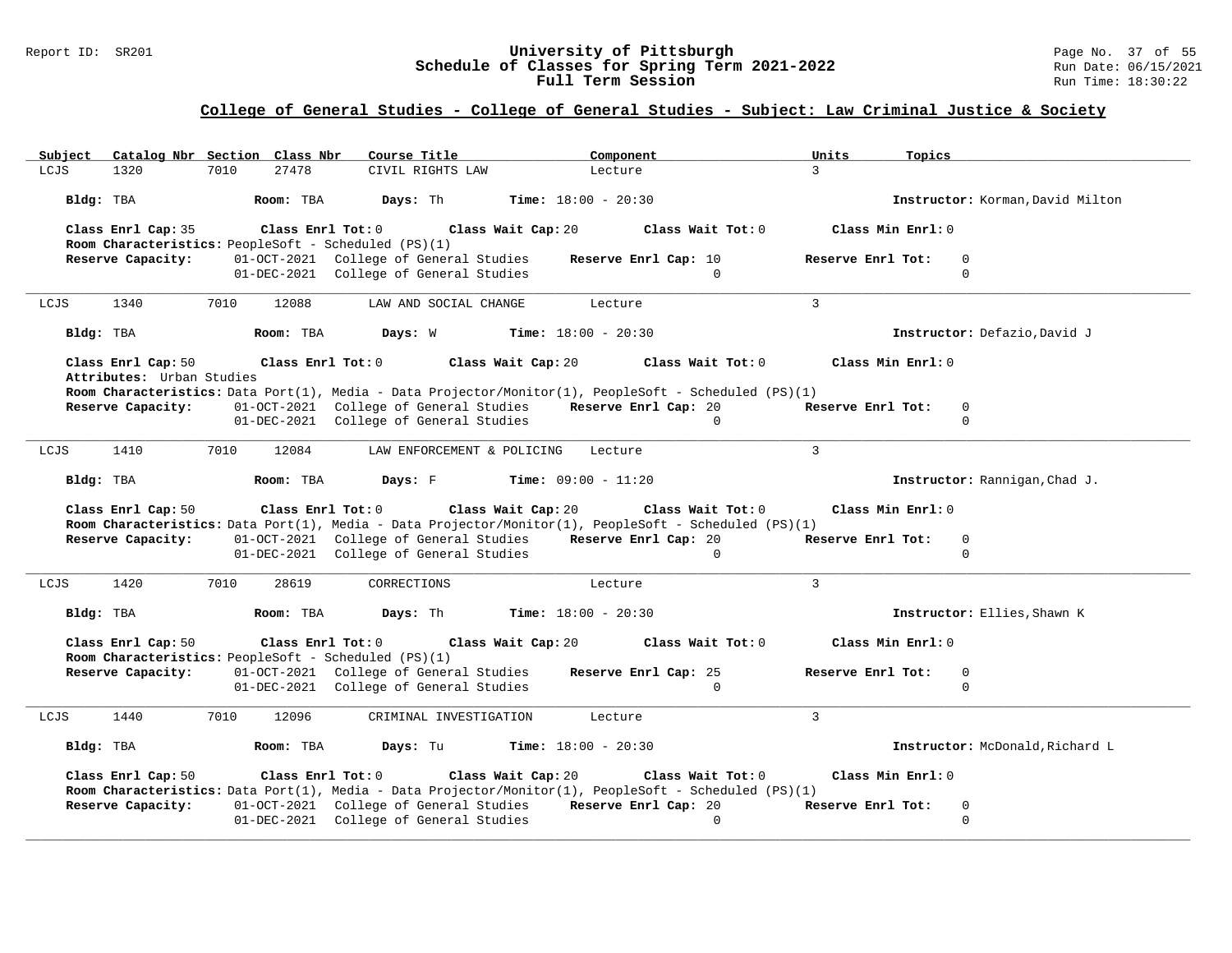### Report ID: SR201 **University of Pittsburgh** Page No. 37 of 55 **Schedule of Classes for Spring Term 2021-2022** Run Date: 06/15/2021 **Full Term Session Rundall Term Session Rundall Term Session**

| Subject            | Catalog Nbr Section Class Nbr                        |                   | Course Title                           | Component                                                                                                                     | Units<br>Topics   |                                  |
|--------------------|------------------------------------------------------|-------------------|----------------------------------------|-------------------------------------------------------------------------------------------------------------------------------|-------------------|----------------------------------|
| 1320<br>LCJS       | 7010                                                 | 27478             | CIVIL RIGHTS LAW                       | Lecture                                                                                                                       | $\mathcal{L}$     |                                  |
| Bldg: TBA          |                                                      | Room: TBA         | Davs: Th                               | <b>Time:</b> $18:00 - 20:30$                                                                                                  |                   | Instructor: Korman, David Milton |
| Class Enrl Cap: 35 | Room Characteristics: PeopleSoft - Scheduled (PS)(1) | Class Enrl Tot: 0 | Class Wait Cap: 20                     | Class Wait Tot: 0                                                                                                             | Class Min Enrl: 0 |                                  |
| Reserve Capacity:  |                                                      |                   | 01-OCT-2021 College of General Studies | Reserve Enrl Cap: 10                                                                                                          | Reserve Enrl Tot: | $\overline{0}$                   |
|                    |                                                      |                   | 01-DEC-2021 College of General Studies | $\Omega$                                                                                                                      |                   | $\Omega$                         |
| LCJS<br>1340       | 7010                                                 | 12088             | LAW AND SOCIAL CHANGE                  | Lecture                                                                                                                       | $\mathcal{L}$     |                                  |
| Bldg: TBA          |                                                      | Room: TBA         | Days: W                                | <b>Time:</b> $18:00 - 20:30$                                                                                                  |                   | Instructor: Defazio, David J     |
| Class Enrl Cap: 50 | Attributes: Urban Studies                            | Class Enrl Tot: 0 | Class Wait Cap: 20                     | Class Wait Tot: 0                                                                                                             | Class Min Enrl: 0 |                                  |
|                    |                                                      |                   |                                        | Room Characteristics: Data Port(1), Media - Data Projector/Monitor(1), PeopleSoft - Scheduled (PS)(1)                         |                   |                                  |
| Reserve Capacity:  |                                                      |                   | 01-OCT-2021 College of General Studies | Reserve Enrl Cap: 20                                                                                                          | Reserve Enrl Tot: | $\mathbf 0$                      |
|                    |                                                      |                   | 01-DEC-2021 College of General Studies | $\Omega$                                                                                                                      |                   | $\Omega$                         |
| LCJS<br>1410       | 7010                                                 | 12084             | LAW ENFORCEMENT & POLICING             | Lecture                                                                                                                       | $\mathcal{L}$     |                                  |
| Bldg: TBA          |                                                      | Room: TBA         | Days: F                                | <b>Time:</b> $09:00 - 11:20$                                                                                                  |                   | Instructor: Rannigan, Chad J.    |
| Class Enrl Cap: 50 |                                                      | Class Enrl Tot: 0 | Class Wait Cap: 20                     | Class Wait Tot: 0                                                                                                             | Class Min Enrl: 0 |                                  |
| Reserve Capacity:  |                                                      |                   | 01-OCT-2021 College of General Studies | Room Characteristics: Data Port(1), Media - Data Projector/Monitor(1), PeopleSoft - Scheduled (PS)(1)<br>Reserve Enrl Cap: 20 | Reserve Enrl Tot: | $\overline{0}$                   |
|                    |                                                      |                   | 01-DEC-2021 College of General Studies | $\Omega$                                                                                                                      |                   | $\Omega$                         |
|                    |                                                      |                   |                                        |                                                                                                                               |                   |                                  |
| 1420<br>LCJS       | 7010                                                 | 28619             | CORRECTIONS                            | Lecture                                                                                                                       | $\mathbf{3}$      |                                  |
| Bldg: TBA          |                                                      | Room: TBA         | Days: Th                               | <b>Time:</b> $18:00 - 20:30$                                                                                                  |                   | Instructor: Ellies, Shawn K      |
| Class Enrl Cap: 50 | Room Characteristics: PeopleSoft - Scheduled (PS)(1) | Class Enrl Tot: 0 | Class Wait Cap: 20                     | Class Wait Tot: 0                                                                                                             | Class Min Enrl: 0 |                                  |
| Reserve Capacity:  |                                                      |                   | 01-OCT-2021 College of General Studies | Reserve Enrl Cap: 25                                                                                                          | Reserve Enrl Tot: | 0                                |
|                    |                                                      |                   | 01-DEC-2021 College of General Studies | $\mathbf 0$                                                                                                                   |                   | $\mathbf 0$                      |
| 1440<br>LCJS       | 7010                                                 | 12096             | CRIMINAL INVESTIGATION                 | Lecture                                                                                                                       | $\mathbf{3}$      |                                  |
|                    |                                                      |                   |                                        |                                                                                                                               |                   |                                  |
| Bldg: TBA          |                                                      | Room: TBA         | Days: Tu                               | <b>Time:</b> $18:00 - 20:30$                                                                                                  |                   | Instructor: McDonald, Richard L  |
| Class Enrl Cap: 50 |                                                      | Class Enrl Tot: 0 | Class Wait Cap: 20                     | Class Wait Tot: 0                                                                                                             | Class Min Enrl: 0 |                                  |
|                    |                                                      |                   |                                        | Room Characteristics: Data Port(1), Media - Data Projector/Monitor(1), PeopleSoft - Scheduled (PS)(1)                         |                   |                                  |
| Reserve Capacity:  |                                                      |                   |                                        | 01-OCT-2021 College of General Studies Reserve Enrl Cap: 20                                                                   | Reserve Enrl Tot: | 0                                |
|                    |                                                      |                   | 01-DEC-2021 College of General Studies | $\overline{0}$                                                                                                                |                   | $\mathbf 0$                      |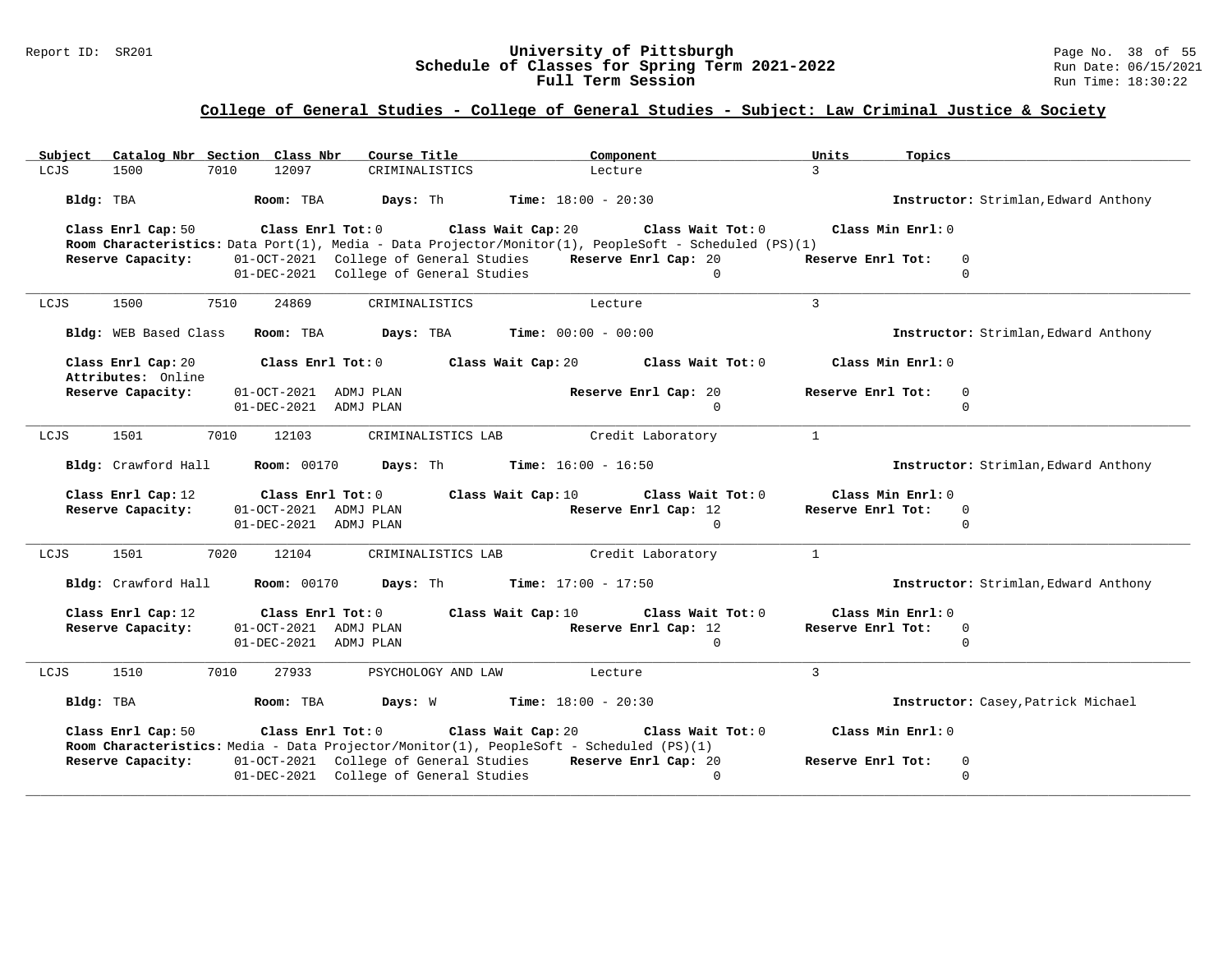### Report ID: SR201 **University of Pittsburgh** Page No. 38 of 55 **Schedule of Classes for Spring Term 2021-2022** Run Date: 06/15/2021 **Full Term Session Rundall Term Session Rundall Term Session**

| Catalog Nbr Section Class Nbr<br>Subject | Course Title                                                                                                                      | Component                                                                                                                  | Units<br>Topics                      |  |
|------------------------------------------|-----------------------------------------------------------------------------------------------------------------------------------|----------------------------------------------------------------------------------------------------------------------------|--------------------------------------|--|
| LCJS<br>1500<br>7010                     | 12097<br>CRIMINALISTICS                                                                                                           | Lecture                                                                                                                    | $\mathcal{R}$                        |  |
| Bldg: TBA                                | Room: TBA<br>Days: Th                                                                                                             | <b>Time:</b> $18:00 - 20:30$                                                                                               | Instructor: Strimlan, Edward Anthony |  |
| Class Enrl Cap: 50                       | Class Wait Cap: 20<br>Class Enrl Tot: 0                                                                                           | Class Wait Tot: 0<br>Room Characteristics: Data Port(1), Media - Data Projector/Monitor(1), PeopleSoft - Scheduled (PS)(1) | Class Min Enrl: 0                    |  |
| Reserve Capacity:                        | 01-OCT-2021 College of General Studies<br>01-DEC-2021 College of General Studies                                                  | Reserve Enrl Cap: 20<br>$\Omega$                                                                                           | Reserve Enrl Tot:<br>0<br>$\Omega$   |  |
| 1500<br>7510<br>LCJS                     | 24869<br>CRIMINALISTICS                                                                                                           | Lecture                                                                                                                    | $\mathbf{3}$                         |  |
| Bldg: WEB Based Class                    | Room: TBA<br>Days: TBA                                                                                                            | <b>Time:</b> $00:00 - 00:00$                                                                                               | Instructor: Strimlan, Edward Anthony |  |
| Class Enrl Cap: 20<br>Attributes: Online | Class Enrl Tot: 0                                                                                                                 | Class Wait Cap: 20<br>Class Wait Tot: 0                                                                                    | Class Min Enrl: 0                    |  |
| Reserve Capacity:                        | 01-OCT-2021<br>ADMJ PLAN                                                                                                          | Reserve Enrl Cap: 20                                                                                                       | Reserve Enrl Tot:<br>$\mathbf 0$     |  |
|                                          | 01-DEC-2021 ADMJ PLAN                                                                                                             | $\Omega$                                                                                                                   | $\mathbf 0$                          |  |
| 7010<br>LCJS<br>1501                     | 12103<br>CRIMINALISTICS LAB                                                                                                       | Credit Laboratory                                                                                                          | $\mathbf{1}$                         |  |
| Bldg: Crawford Hall                      | <b>Room: 00170</b><br>Days: Th                                                                                                    | <b>Time:</b> $16:00 - 16:50$                                                                                               | Instructor: Strimlan, Edward Anthony |  |
| Class Enrl Cap: 12                       | Class Enrl Tot: 0<br>Class Wait Cap: 10                                                                                           | Class Wait Tot: 0                                                                                                          | Class Min Enrl: 0                    |  |
| Reserve Capacity:                        | 01-OCT-2021 ADMJ PLAN                                                                                                             | Reserve Enrl Cap: 12                                                                                                       | Reserve Enrl Tot:<br>$\mathbf 0$     |  |
|                                          | 01-DEC-2021 ADMJ PLAN                                                                                                             | $\Omega$                                                                                                                   | $\Omega$                             |  |
| 1501<br>7020<br>LCJS                     | 12104<br>CRIMINALISTICS LAB                                                                                                       | Credit Laboratory                                                                                                          | $\mathbf{1}$                         |  |
| Bldg: Crawford Hall                      | Days: Th<br><b>Room: 00170</b>                                                                                                    | <b>Time:</b> $17:00 - 17:50$                                                                                               | Instructor: Strimlan, Edward Anthony |  |
| Class Enrl Cap: 12                       | Class Enrl Tot: 0<br>Class Wait Cap: 10                                                                                           | Class Wait Tot: 0                                                                                                          | Class Min Enrl: 0                    |  |
| Reserve Capacity:                        | 01-OCT-2021 ADMJ PLAN                                                                                                             | Reserve Enrl Cap: 12                                                                                                       | Reserve Enrl Tot:<br>$\mathbf 0$     |  |
|                                          | 01-DEC-2021 ADMJ PLAN                                                                                                             | $\Omega$                                                                                                                   | $\Omega$                             |  |
| LCJS<br>1510<br>7010                     | 27933<br>PSYCHOLOGY AND LAW                                                                                                       | Lecture                                                                                                                    | $\mathbf{3}$                         |  |
| Bldg: TBA                                | Days: W<br>Room: TBA                                                                                                              | $Time: 18:00 - 20:30$                                                                                                      | Instructor: Casey, Patrick Michael   |  |
| Class Enrl Cap: 50                       | Class Enrl Tot: 0<br>Class Wait Cap: 20                                                                                           | Class Wait Tot: 0                                                                                                          | Class Min Enrl: 0                    |  |
| Reserve Capacity:                        | Room Characteristics: Media - Data Projector/Monitor(1), PeopleSoft - Scheduled (PS)(1)<br>01-OCT-2021 College of General Studies | Reserve Enrl Cap: 20                                                                                                       | Reserve Enrl Tot:<br>$\mathbf 0$     |  |
|                                          | 01-DEC-2021 College of General Studies                                                                                            | $\mathbf 0$                                                                                                                | $\mathbf 0$                          |  |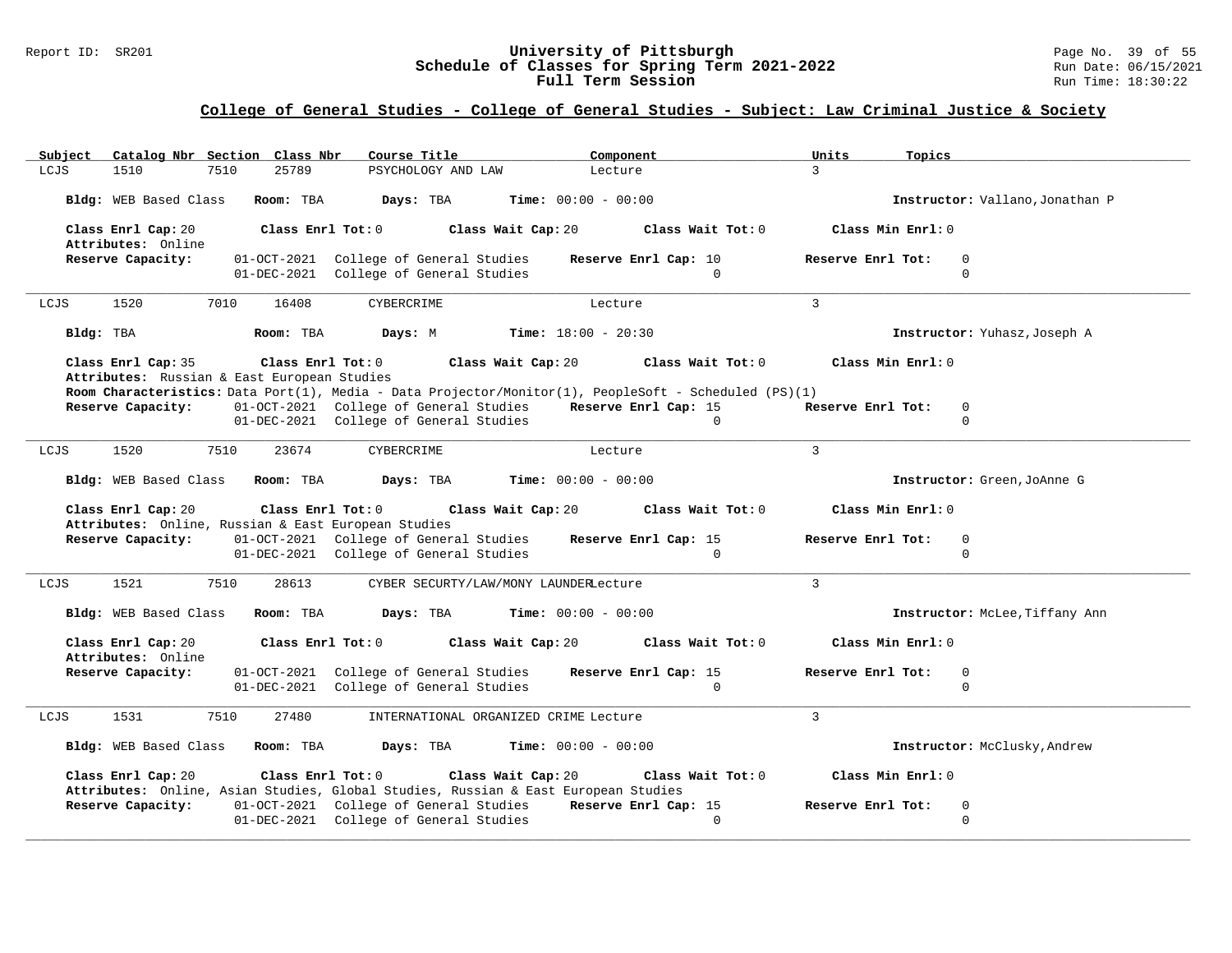### Report ID: SR201 **University of Pittsburgh** Page No. 39 of 55 **Schedule of Classes for Spring Term 2021-2022** Run Date: 06/15/2021 **Full Term Session Rundall Term Session Rundall Term Session**

| Subject                                                                  | Catalog Nbr Section Class Nbr | Course Title                                                                     | Component                                                                                                                     | Units<br>Topics                           |  |
|--------------------------------------------------------------------------|-------------------------------|----------------------------------------------------------------------------------|-------------------------------------------------------------------------------------------------------------------------------|-------------------------------------------|--|
| LCJS<br>1510<br>7510                                                     | 25789                         | PSYCHOLOGY AND LAW                                                               | Lecture                                                                                                                       | $\mathcal{L}$                             |  |
| Bldg: WEB Based Class                                                    | Room: TBA                     | Days: TBA                                                                        | <b>Time:</b> $00:00 - 00:00$                                                                                                  | Instructor: Vallano, Jonathan P           |  |
| Class Enrl Cap: 20<br>Attributes: Online                                 | Class Enrl Tot: 0             |                                                                                  | Class Wait Cap: 20<br>Class Wait Tot: 0                                                                                       | Class Min Enrl: 0                         |  |
| Reserve Capacity:                                                        |                               | 01-OCT-2021 College of General Studies<br>01-DEC-2021 College of General Studies | Reserve Enrl Cap: 10<br>$\Omega$                                                                                              | Reserve Enrl Tot:<br>$\Omega$<br>$\Omega$ |  |
| 7010<br>1520<br>LCJS                                                     | 16408                         | CYBERCRIME                                                                       | Lecture                                                                                                                       | $\mathbf{3}$                              |  |
| Bldg: TBA                                                                | Room: TBA                     | Days: M                                                                          | <b>Time:</b> $18:00 - 20:30$                                                                                                  | Instructor: Yuhasz, Joseph A              |  |
| Class Enrl Cap: 35<br>Attributes: Russian & East European Studies        | Class Enrl Tot: 0             |                                                                                  | Class Wait Cap: 20<br>Class Wait Tot: 0                                                                                       | Class Min Enrl: 0                         |  |
|                                                                          |                               |                                                                                  | Room Characteristics: Data Port(1), Media - Data Projector/Monitor(1), PeopleSoft - Scheduled (PS)(1)                         |                                           |  |
| Reserve Capacity:                                                        |                               | 01-OCT-2021 College of General Studies                                           | Reserve Enrl Cap: 15                                                                                                          | Reserve Enrl Tot:<br>0                    |  |
|                                                                          |                               | 01-DEC-2021 College of General Studies                                           | $\Omega$                                                                                                                      | $\Omega$                                  |  |
| 1520<br>7510<br>LCJS                                                     | 23674                         | CYBERCRIME                                                                       | Lecture                                                                                                                       | $\mathbf{3}$                              |  |
| Bldg: WEB Based Class Room: TBA                                          |                               | Days: TBA                                                                        | <b>Time:</b> $00:00 - 00:00$                                                                                                  | Instructor: Green, JoAnne G               |  |
|                                                                          |                               |                                                                                  |                                                                                                                               |                                           |  |
| Class Enrl Cap: 20                                                       | Class Enrl Tot: 0             |                                                                                  | Class Wait Cap: 20<br>Class Wait Tot: 0                                                                                       | Class Min Enrl: 0                         |  |
| Attributes: Online, Russian & East European Studies<br>Reserve Capacity: |                               | 01-OCT-2021 College of General Studies                                           | Reserve Enrl Cap: 15                                                                                                          | Reserve Enrl Tot:<br>$\Omega$             |  |
|                                                                          |                               | 01-DEC-2021 College of General Studies                                           | $\Omega$                                                                                                                      | $\Omega$                                  |  |
| 1521<br>7510<br>LCJS                                                     | 28613                         | CYBER SECURTY/LAW/MONY LAUNDERLecture                                            |                                                                                                                               | $\mathcal{L}$                             |  |
| Bldg: WEB Based Class                                                    | Room: TBA                     | Days: TBA                                                                        | <b>Time:</b> $00:00 - 00:00$                                                                                                  | Instructor: McLee, Tiffany Ann            |  |
| Class Enrl Cap: 20                                                       | Class Enrl Tot: 0             |                                                                                  | Class Wait Cap: 20<br>Class Wait Tot: 0                                                                                       | Class Min Enrl: 0                         |  |
| Attributes: Online<br>Reserve Capacity:                                  |                               | 01-OCT-2021 College of General Studies                                           | Reserve Enrl Cap: 15                                                                                                          | Reserve Enrl Tot:<br>$\mathbf 0$          |  |
|                                                                          |                               | 01-DEC-2021 College of General Studies                                           | $\Omega$                                                                                                                      | $\mathbf 0$                               |  |
| 1531<br>LCJS<br>7510                                                     | 27480                         | INTERNATIONAL ORGANIZED CRIME Lecture                                            |                                                                                                                               | $\overline{3}$                            |  |
| Bldg: WEB Based Class                                                    | Room: TBA                     | Days: TBA                                                                        | <b>Time:</b> $00:00 - 00:00$                                                                                                  | Instructor: McClusky, Andrew              |  |
| Class Enrl Cap: 20                                                       | Class Enrl Tot: 0             |                                                                                  | Class Wait Cap: 20<br>Class Wait Tot: 0<br>Attributes: Online, Asian Studies, Global Studies, Russian & East European Studies | Class Min Enrl: 0                         |  |
| Reserve Capacity:                                                        |                               |                                                                                  | 01-OCT-2021 College of General Studies Reserve Enrl Cap: 15                                                                   | Reserve Enrl Tot:<br>$\mathbf 0$          |  |
|                                                                          |                               | 01-DEC-2021 College of General Studies                                           | $\Omega$                                                                                                                      | $\Omega$                                  |  |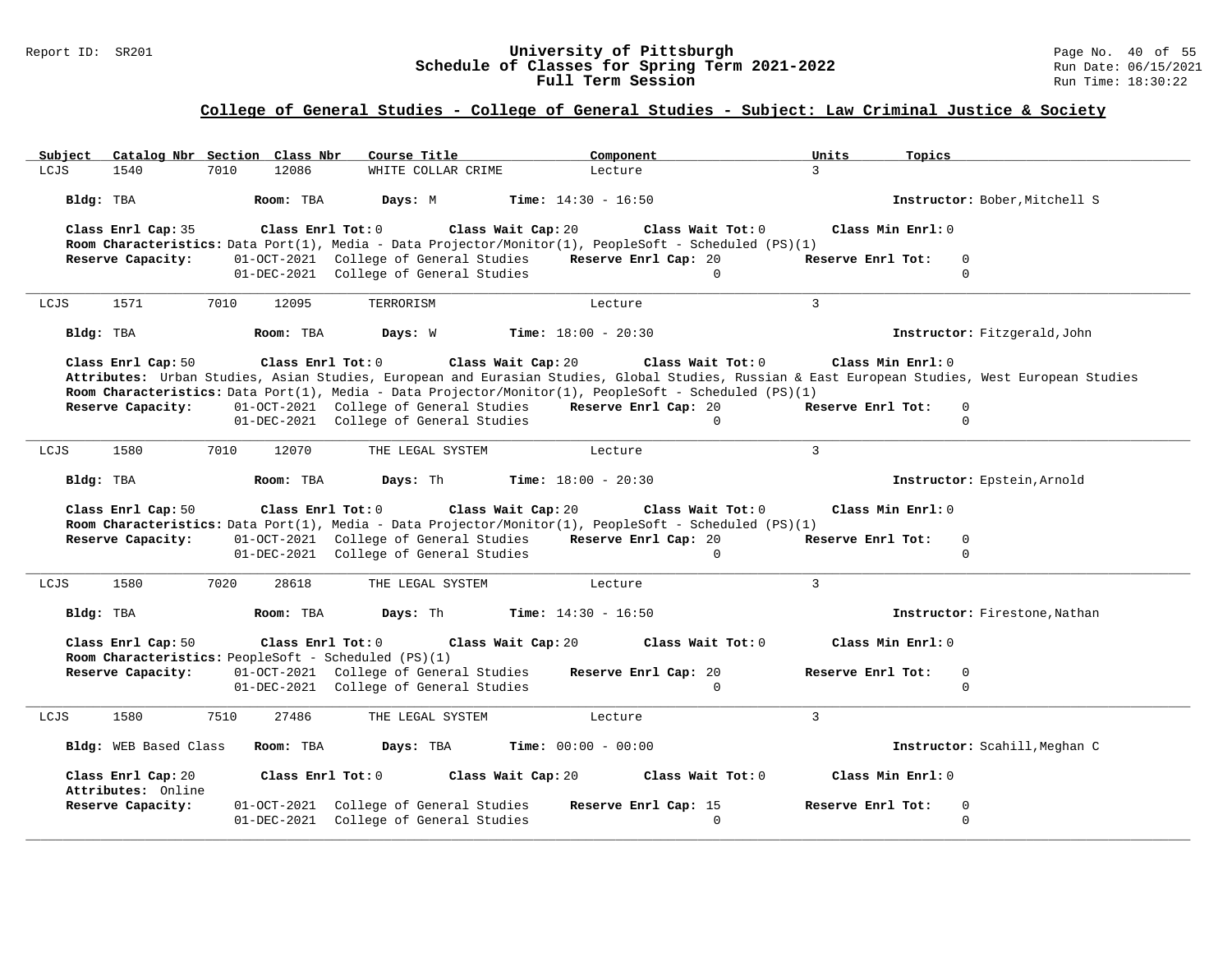### Report ID: SR201 **University of Pittsburgh** Page No. 40 of 55 **Schedule of Classes for Spring Term 2021-2022** Run Date: 06/15/2021 **Full Term Session Rundall Term Session Rundall Term Session**

| Subject                                 | Catalog Nbr Section Class Nbr<br>Course Title                                                  | Component                                                                                                                                        | Units<br>Topics                                                                                                                                 |  |
|-----------------------------------------|------------------------------------------------------------------------------------------------|--------------------------------------------------------------------------------------------------------------------------------------------------|-------------------------------------------------------------------------------------------------------------------------------------------------|--|
| 1540<br>LCJS                            | 12086<br>7010<br>WHITE COLLAR CRIME                                                            | Lecture                                                                                                                                          | $\mathcal{L}$                                                                                                                                   |  |
| Bldg: TBA                               | Room: TBA<br>Days: M                                                                           | <b>Time:</b> $14:30 - 16:50$                                                                                                                     | Instructor: Bober, Mitchell S                                                                                                                   |  |
| Class Enrl Cap: 35                      | Class Enrl Tot: 0                                                                              | Class Wait Cap: 20<br>Class Wait Tot: 0<br>Room Characteristics: Data Port(1), Media - Data Projector/Monitor(1), PeopleSoft - Scheduled (PS)(1) | Class Min Enrl: 0                                                                                                                               |  |
| Reserve Capacity:                       | 01-OCT-2021 College of General Studies                                                         | Reserve Enrl Cap: 20                                                                                                                             | Reserve Enrl Tot:<br>$\overline{0}$                                                                                                             |  |
|                                         | 01-DEC-2021 College of General Studies                                                         | $\Omega$                                                                                                                                         | $\Omega$                                                                                                                                        |  |
| LCJS<br>1571                            | 7010<br>12095<br>TERRORISM                                                                     | Lecture                                                                                                                                          | $\mathcal{L}$                                                                                                                                   |  |
| Bldg: TBA                               | Room: TBA<br>Days: W                                                                           | <b>Time:</b> $18:00 - 20:30$                                                                                                                     | Instructor: Fitzgerald, John                                                                                                                    |  |
| Class Enrl Cap: 50                      | Class Enrl Tot: 0                                                                              | Class Wait Cap: 20<br>Class Wait Tot: 0                                                                                                          | Class Min Enrl: 0                                                                                                                               |  |
|                                         |                                                                                                | Room Characteristics: Data Port(1), Media - Data Projector/Monitor(1), PeopleSoft - Scheduled (PS)(1)                                            | Attributes: Urban Studies, Asian Studies, European and Eurasian Studies, Global Studies, Russian & East European Studies, West European Studies |  |
| Reserve Capacity:                       | 01-OCT-2021 College of General Studies                                                         | Reserve Enrl Cap: 20                                                                                                                             | Reserve Enrl Tot:<br>$\mathbf 0$                                                                                                                |  |
|                                         | 01-DEC-2021 College of General Studies                                                         | $\Omega$                                                                                                                                         | $\mathbf 0$                                                                                                                                     |  |
| LCJS<br>1580                            | 7010<br>12070<br>THE LEGAL SYSTEM                                                              | Lecture                                                                                                                                          | $\mathcal{L}$                                                                                                                                   |  |
| Bldg: TBA                               | Days: Th<br>Room: TBA                                                                          | <b>Time:</b> $18:00 - 20:30$                                                                                                                     | Instructor: Epstein, Arnold                                                                                                                     |  |
| Class Enrl Cap: 50                      | Class Enrl Tot: 0                                                                              | Class Wait Cap: 20<br>Class Wait Tot: 0<br>Room Characteristics: Data Port(1), Media - Data Projector/Monitor(1), PeopleSoft - Scheduled (PS)(1) | Class Min Enrl: 0                                                                                                                               |  |
| Reserve Capacity:                       | 01-OCT-2021 College of General Studies                                                         | Reserve Enrl Cap: 20                                                                                                                             | Reserve Enrl Tot:<br>$\mathbf 0$                                                                                                                |  |
|                                         | 01-DEC-2021 College of General Studies                                                         | $\Omega$                                                                                                                                         | $\Omega$                                                                                                                                        |  |
|                                         |                                                                                                |                                                                                                                                                  |                                                                                                                                                 |  |
| 1580<br>LCJS                            | 7020<br>28618<br>THE LEGAL SYSTEM                                                              | Lecture                                                                                                                                          | $\mathbf{3}$                                                                                                                                    |  |
| Bldg: TBA                               | Room: TBA<br>Days: Th                                                                          | <b>Time:</b> $14:30 - 16:50$                                                                                                                     | Instructor: Firestone, Nathan                                                                                                                   |  |
| Class Enrl Cap: 50                      | Class Enrl Tot: 0                                                                              | Class Wait Cap: 20<br>Class Wait Tot: 0                                                                                                          | Class Min Enrl: 0                                                                                                                               |  |
| Reserve Capacity:                       | Room Characteristics: PeopleSoft - Scheduled (PS)(1)<br>01-OCT-2021 College of General Studies | Reserve Enrl Cap: 20                                                                                                                             | Reserve Enrl Tot:<br>$\mathbf 0$                                                                                                                |  |
|                                         |                                                                                                |                                                                                                                                                  |                                                                                                                                                 |  |
|                                         |                                                                                                |                                                                                                                                                  |                                                                                                                                                 |  |
|                                         | 01-DEC-2021 College of General Studies                                                         | $\mathbf 0$                                                                                                                                      | $\mathbf 0$                                                                                                                                     |  |
| 1580<br>LCJS                            | 7510<br>27486<br>THE LEGAL SYSTEM                                                              | Lecture                                                                                                                                          | $\mathbf{3}$                                                                                                                                    |  |
| Bldg: WEB Based Class                   | Room: TBA<br>Days: TBA                                                                         | <b>Time:</b> $00:00 - 00:00$                                                                                                                     | Instructor: Scahill, Meghan C                                                                                                                   |  |
| Class Enrl Cap: 20                      | Class Enrl Tot: 0                                                                              | Class Wait Cap: 20<br>Class Wait Tot: 0                                                                                                          | Class Min Enrl: 0                                                                                                                               |  |
| Attributes: Online<br>Reserve Capacity: | 01-OCT-2021 College of General Studies                                                         | Reserve Enrl Cap: 15                                                                                                                             | Reserve Enrl Tot:<br>$\overline{0}$                                                                                                             |  |
|                                         | 01-DEC-2021 College of General Studies                                                         | $\mathbf 0$                                                                                                                                      | $\mathbf 0$                                                                                                                                     |  |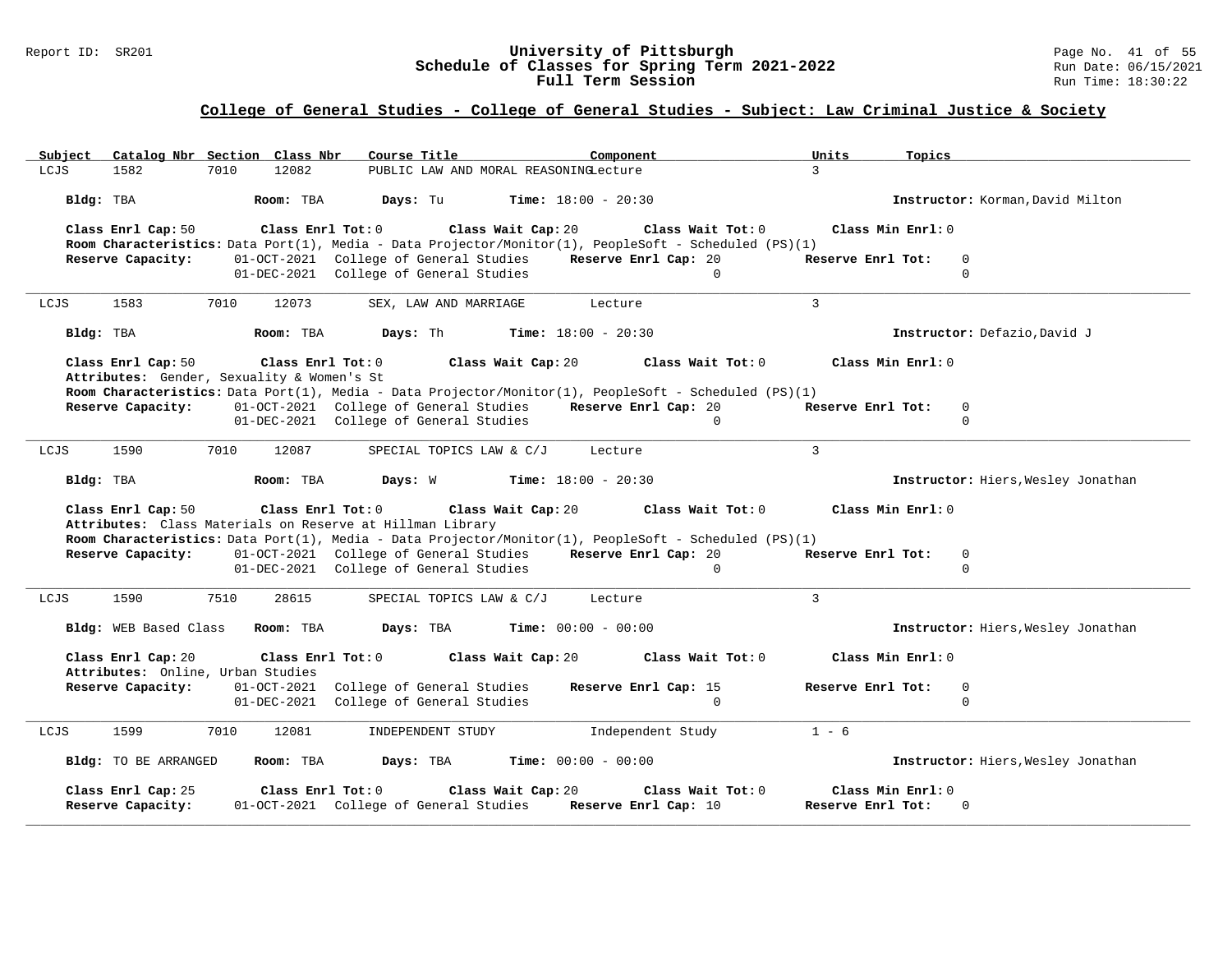### Report ID: SR201 **University of Pittsburgh** Page No. 41 of 55 **Schedule of Classes for Spring Term 2021-2022** Run Date: 06/15/2021 **Full Term Session Rundall Term Session Rundall Term Session**

| Catalog Nbr Section Class Nbr<br>Subject                                                             | Course Title<br>Component                                                                                            | Units<br>Topics                                 |
|------------------------------------------------------------------------------------------------------|----------------------------------------------------------------------------------------------------------------------|-------------------------------------------------|
| LCJS<br>1582<br>7010<br>12082                                                                        | PUBLIC LAW AND MORAL REASONINGLecture                                                                                | $\mathcal{L}$                                   |
| Bldg: TBA<br>Room: TBA                                                                               | Days: Tu<br><b>Time:</b> $18:00 - 20:30$                                                                             | Instructor: Korman, David Milton                |
| Class Enrl Cap: 50<br>Class Enrl Tot: 0                                                              | Class Wait Cap: 20<br>Class Wait Tot: 0                                                                              | Class Min Enrl: 0                               |
|                                                                                                      | Room Characteristics: Data Port(1), Media - Data Projector/Monitor(1), PeopleSoft - Scheduled (PS)(1)                |                                                 |
| Reserve Capacity:                                                                                    | 01-OCT-2021 College of General Studies<br>Reserve Enrl Cap: 20<br>01-DEC-2021 College of General Studies<br>$\Omega$ | Reserve Enrl Tot:<br>$\overline{0}$<br>$\Omega$ |
|                                                                                                      |                                                                                                                      |                                                 |
| 1583<br>7010<br>12073<br>LCJS                                                                        | SEX, LAW AND MARRIAGE<br>Lecture                                                                                     | $\mathbf{3}$                                    |
| Bldg: TBA<br>Room: TBA                                                                               | Days: Th<br><b>Time:</b> $18:00 - 20:30$                                                                             | Instructor: Defazio, David J                    |
| Class Enrl Cap: 50<br>Class Enrl Tot: 0                                                              | Class Wait Cap: 20<br>Class Wait Tot: 0                                                                              | Class Min Enrl: 0                               |
| Attributes: Gender, Sexuality & Women's St                                                           |                                                                                                                      |                                                 |
|                                                                                                      | Room Characteristics: Data Port(1), Media - Data Projector/Monitor(1), PeopleSoft - Scheduled (PS)(1)                |                                                 |
| <b>Reserve Capacity:</b> 01-OCT-2021 College of General Studies                                      | Reserve Enrl Cap: 20<br>01-DEC-2021 College of General Studies<br>$\mathbf 0$                                        | Reserve Enrl Tot:<br>$\mathbf 0$<br>$\mathbf 0$ |
|                                                                                                      |                                                                                                                      |                                                 |
| 7010<br>LCJS<br>1590<br>12087                                                                        | SPECIAL TOPICS LAW & C/J<br>Lecture                                                                                  | $\mathbf{3}$                                    |
| Bldg: TBA<br>Room: TBA                                                                               | Days: W<br><b>Time:</b> $18:00 - 20:30$                                                                              | Instructor: Hiers, Wesley Jonathan              |
| Class Enrl Cap: 50<br>Class Enrl Tot: 0<br>Attributes: Class Materials on Reserve at Hillman Library | Class Wait Cap: 20<br>Class Wait Tot: 0                                                                              | Class Min Enrl: 0                               |
|                                                                                                      | Room Characteristics: Data Port(1), Media - Data Projector/Monitor(1), PeopleSoft - Scheduled (PS)(1)                |                                                 |
| Reserve Capacity:                                                                                    | 01-OCT-2021 College of General Studies<br>Reserve Enrl Cap: 20                                                       | Reserve Enrl Tot:<br>$\mathbf 0$                |
|                                                                                                      | 01-DEC-2021 College of General Studies<br>$\Omega$                                                                   | $\mathbf 0$                                     |
|                                                                                                      |                                                                                                                      |                                                 |
| 1590<br>7510<br>LCJS<br>28615                                                                        | SPECIAL TOPICS LAW & C/J<br>Lecture                                                                                  | 3                                               |
| Bldg: WEB Based Class<br>Room: TBA                                                                   | Days: TBA<br><b>Time:</b> $00:00 - 00:00$                                                                            | Instructor: Hiers, Wesley Jonathan              |
| Class Enrl Cap: 20<br>Class Enrl Tot: 0<br>Attributes: Online, Urban Studies                         | Class Wait Cap: 20<br>Class Wait Tot: 0                                                                              | Class Min Enrl: 0                               |
| Reserve Capacity:<br>01-OCT-2021                                                                     | College of General Studies<br>Reserve Enrl Cap: 15                                                                   | Reserve Enrl Tot:<br>0                          |
|                                                                                                      | 01-DEC-2021 College of General Studies<br>$\Omega$                                                                   | $\Omega$                                        |
|                                                                                                      |                                                                                                                      |                                                 |
|                                                                                                      |                                                                                                                      |                                                 |
| 1599<br>7010<br>LCJS<br>12081                                                                        | INDEPENDENT STUDY<br>Independent Study                                                                               | $1 - 6$                                         |
| Bldg: TO BE ARRANGED<br>Room: TBA                                                                    | Days: TBA<br><b>Time:</b> $00:00 - 00:00$                                                                            | Instructor: Hiers, Wesley Jonathan              |
| Class Enrl Tot: 0                                                                                    | Class Wait Cap: 20<br>Class Wait Tot: 0                                                                              | Class Min Enrl: 0                               |
| Class Enrl Cap: 25<br>Reserve Capacity:                                                              | 01-OCT-2021 College of General Studies<br>Reserve Enrl Cap: 10                                                       | Reserve Enrl Tot:<br>$\Omega$                   |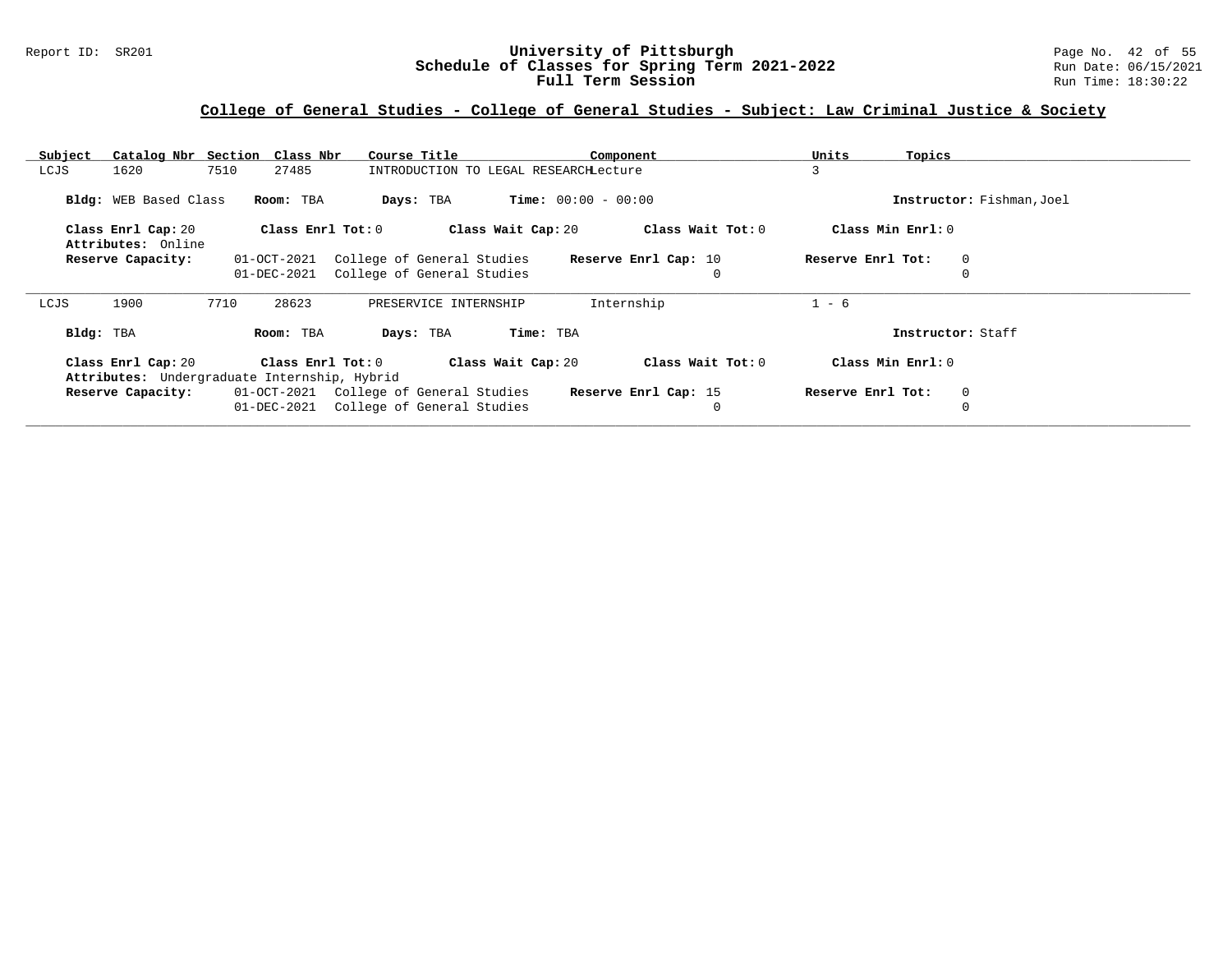### Report ID: SR201 **University of Pittsburgh** Page No. 42 of 55 **Schedule of Classes for Spring Term 2021-2022** Run Date: 06/15/2021 **Full Term Session Rundall Term Session Rundall Term Session**

| Subject                      | Catalog Nbr Section Class Nbr                | Course Title<br>Component                          | Units<br>Topics                  |
|------------------------------|----------------------------------------------|----------------------------------------------------|----------------------------------|
| 1620<br>LCJS                 | 7510<br>27485                                | INTRODUCTION TO LEGAL RESEARCHLecture              | 3                                |
| <b>Bldg:</b> WEB Based Class | Room: TBA                                    | <b>Time:</b> $00:00 - 00:00$<br>Days: TBA          | Instructor: Fishman, Joel        |
| Class Enrl Cap: 20           | Class Enrl Tot: $0$                          | Class Wait Cap: 20<br>Class Wait Tot: 0            | Class Min Enrl: 0                |
| Attributes: Online           |                                              |                                                    |                                  |
| Reserve Capacity:            | 01-OCT-2021                                  | College of General Studies<br>Reserve Enrl Cap: 10 | Reserve Enrl Tot:<br>0           |
|                              | 01-DEC-2021                                  | College of General Studies<br>$\mathbf 0$          |                                  |
|                              |                                              |                                                    |                                  |
| 1900<br>LCJS                 | 7710<br>28623                                | Internship<br>PRESERVICE INTERNSHIP                | $1 - 6$                          |
| Bldg: TBA                    | Room: TBA                                    | Time: TBA<br>Days: TBA                             | Instructor: Staff                |
| Class Enrl Cap: 20           | Class Enrl Tot:0                             | Class Wait Tot: 0<br>Class Wait Cap: 20            | Class Min Enrl: 0                |
|                              | Attributes: Undergraduate Internship, Hybrid |                                                    |                                  |
| Reserve Capacity:            | 01-OCT-2021 College of General Studies       | Reserve Enrl Cap: 15                               | Reserve Enrl Tot:<br>$\mathbf 0$ |
|                              | 01-DEC-2021                                  | College of General Studies<br>0                    |                                  |
|                              |                                              |                                                    |                                  |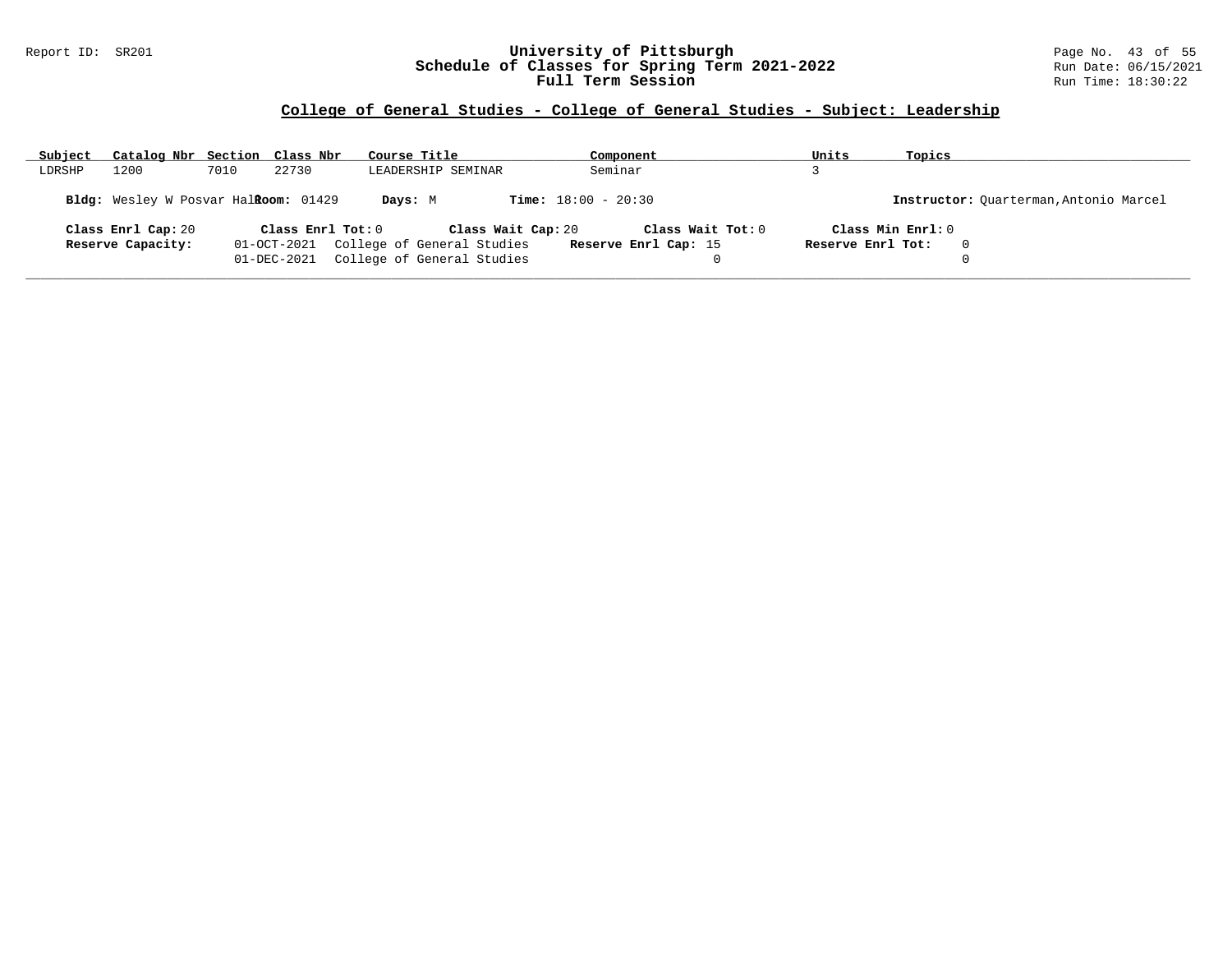### Report ID: SR201 **University of Pittsburgh** Page No. 43 of 55 **Schedule of Classes for Spring Term 2021-2022** Run Date: 06/15/2021 **Full Term Session Rundall Term Session Rundall Term Session**

# **College of General Studies - College of General Studies - Subject: Leadership**

| Subject | Catalog Nbr Section Class Nbr        |      |                   | Course Title                           | Component                    | Units             | Topics                                 |
|---------|--------------------------------------|------|-------------------|----------------------------------------|------------------------------|-------------------|----------------------------------------|
| LDRSHP  | 1200                                 | 7010 | 22730             | LEADERSHIP SEMINAR                     | Seminar                      |                   |                                        |
|         | Bldg: Wesley W Posvar Halkoom: 01429 |      |                   | Days: M                                | <b>Time:</b> $18:00 - 20:30$ |                   | Instructor: Ouarterman, Antonio Marcel |
|         | Class Enrl Cap: 20                   |      | Class Enr1 Tot: 0 | Class Wait Cap: 20                     | Class Wait Tot: 0            |                   | Class Min Enrl: 0                      |
|         | Reserve Capacity:                    |      |                   | 01-OCT-2021 College of General Studies | Reserve Enrl Cap: 15         | Reserve Enrl Tot: | $\Omega$                               |
|         |                                      |      | 01-DEC-2021       | College of General Studies             |                              |                   |                                        |
|         |                                      |      |                   |                                        |                              |                   |                                        |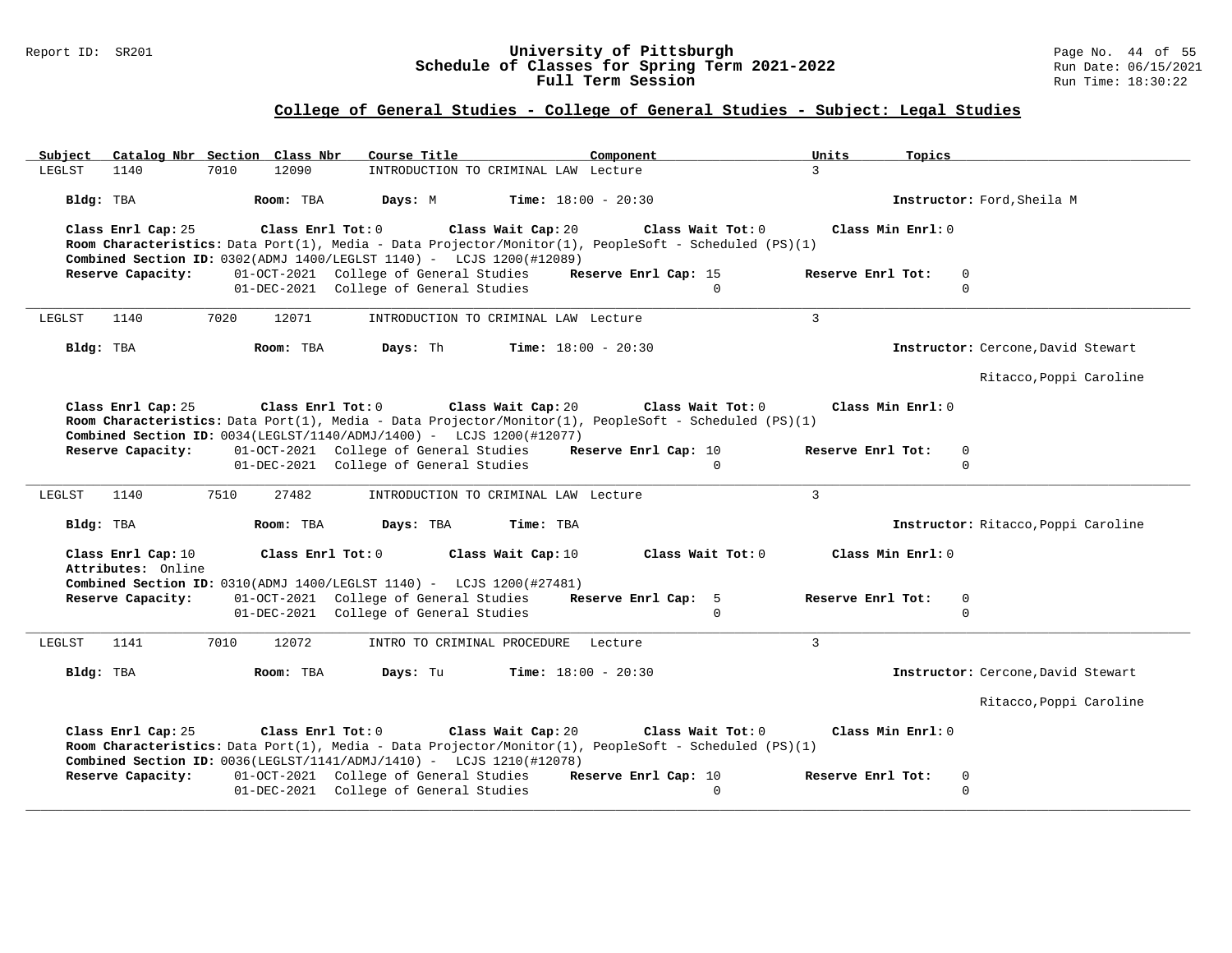#### Report ID: SR201 **University of Pittsburgh** Page No. 44 of 55 **Schedule of Classes for Spring Term 2021-2022** Run Date: 06/15/2021 **Full Term Session Rundall Term Session Rundall Term Session**

# **College of General Studies - College of General Studies - Subject: Legal Studies**

| Catalog Nbr Section Class Nbr<br>Subject                     | Course Title                                                                                                                                                                                                                                    | Component                                 | Units<br>Topics                                       |
|--------------------------------------------------------------|-------------------------------------------------------------------------------------------------------------------------------------------------------------------------------------------------------------------------------------------------|-------------------------------------------|-------------------------------------------------------|
| 12090<br>1140<br>7010<br>LEGLST                              | INTRODUCTION TO CRIMINAL LAW Lecture                                                                                                                                                                                                            |                                           | $\mathcal{L}$                                         |
| Bldg: TBA<br>Room: TBA                                       | Days: M                                                                                                                                                                                                                                         | <b>Time:</b> $18:00 - 20:30$              | Instructor: Ford, Sheila M                            |
| Class Enrl Cap: 25                                           | Class Enrl Tot: 0<br>Class Wait Cap: 20<br>Room Characteristics: Data Port(1), Media - Data Projector/Monitor(1), PeopleSoft - Scheduled (PS)(1)<br>Combined Section ID: 0302(ADMJ 1400/LEGLST 1140) - LCJS 1200(#12089)                        | Class Wait Tot: 0                         | Class Min Enrl: 0                                     |
| Reserve Capacity:                                            | 01-OCT-2021 College of General Studies                                                                                                                                                                                                          | Reserve Enrl Cap: 15                      | Reserve Enrl Tot:<br>$\Omega$                         |
|                                                              | 01-DEC-2021 College of General Studies                                                                                                                                                                                                          | $\Omega$                                  | $\Omega$                                              |
| 7020<br>12071<br>LEGLST<br>1140                              | INTRODUCTION TO CRIMINAL LAW Lecture                                                                                                                                                                                                            |                                           | $\overline{3}$                                        |
| Bldg: TBA<br>Room: TBA                                       | Days: Th                                                                                                                                                                                                                                        | <b>Time:</b> $18:00 - 20:30$              | Instructor: Cercone, David Stewart                    |
|                                                              |                                                                                                                                                                                                                                                 |                                           | Ritacco, Poppi Caroline                               |
| Class Enrl Cap: 25<br>Class Enrl Tot: 0<br>Reserve Capacity: | Class Wait Cap: 20<br>Room Characteristics: Data Port(1), Media - Data Projector/Monitor(1), PeopleSoft - Scheduled (PS)(1)<br>Combined Section ID: $0034(LEGLST/1140/ADMJ/1400)$ - LCJS 1200(#12077)<br>01-OCT-2021 College of General Studies | Class Wait Tot: 0<br>Reserve Enrl Cap: 10 | Class Min Enrl: 0<br>Reserve Enrl Tot:<br>$\mathbf 0$ |
|                                                              | 01-DEC-2021 College of General Studies                                                                                                                                                                                                          | $\Omega$                                  | $\Omega$                                              |
| 7510<br>27482<br>LEGLST<br>1140                              | INTRODUCTION TO CRIMINAL LAW Lecture                                                                                                                                                                                                            |                                           | $\mathcal{E}$                                         |
| Bldg: TBA<br>Room: TBA                                       | Time: TBA<br>Days: TBA                                                                                                                                                                                                                          |                                           | Instructor: Ritacco, Poppi Caroline                   |
| Class Enrl Cap: 10                                           | Class Enrl Tot: 0<br>Class Wait Cap: 10                                                                                                                                                                                                         | Class Wait Tot: 0                         | Class Min Enrl: 0                                     |
| Attributes: Online                                           | Combined Section ID: 0310(ADMJ 1400/LEGLST 1140) - LCJS 1200(#27481)                                                                                                                                                                            |                                           |                                                       |
| Reserve Capacity:                                            | 01-OCT-2021 College of General Studies                                                                                                                                                                                                          | Reserve Enrl Cap: 5                       | Reserve Enrl Tot:<br>$\mathbf 0$                      |
|                                                              | 01-DEC-2021 College of General Studies                                                                                                                                                                                                          | $\Omega$                                  | $\Omega$                                              |
| 1141<br>7010<br>12072<br>LEGLST                              | INTRO TO CRIMINAL PROCEDURE Lecture                                                                                                                                                                                                             |                                           | $\overline{3}$                                        |
| Bldg: TBA<br>Room: TBA                                       | Days: Tu                                                                                                                                                                                                                                        | <b>Time:</b> $18:00 - 20:30$              | Instructor: Cercone, David Stewart                    |
|                                                              |                                                                                                                                                                                                                                                 |                                           | Ritacco, Poppi Caroline                               |
| Class Enrl Cap: 25                                           | Class Enrl Tot: 0<br>Class Wait Cap: 20<br>Room Characteristics: Data Port(1), Media - Data Projector/Monitor(1), PeopleSoft - Scheduled (PS)(1)<br><b>Combined Section ID:</b> $0036(LEGLST/1141/ADMJ/1410) - LCJS 1210(H12078)$               | Class Wait Tot: 0                         | Class Min Enrl: 0                                     |
| Reserve Capacity:                                            | 01-OCT-2021 College of General Studies                                                                                                                                                                                                          | Reserve Enrl Cap: 10                      | Reserve Enrl Tot:<br>$\mathbf 0$                      |
|                                                              | 01-DEC-2021 College of General Studies                                                                                                                                                                                                          | $\Omega$                                  | $\Omega$                                              |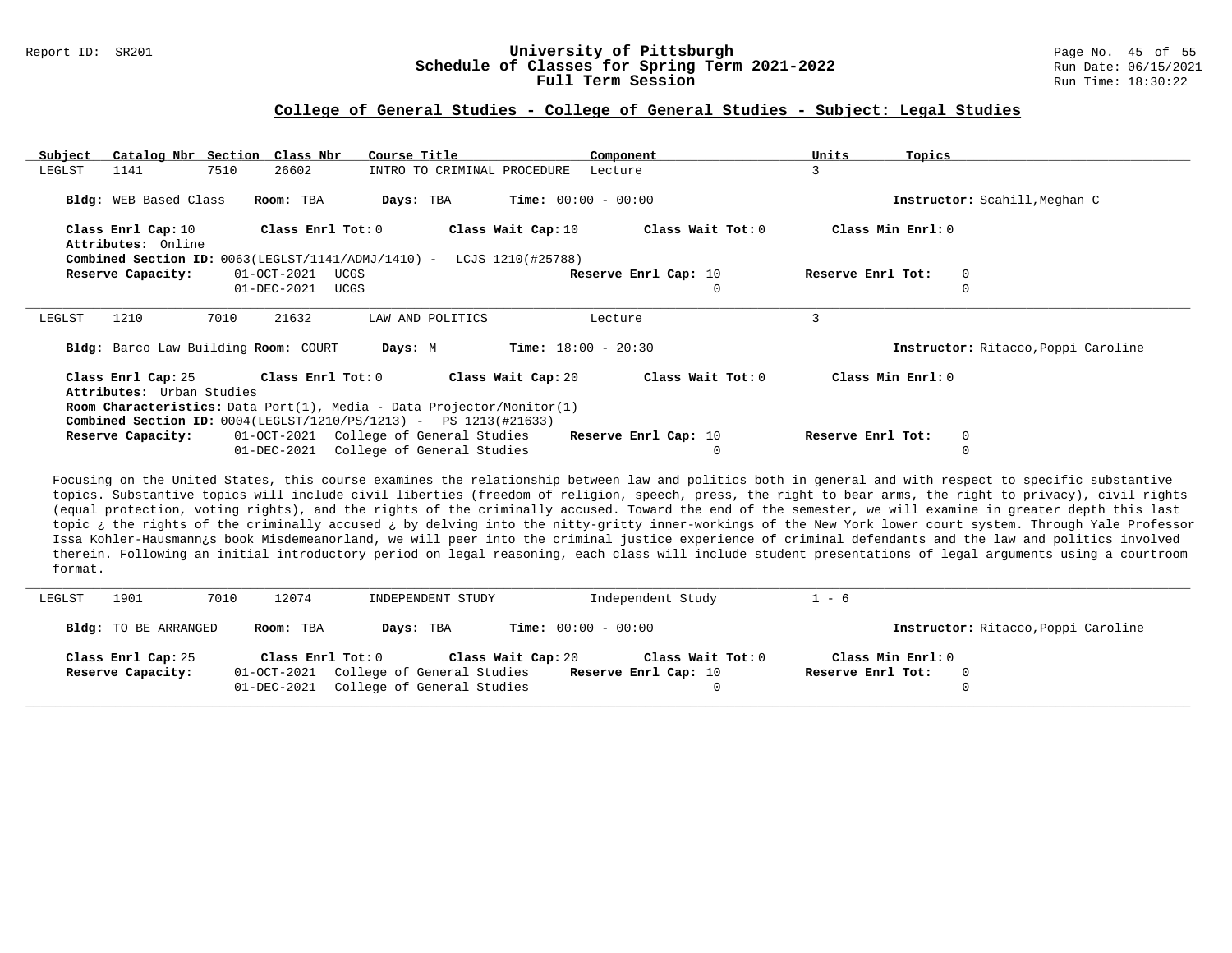#### Report ID: SR201 **1988 Mage 10: SR201 University of Pittsburgh University of Pittsburgh** Page No. 45 of 55<br>**Schedule of Classes for Spring Term 2021-2022** 2014 Run Date: 06/15/2021 **Schedule of Classes for Spring Term 2021-2022** Run Date: 06/15/2021<br>**Full Term Session** Run Time: 18:30:22 Full Term Session

#### **College of General Studies - College of General Studies - Subject: Legal Studies**

| Subject                                  | Catalog Nbr Section Class Nbr                                                   | Course Title                           | Component                               | Units             | Topics                              |
|------------------------------------------|---------------------------------------------------------------------------------|----------------------------------------|-----------------------------------------|-------------------|-------------------------------------|
| LEGLST<br>1141                           | 7510<br>26602                                                                   | INTRO TO CRIMINAL PROCEDURE            | Lecture                                 | 3                 |                                     |
|                                          |                                                                                 |                                        |                                         |                   |                                     |
| Bldg: WEB Based Class                    | Room: TBA                                                                       | Days: TBA                              | $Time: 00:00 - 00:00$                   |                   | Instructor: Scahill, Meghan C       |
| Class Enrl Cap: 10<br>Attributes: Online | Class Enrl Tot: 0                                                               |                                        | Class Wait Cap: 10<br>Class Wait Tot: 0 |                   | Class Min Enrl: 0                   |
|                                          | <b>Combined Section ID:</b> $0063(LEGLST/1141/ADMJ/1410)$ - LCJS $1210(#25788)$ |                                        |                                         |                   |                                     |
| Reserve Capacity:                        | 01-OCT-2021<br>UCGS                                                             |                                        | Reserve Enrl Cap: 10                    | Reserve Enrl Tot: | 0                                   |
|                                          | 01-DEC-2021<br>UCGS                                                             |                                        |                                         | $\mathbf 0$       | $\Omega$                            |
|                                          |                                                                                 |                                        |                                         |                   |                                     |
|                                          |                                                                                 |                                        |                                         |                   |                                     |
| 1210<br>LEGLST                           | 21632<br>7010                                                                   | LAW AND POLITICS                       | Lecture                                 | 3                 |                                     |
| Bldg: Barco Law Building Room: COURT     |                                                                                 | Days: M                                | <b>Time:</b> $18:00 - 20:30$            |                   | Instructor: Ritacco, Poppi Caroline |
| Class Enrl Cap: 25                       | Class Enrl Tot: 0                                                               | Class Wait Cap: 20                     | Class Wait Tot: 0                       |                   | Class Min Enrl: 0                   |
| Attributes: Urban Studies                |                                                                                 |                                        |                                         |                   |                                     |
|                                          | <b>Room Characteristics:</b> Data Port(1), Media - Data Projector/Monitor(1)    |                                        |                                         |                   |                                     |
|                                          | <b>Combined Section ID:</b> $0004(LEGLST/1210/PS/1213) - PS 1213(H21633)$       |                                        |                                         |                   |                                     |
| Reserve Capacity:                        |                                                                                 | 01-OCT-2021 College of General Studies | Reserve Enrl Cap: 10                    | Reserve Enrl Tot: | $\overline{0}$                      |

Focusing on the United States, this course examines the relationship between law and politics both in general and with respect to specific substantive topics. Substantive topics will include civil liberties (freedom of religion, speech, press, the right to bear arms, the right to privacy), civil rights (equal protection, voting rights), and the rights of the criminally accused. Toward the end of the semester, we will examine in greater depth this last topic ¿ the rights of the criminally accused ¿ by delving into the nitty-gritty inner-workings of the New York lower court system. Through Yale Professor Issa Kohler-Hausmann¿s book Misdemeanorland, we will peer into the criminal justice experience of criminal defendants and the law and politics involved therein. Following an initial introductory period on legal reasoning, each class will include student presentations of legal arguments using a courtroom format.

| LEGLST | 1901                 | 12074<br>7010 | INDEPENDENT STUDY                      |                              | Independent Study    | $-6$              |                                     |
|--------|----------------------|---------------|----------------------------------------|------------------------------|----------------------|-------------------|-------------------------------------|
|        | Bldg: TO BE ARRANGED | Room: TBA     | Days: TBA                              | <b>Time:</b> $00:00 - 00:00$ |                      |                   | Instructor: Ritacco, Poppi Caroline |
|        | Class Enrl Cap: 25   |               | Class Enrl Tot: 0                      | Class Wait Cap: 20           | Class Wait Tot: 0    | Class Min Enrl: 0 |                                     |
|        | Reserve Capacity:    |               | 01-OCT-2021 College of General Studies |                              | Reserve Enrl Cap: 10 | Reserve Enrl Tot: | 0                                   |
|        |                      |               | 01-DEC-2021 College of General Studies |                              |                      |                   |                                     |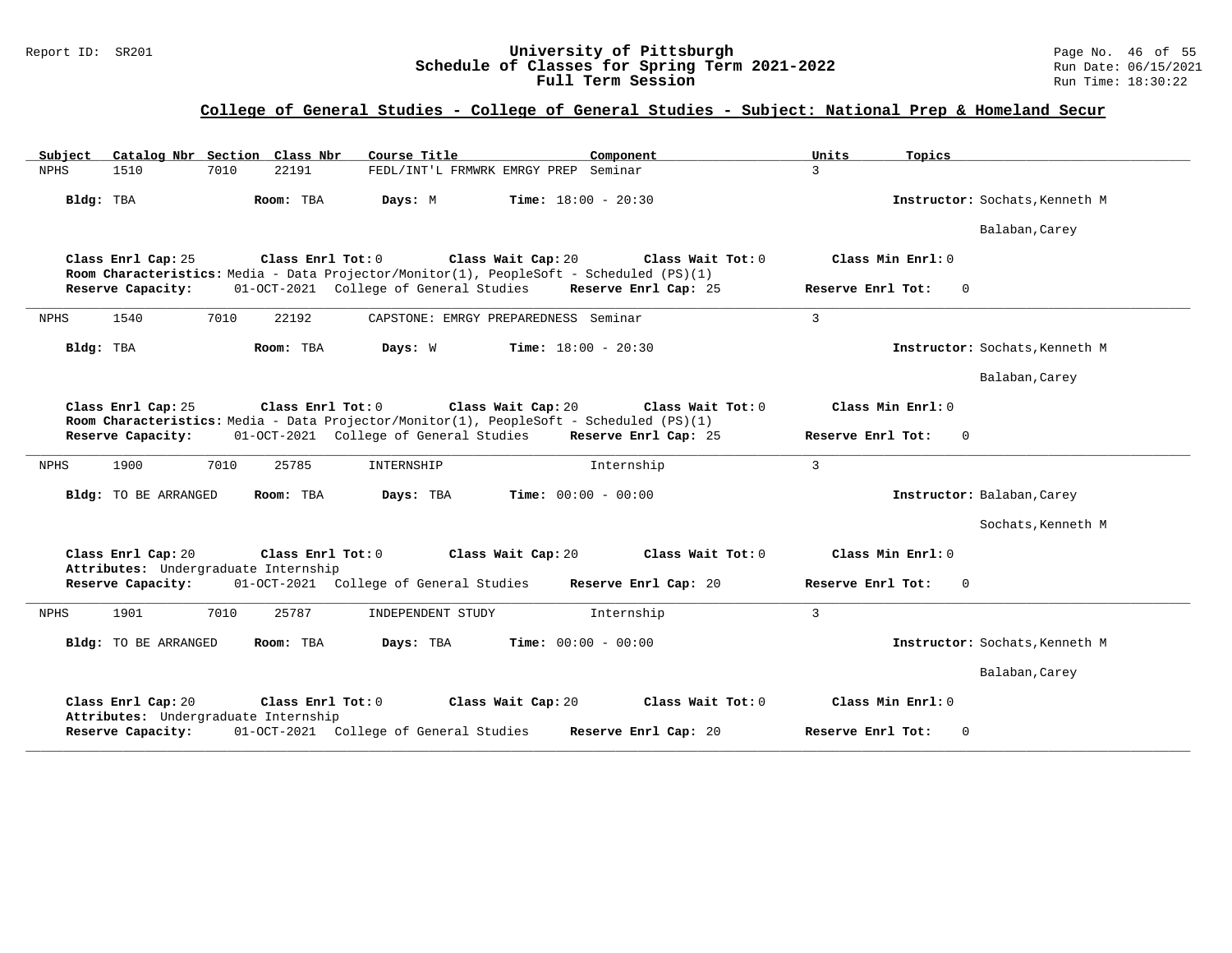### Report ID: SR201 **University of Pittsburgh** Page No. 46 of 55 **Schedule of Classes for Spring Term 2021-2022** Run Date: 06/15/2021 **Full Term Session Rundall Term Session Rundall Term Session**

### **College of General Studies - College of General Studies - Subject: National Prep & Homeland Secur**

| Catalog Nbr Section Class Nbr<br>Course Title<br>Subject<br>Component                                                                                                         | Units<br>Topics                   |
|-------------------------------------------------------------------------------------------------------------------------------------------------------------------------------|-----------------------------------|
| 1510<br>7010<br>22191<br>FEDL/INT'L FRMWRK EMRGY PREP Seminar<br><b>NPHS</b>                                                                                                  | $\mathbf{3}$                      |
| Bldg: TBA<br>Room: TBA<br>Days: M<br><b>Time:</b> $18:00 - 20:30$                                                                                                             | Instructor: Sochats, Kenneth M    |
|                                                                                                                                                                               | Balaban, Carey                    |
| Class Enrl Cap: 25<br>Class Enrl Tot: 0<br>Class Wait Cap: 20<br>Class Wait Tot: 0<br>Room Characteristics: Media - Data Projector/Monitor(1), PeopleSoft - Scheduled (PS)(1) | Class Min Enrl: 0                 |
| 01-OCT-2021 College of General Studies<br>Reserve Capacity:<br>Reserve Enrl Cap: 25                                                                                           | Reserve Enrl Tot:<br>$\Omega$     |
| 1540<br>7010<br>22192<br>CAPSTONE: EMRGY PREPAREDNESS Seminar<br><b>NPHS</b>                                                                                                  | $\overline{3}$                    |
| Time: $18:00 - 20:30$<br>Bldg: TBA<br>Room: TBA<br>Days: W                                                                                                                    | Instructor: Sochats, Kenneth M    |
|                                                                                                                                                                               | Balaban, Carey                    |
| Class Enrl Cap: 25<br>Class Enrl Tot: 0<br>Class Wait Cap: 20<br>Class Wait Tot: 0<br>Room Characteristics: Media - Data Projector/Monitor(1), PeopleSoft - Scheduled (PS)(1) | Class Min Enrl: 0                 |
| 01-OCT-2021 College of General Studies<br>Reserve Enrl Cap: 25<br>Reserve Capacity:                                                                                           | Reserve Enrl Tot:<br>$\mathbf{0}$ |
| 1900<br>7010<br>25785<br>INTERNSHIP<br>Internship<br><b>NPHS</b>                                                                                                              | $\overline{3}$                    |
| Bldg: TO BE ARRANGED<br>Room: TBA<br>Days: TBA<br><b>Time:</b> $00:00 - 00:00$                                                                                                | Instructor: Balaban, Carey        |
|                                                                                                                                                                               | Sochats, Kenneth M                |
| Class Enrl Cap: 20<br>Class Enrl Tot: 0<br>Class Wait Cap: 20<br>Class Wait Tot: 0<br>Attributes: Undergraduate Internship                                                    | Class Min Enrl: 0                 |
| Reserve Capacity:<br>01-OCT-2021 College of General Studies<br>Reserve Enrl Cap: 20                                                                                           | Reserve Enrl Tot:<br>$\mathbf{0}$ |
| 1901<br>7010<br>25787<br><b>NPHS</b><br>INDEPENDENT STUDY<br>Internship                                                                                                       | $\overline{3}$                    |
| Days: TBA<br><b>Time:</b> $00:00 - 00:00$<br>Bldg: TO BE ARRANGED<br>Room: TBA                                                                                                | Instructor: Sochats, Kenneth M    |
|                                                                                                                                                                               | Balaban, Carey                    |
| Class Enrl Cap: 20<br>Class Enrl Tot: 0<br>Class Wait Cap: 20<br>Class Wait Tot: 0<br>Attributes: Undergraduate Internship                                                    | Class Min Enrl: 0                 |
| 01-OCT-2021 College of General Studies<br>Reserve Capacity:<br>Reserve Enrl Cap: 20                                                                                           | Reserve Enrl Tot:<br>$\mathbf 0$  |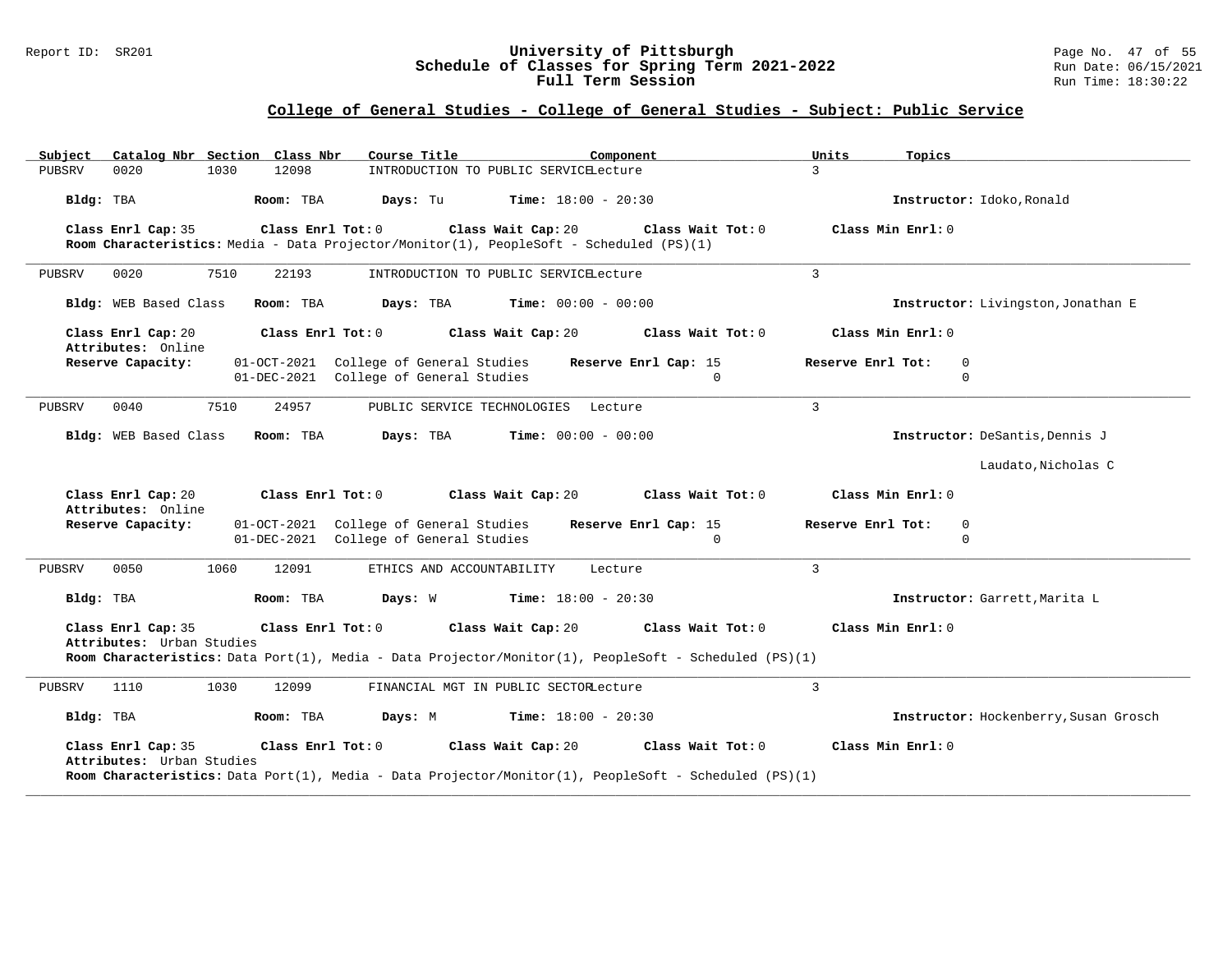#### Report ID: SR201 **University of Pittsburgh** Page No. 47 of 55 **Schedule of Classes for Spring Term 2021-2022** Run Date: 06/15/2021 **Full Term Session Rundall Term Session Rundall Term Session**

| Catalog Nbr Section Class Nbr<br>Subject                                                                                                                                                                                                      | Course Title<br>Component                                                                                                                               | Units<br>Topics                       |  |  |  |
|-----------------------------------------------------------------------------------------------------------------------------------------------------------------------------------------------------------------------------------------------|---------------------------------------------------------------------------------------------------------------------------------------------------------|---------------------------------------|--|--|--|
| 12098<br>0020<br>1030<br>PUBSRV                                                                                                                                                                                                               | INTRODUCTION TO PUBLIC SERVICELecture                                                                                                                   | $\mathbf{3}$                          |  |  |  |
| Bldg: TBA<br>Room: TBA                                                                                                                                                                                                                        | Days: Tu<br><b>Time:</b> $18:00 - 20:30$                                                                                                                | Instructor: Idoko, Ronald             |  |  |  |
| Class Enrl Cap: 35<br>Class Enrl Tot: 0                                                                                                                                                                                                       | Class Wait Cap: 20<br>Class Wait Tot: 0<br>Room Characteristics: Media - Data Projector/Monitor(1), PeopleSoft - Scheduled (PS)(1)                      | Class Min Enrl: 0                     |  |  |  |
| 7510<br>0020<br>22193<br>PUBSRV                                                                                                                                                                                                               | INTRODUCTION TO PUBLIC SERVICELecture                                                                                                                   | $\overline{3}$                        |  |  |  |
| Bldg: WEB Based Class<br>Room: TBA                                                                                                                                                                                                            | Days: TBA<br><b>Time:</b> $00:00 - 00:00$                                                                                                               | Instructor: Livingston, Jonathan E    |  |  |  |
| Class Enrl Cap: 20<br>Class Enrl Tot: 0<br>Attributes: Online                                                                                                                                                                                 | Class Wait Cap: 20<br>Class Wait Tot: 0                                                                                                                 | Class Min Enrl: 0                     |  |  |  |
| Reserve Capacity:                                                                                                                                                                                                                             | 01-OCT-2021 College of General Studies<br>Reserve Enrl Cap: 15<br>01-DEC-2021 College of General Studies<br>$\Omega$                                    | Reserve Enrl Tot:<br>0<br>$\mathbf 0$ |  |  |  |
| 0040<br>7510<br>24957<br>PUBSRV                                                                                                                                                                                                               | PUBLIC SERVICE TECHNOLOGIES Lecture                                                                                                                     | $\overline{3}$                        |  |  |  |
| Bldg: WEB Based Class<br>Room: TBA                                                                                                                                                                                                            | Days: TBA<br><b>Time:</b> $00:00 - 00:00$                                                                                                               | Instructor: DeSantis, Dennis J        |  |  |  |
|                                                                                                                                                                                                                                               |                                                                                                                                                         | Laudato, Nicholas C                   |  |  |  |
| Class Enrl Cap: 20<br>Class Enrl Tot: 0<br>Attributes: Online                                                                                                                                                                                 | Class Wait Cap: 20<br>Class Wait Tot: 0                                                                                                                 | Class Min Enrl: 0                     |  |  |  |
| Reserve Capacity:<br>01-DEC-2021                                                                                                                                                                                                              | 01-OCT-2021 College of General Studies<br>Reserve Enrl Cap: 15<br>College of General Studies<br>$\Omega$                                                | Reserve Enrl Tot:<br>0<br>$\Omega$    |  |  |  |
| 1060<br>0050<br>12091<br>PUBSRV                                                                                                                                                                                                               | ETHICS AND ACCOUNTABILITY<br>Lecture                                                                                                                    | $\mathbf{3}$                          |  |  |  |
| Bldg: TBA<br>Room: TBA                                                                                                                                                                                                                        | Days: W<br><b>Time:</b> $18:00 - 20:30$                                                                                                                 | Instructor: Garrett, Marita L         |  |  |  |
| Class Min Enrl: 0<br>Class Enrl Cap: 35<br>Class Enrl Tot: 0<br>Class Wait Cap: 20<br>Class Wait Tot: 0<br>Attributes: Urban Studies<br>Room Characteristics: Data Port(1), Media - Data Projector/Monitor(1), PeopleSoft - Scheduled (PS)(1) |                                                                                                                                                         |                                       |  |  |  |
| 1030<br>12099<br>1110<br>PUBSRV                                                                                                                                                                                                               | FINANCIAL MGT IN PUBLIC SECTORLecture                                                                                                                   | $\overline{3}$                        |  |  |  |
| Bldg: TBA<br>Room: TBA                                                                                                                                                                                                                        | Days: M<br><b>Time:</b> $18:00 - 20:30$                                                                                                                 | Instructor: Hockenberry, Susan Grosch |  |  |  |
| Class Enrl Cap: 35<br>Class Enrl Tot: 0<br>Attributes: Urban Studies                                                                                                                                                                          | Class Wait Cap: 20<br>Class Wait Tot: 0<br><b>Room Characteristics:</b> Data Port(1), Media - Data Projector/Monitor(1), PeopleSoft - Scheduled (PS)(1) | Class Min Enrl: 0                     |  |  |  |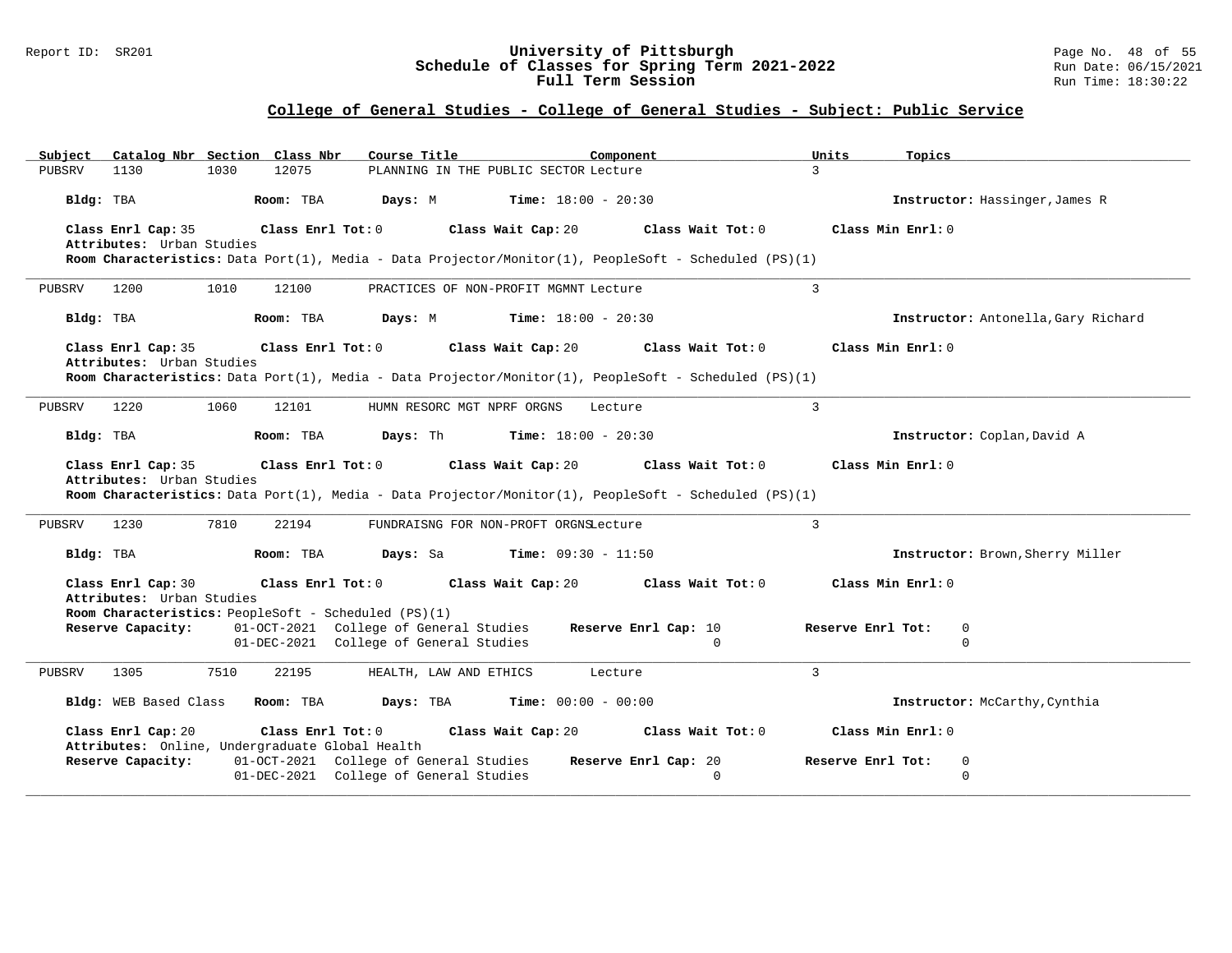#### Report ID: SR201 **University of Pittsburgh** Page No. 48 of 55 **Schedule of Classes for Spring Term 2021-2022** Run Date: 06/15/2021 **Full Term Session Rundall Term Session Rundall Term Session**

| Catalog Nbr Section Class Nbr<br>Subject                             | Course Title<br>Component                                                                                            | Topics<br>Units                       |
|----------------------------------------------------------------------|----------------------------------------------------------------------------------------------------------------------|---------------------------------------|
| PUBSRV<br>1130<br>1030<br>12075                                      | PLANNING IN THE PUBLIC SECTOR Lecture                                                                                | $\overline{3}$                        |
| Bldg: TBA<br>Room: TBA                                               | Days: M<br><b>Time:</b> $18:00 - 20:30$                                                                              | Instructor: Hassinger, James R        |
| Class Enrl Tot: 0<br>Class Enrl Cap: 35                              | Class Wait Cap: 20<br>Class Wait Tot: 0                                                                              | Class Min Enrl: 0                     |
| Attributes: Urban Studies                                            | Room Characteristics: Data Port(1), Media - Data Projector/Monitor(1), PeopleSoft - Scheduled (PS)(1)                |                                       |
|                                                                      |                                                                                                                      |                                       |
| 1200<br>1010<br>12100<br>PUBSRV                                      | PRACTICES OF NON-PROFIT MGMNT Lecture                                                                                | $\overline{3}$                        |
| Bldg: TBA<br>Room: TBA                                               | <b>Time:</b> $18:00 - 20:30$<br>Days: M                                                                              | Instructor: Antonella, Gary Richard   |
| Class Enrl Cap: 35<br>Class Enrl Tot: 0                              | Class Wait Cap: 20<br>Class Wait Tot: 0                                                                              | Class Min Enrl: 0                     |
| Attributes: Urban Studies                                            | Room Characteristics: Data Port(1), Media - Data Projector/Monitor(1), PeopleSoft - Scheduled (PS)(1)                |                                       |
|                                                                      |                                                                                                                      |                                       |
| 1220<br>PUBSRV<br>1060<br>12101                                      | HUMN RESORC MGT NPRF ORGNS<br>Lecture                                                                                | $\mathbf{3}$                          |
| Bldg: TBA<br>Room: TBA                                               | Days: Th<br><b>Time:</b> $18:00 - 20:30$                                                                             | Instructor: Coplan, David A           |
| Class Enrl Cap: 35<br>Class Enrl Tot: 0                              | Class Wait Cap: 20<br>Class Wait Tot: 0                                                                              | Class Min Enrl: 0                     |
|                                                                      |                                                                                                                      |                                       |
| Attributes: Urban Studies                                            |                                                                                                                      |                                       |
|                                                                      | Room Characteristics: Data Port(1), Media - Data Projector/Monitor(1), PeopleSoft - Scheduled (PS)(1)                |                                       |
| 1230<br>7810<br>PUBSRV<br>22194                                      | FUNDRAISNG FOR NON-PROFT ORGNSLecture                                                                                | 3                                     |
| Room: TBA<br>Bldg: TBA                                               | <b>Days:</b> Sa <b>Time:</b> $09:30 - 11:50$                                                                         | Instructor: Brown, Sherry Miller      |
| Class Enrl Cap: 30<br>Class Enrl Tot: 0<br>Attributes: Urban Studies | Class Wait Cap: 20<br>Class Wait Tot: 0                                                                              | Class Min Enrl: 0                     |
| Room Characteristics: PeopleSoft - Scheduled (PS)(1)                 |                                                                                                                      |                                       |
| Reserve Capacity:                                                    | 01-OCT-2021 College of General Studies<br>Reserve Enrl Cap: 10                                                       | Reserve Enrl Tot:<br>0                |
|                                                                      | 01-DEC-2021 College of General Studies<br>$\Omega$                                                                   | $\Omega$                              |
| 1305<br>7510<br>22195<br>PUBSRV                                      | HEALTH, LAW AND ETHICS<br>Lecture                                                                                    | $\mathbf{3}$                          |
| Bldg: WEB Based Class<br>Room: TBA                                   | <b>Days:</b> TBA <b>Time:</b> $00:00 - 00:00$                                                                        | Instructor: McCarthy, Cynthia         |
| Class Enrl Tot: 0<br>Class Enrl Cap: 20                              | Class Wait Cap: 20<br>Class Wait Tot: 0                                                                              | Class Min Enrl: 0                     |
| Attributes: Online, Undergraduate Global Health                      |                                                                                                                      |                                       |
| Reserve Capacity:                                                    | 01-OCT-2021 College of General Studies<br>Reserve Enrl Cap: 20<br>01-DEC-2021 College of General Studies<br>$\Omega$ | Reserve Enrl Tot:<br>0<br>$\mathbf 0$ |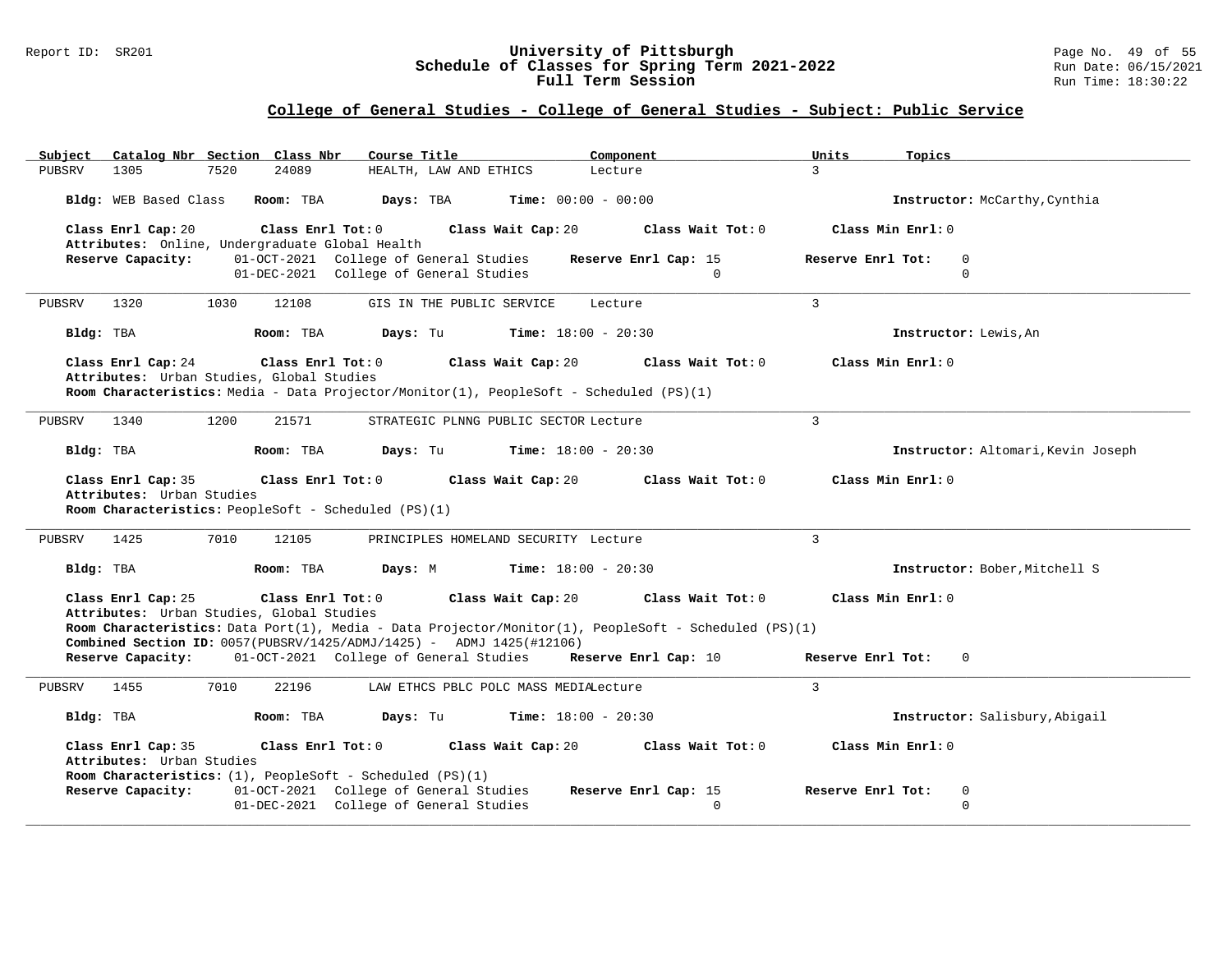### Report ID: SR201 **University of Pittsburgh** Page No. 49 of 55 **Schedule of Classes for Spring Term 2021-2022** Run Date: 06/15/2021 **Full Term Session Rundall Term Session Rundall Term Session**

| PUBSRV<br>1305                                  | Subject Catalog Nbr Section Class Nbr                                          | Course Title                           | Component                                                                                             | Topics<br>Units                    |
|-------------------------------------------------|--------------------------------------------------------------------------------|----------------------------------------|-------------------------------------------------------------------------------------------------------|------------------------------------|
|                                                 | 7520<br>24089                                                                  | HEALTH, LAW AND ETHICS                 | Lecture                                                                                               | $\mathbf{R}$                       |
|                                                 | Bldg: WEB Based Class Room: TBA                                                | Days: TBA                              | <b>Time:</b> $00:00 - 00:00$                                                                          | Instructor: McCarthy, Cynthia      |
| Class Enrl Cap: 20                              | Class Enrl Tot: 0                                                              |                                        | Class Wait Cap: 20<br>Class Wait Tot: 0                                                               | Class Min Enrl: 0                  |
|                                                 | Attributes: Online, Undergraduate Global Health                                |                                        |                                                                                                       |                                    |
| Reserve Capacity:                               |                                                                                | 01-OCT-2021 College of General Studies | Reserve Enrl Cap: 15                                                                                  | Reserve Enrl Tot:<br>$\mathbf 0$   |
|                                                 |                                                                                | 01-DEC-2021 College of General Studies | $\mathbf 0$                                                                                           | $\Omega$                           |
| 1320<br>PUBSRV                                  | 1030<br>12108                                                                  | GIS IN THE PUBLIC SERVICE              | Lecture                                                                                               | $\mathcal{L}$                      |
| Bldg: TBA                                       | Room: TBA                                                                      | Days: Tu                               | <b>Time:</b> $18:00 - 20:30$                                                                          | Instructor: Lewis.An               |
| Class Enrl Cap: 24                              | Class Enrl Tot: 0                                                              |                                        | Class Wait Cap: 20<br>Class Wait Tot: 0                                                               | Class Min Enrl: 0                  |
|                                                 | Attributes: Urban Studies, Global Studies                                      |                                        | Room Characteristics: Media - Data Projector/Monitor(1), PeopleSoft - Scheduled (PS)(1)               |                                    |
|                                                 |                                                                                |                                        |                                                                                                       |                                    |
| 1340<br>PUBSRV                                  | 1200<br>21571                                                                  |                                        | STRATEGIC PLNNG PUBLIC SECTOR Lecture                                                                 | 3                                  |
| Bldg: TBA                                       | Room: TBA                                                                      | Days: Tu                               | <b>Time:</b> $18:00 - 20:30$                                                                          | Instructor: Altomari, Kevin Joseph |
| Class Enrl Cap: 35                              | Class Enrl Tot: 0                                                              |                                        | Class Wait Tot: 0<br>Class Wait Cap: 20                                                               | Class Min Enrl: 0                  |
| Attributes: Urban Studies                       |                                                                                |                                        |                                                                                                       |                                    |
|                                                 | Room Characteristics: PeopleSoft - Scheduled (PS)(1)                           |                                        |                                                                                                       |                                    |
|                                                 |                                                                                |                                        |                                                                                                       |                                    |
| 1425<br>PUBSRV                                  | 7010<br>12105                                                                  | PRINCIPLES HOMELAND SECURITY Lecture   |                                                                                                       | $\overline{3}$                     |
| Bldg: TBA                                       | Room: TBA                                                                      | Days: M                                | <b>Time:</b> $18:00 - 20:30$                                                                          | Instructor: Bober, Mitchell S      |
| Class Enrl Cap: 25                              | Class Enrl Tot: 0                                                              |                                        | Class Wait Cap: 20<br>Class Wait Tot: 0                                                               | Class Min Enrl: 0                  |
|                                                 | Attributes: Urban Studies, Global Studies                                      |                                        |                                                                                                       |                                    |
|                                                 |                                                                                |                                        | Room Characteristics: Data Port(1), Media - Data Projector/Monitor(1), PeopleSoft - Scheduled (PS)(1) |                                    |
|                                                 | <b>Combined Section ID:</b> $0057 (PUBSRV/1425/ADMJ/1425) -$ ADMJ 1425(#12106) |                                        |                                                                                                       |                                    |
|                                                 |                                                                                |                                        | Reserve Capacity: 01-OCT-2021 College of General Studies Reserve Enrl Cap: 10                         | Reserve Enrl Tot:<br>$\mathbf{0}$  |
| PUBSRV<br>1455                                  | 7010<br>22196                                                                  |                                        | LAW ETHCS PBLC POLC MASS MEDIALecture                                                                 | $\mathbf{3}$                       |
| Bldg: TBA                                       | Room: TBA                                                                      | Days: Tu                               | <b>Time:</b> $18:00 - 20:30$                                                                          | Instructor: Salisbury, Abigail     |
| Class Enrl Cap: 35<br>Attributes: Urban Studies | Class Enrl Tot: 0                                                              |                                        | Class Wait Cap: 20<br>Class Wait Tot: 0                                                               | Class Min Enrl: 0                  |
|                                                 | Room Characteristics: (1), PeopleSoft - Scheduled (PS)(1)                      |                                        |                                                                                                       |                                    |
| Reserve Capacity:                               |                                                                                | 01-OCT-2021 College of General Studies | Reserve Enrl Cap: 15                                                                                  | Reserve Enrl Tot:<br>$\mathbf 0$   |
|                                                 |                                                                                | 01-DEC-2021 College of General Studies | $\Omega$                                                                                              | $\Omega$                           |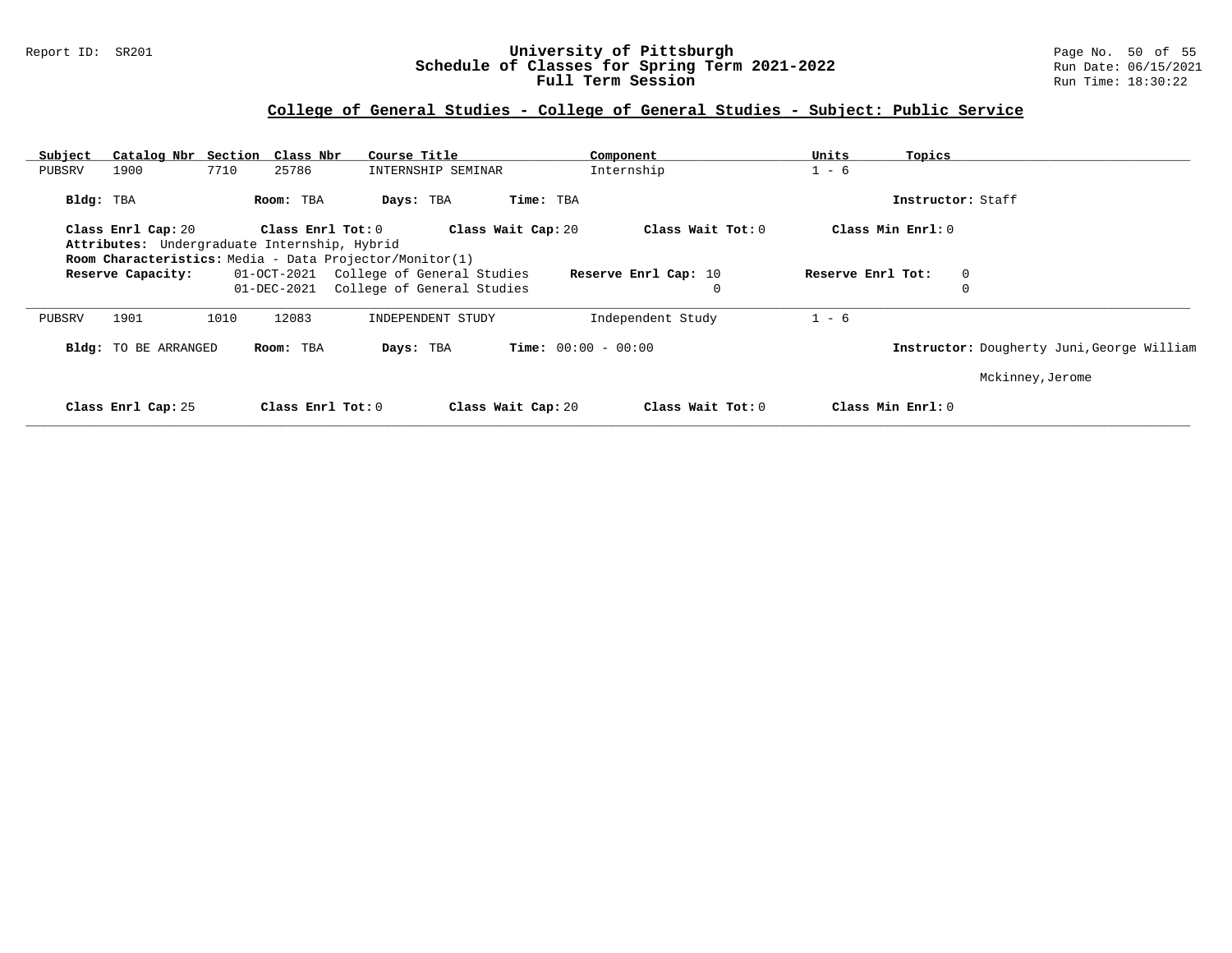### Report ID: SR201 **University of Pittsburgh** Page No. 50 of 55 **Schedule of Classes for Spring Term 2021-2022** Run Date: 06/15/2021 **Full Term Session Rundall Term Session Rundall Term Session**

| Subject   | Catalog Nbr Section Class Nbr                           |      |                     | Course Title                           |                    |                    | Component                    |                   | Units             | Topics            |                                            |
|-----------|---------------------------------------------------------|------|---------------------|----------------------------------------|--------------------|--------------------|------------------------------|-------------------|-------------------|-------------------|--------------------------------------------|
| PUBSRV    | 1900                                                    | 7710 | 25786               |                                        | INTERNSHIP SEMINAR |                    | Internship                   |                   | $1 - 6$           |                   |                                            |
| Bldg: TBA |                                                         |      | Room: TBA           | Days: TBA                              |                    | Time: TBA          |                              |                   |                   | Instructor: Staff |                                            |
|           | Class Enrl Cap: 20                                      |      | Class Enrl Tot: $0$ |                                        |                    | Class Wait Cap: 20 |                              | Class Wait Tot: 0 | Class Min Enrl: 0 |                   |                                            |
|           | Attributes: Undergraduate Internship, Hybrid            |      |                     |                                        |                    |                    |                              |                   |                   |                   |                                            |
|           | Room Characteristics: Media - Data Projector/Monitor(1) |      |                     |                                        |                    |                    |                              |                   |                   |                   |                                            |
|           | Reserve Capacity:                                       |      |                     | 01-OCT-2021 College of General Studies |                    |                    | Reserve Enrl Cap: 10         |                   | Reserve Enrl Tot: |                   | $\overline{0}$                             |
|           |                                                         |      | 01-DEC-2021         | College of General Studies             |                    |                    |                              |                   |                   |                   |                                            |
| PUBSRV    | 1901                                                    | 1010 | 12083               |                                        | INDEPENDENT STUDY  |                    | Independent Study            |                   | $1 - 6$           |                   |                                            |
|           | <b>Bldg:</b> TO BE ARRANGED                             |      | Room: TBA           |                                        | Days: TBA          |                    | <b>Time:</b> $00:00 - 00:00$ |                   |                   |                   | Instructor: Dougherty Juni, George William |
|           |                                                         |      |                     |                                        |                    |                    |                              |                   |                   |                   | Mckinney, Jerome                           |
|           | Class Enrl Cap: 25                                      |      | Class Enrl Tot: 0   |                                        |                    | Class Wait Cap: 20 |                              | Class Wait Tot: 0 | Class Min Enrl: 0 |                   |                                            |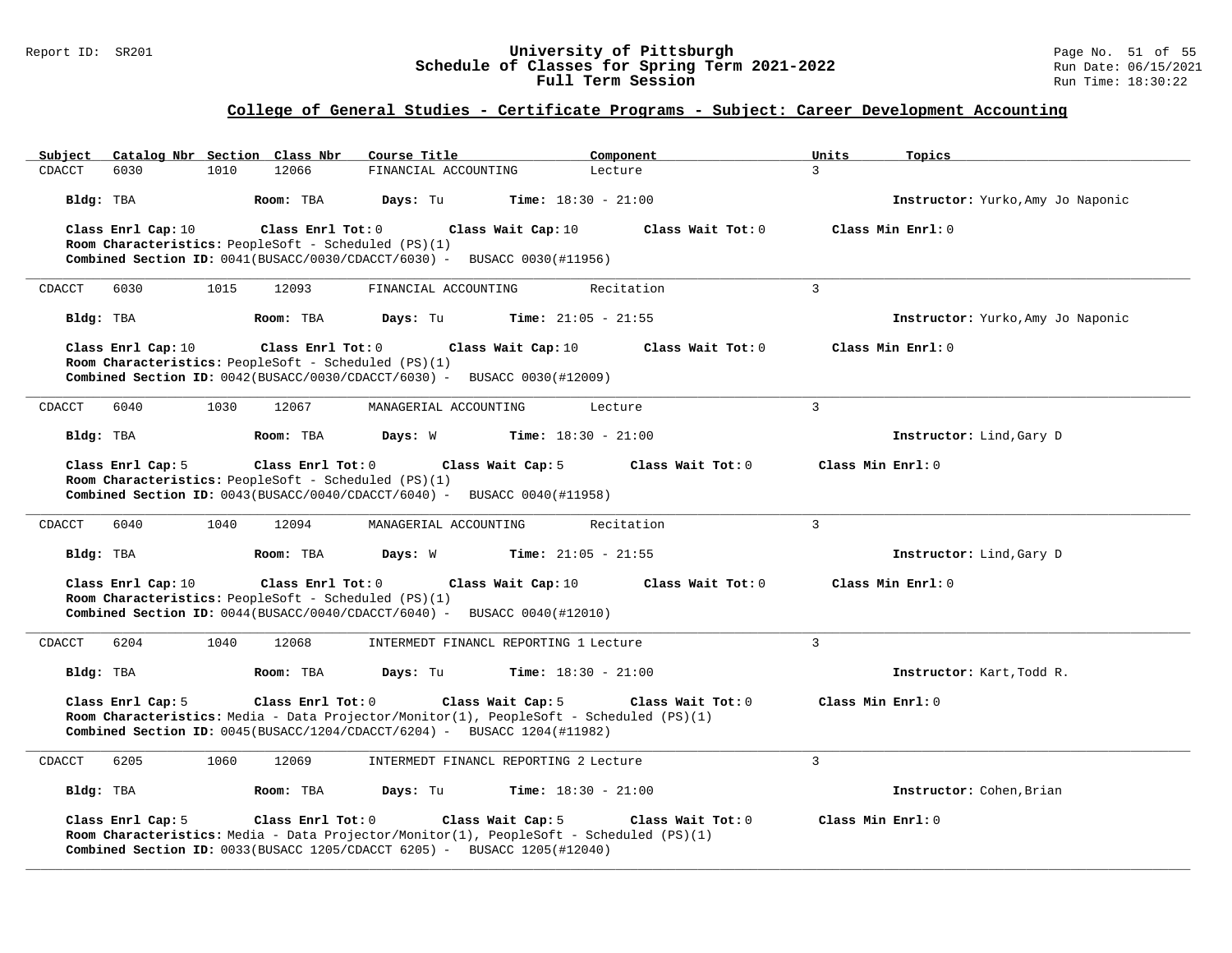### Report ID: SR201 **University of Pittsburgh** Page No. 51 of 55 **Schedule of Classes for Spring Term 2021-2022** Run Date: 06/15/2021 **Full Term Session Rundall Term Session Rundall Term Session**

### **College of General Studies - Certificate Programs - Subject: Career Development Accounting**

| Catalog Nbr Section Class Nbr<br>Subject | Course Title                                                                                                                                                                                                   | Component<br>Units           | Topics                            |
|------------------------------------------|----------------------------------------------------------------------------------------------------------------------------------------------------------------------------------------------------------------|------------------------------|-----------------------------------|
| CDACCT<br>6030<br>1010                   | 12066<br>FINANCIAL ACCOUNTING                                                                                                                                                                                  | $\overline{3}$<br>Lecture    |                                   |
| Bldg: TBA                                | Time: $18:30 - 21:00$<br>Room: TBA<br>Days: Tu                                                                                                                                                                 |                              | Instructor: Yurko, Amy Jo Naponic |
| Class Enrl Cap: 10                       | Class Enrl Tot: 0<br>Class Wait Cap: 10<br>Room Characteristics: PeopleSoft - Scheduled (PS)(1)<br>Combined Section ID: $0041(BUSACC/0030/CDACCT/6030)$ - BUSACC 0030(#11956)                                  | Class Wait Tot: 0            | Class Min Enrl: 0                 |
| CDACCT<br>6030<br>1015                   | 12093<br>FINANCIAL ACCOUNTING                                                                                                                                                                                  | $\overline{3}$<br>Recitation |                                   |
| Bldg: TBA                                | Days: Tu<br><b>Time:</b> $21:05 - 21:55$<br>Room: TBA                                                                                                                                                          |                              | Instructor: Yurko, Amy Jo Naponic |
| Class Enrl Cap: 10                       | Class Enrl Tot: 0<br>Class Wait Cap: 10<br>Room Characteristics: PeopleSoft - Scheduled (PS)(1)<br>Combined Section ID: $0042(BUSACC/0030/CDACC/6030)$ - BUSACC 0030(#12009)                                   | Class Wait Tot: 0            | Class Min Enrl: 0                 |
| 6040<br>1030<br>CDACCT                   | 12067<br>MANAGERIAL ACCOUNTING                                                                                                                                                                                 | $\overline{3}$<br>Lecture    |                                   |
| Bldg: TBA                                | Room: TBA<br>Days: W<br><b>Time:</b> $18:30 - 21:00$                                                                                                                                                           |                              | Instructor: Lind, Gary D          |
| Class Enrl Cap: 5                        | Class Enrl Tot: 0<br>Class Wait Cap: 5<br>Room Characteristics: PeopleSoft - Scheduled (PS)(1)<br>Combined Section ID: 0043(BUSACC/0040/CDACCT/6040) - BUSACC 0040(#11958)                                     | Class Wait Tot: 0            | Class Min Enrl: 0                 |
| CDACCT<br>6040<br>1040                   | 12094<br>MANAGERIAL ACCOUNTING                                                                                                                                                                                 | $\mathbf{3}$<br>Recitation   |                                   |
| Bldg: TBA                                | Room: TBA<br>Days: W<br><b>Time:</b> $21:05 - 21:55$                                                                                                                                                           |                              | Instructor: Lind, Gary D          |
| Class Enrl Cap: 10                       | Class Enrl Tot: 0<br>Class Wait Cap: 10<br>Room Characteristics: PeopleSoft - Scheduled (PS)(1)<br>Combined Section ID: 0044(BUSACC/0040/CDACCT/6040) - BUSACC 0040(#12010)                                    | Class Wait Tot: 0            | Class Min Enrl: 0                 |
| 1040<br>CDACCT<br>6204                   | 12068<br>INTERMEDT FINANCL REPORTING 1 Lecture                                                                                                                                                                 | $\overline{3}$               |                                   |
| Bldg: TBA                                | Room: TBA<br>Days: Tu<br><b>Time:</b> $18:30 - 21:00$                                                                                                                                                          |                              | Instructor: Kart, Todd R.         |
| Class Enrl Cap: 5                        | Class Enrl Tot: 0<br>Class Wait Cap: 5<br>Room Characteristics: Media - Data Projector/Monitor(1), PeopleSoft - Scheduled (PS)(1)<br>Combined Section ID: $0045(BUSACC/1204/CDACC/6204)$ - BUSACC 1204(#11982) | Class Wait Tot: 0            | Class Min Enrl: 0                 |
| 1060<br>CDACCT<br>6205                   | 12069<br>INTERMEDT FINANCL REPORTING 2 Lecture                                                                                                                                                                 | $\overline{3}$               |                                   |
| Bldg: TBA                                | Room: TBA<br>Days: Tu<br><b>Time:</b> $18:30 - 21:00$                                                                                                                                                          |                              | Instructor: Cohen, Brian          |
| Class Enrl Cap: 5                        | Class Enrl Tot: 0<br>Class Wait Cap: 5<br>Room Characteristics: Media - Data Projector/Monitor(1), PeopleSoft - Scheduled (PS)(1)<br>Combined Section ID: 0033(BUSACC 1205/CDACCT 6205) - BUSACC 1205(#12040)  | Class Wait Tot: 0            | Class Min Enrl: 0                 |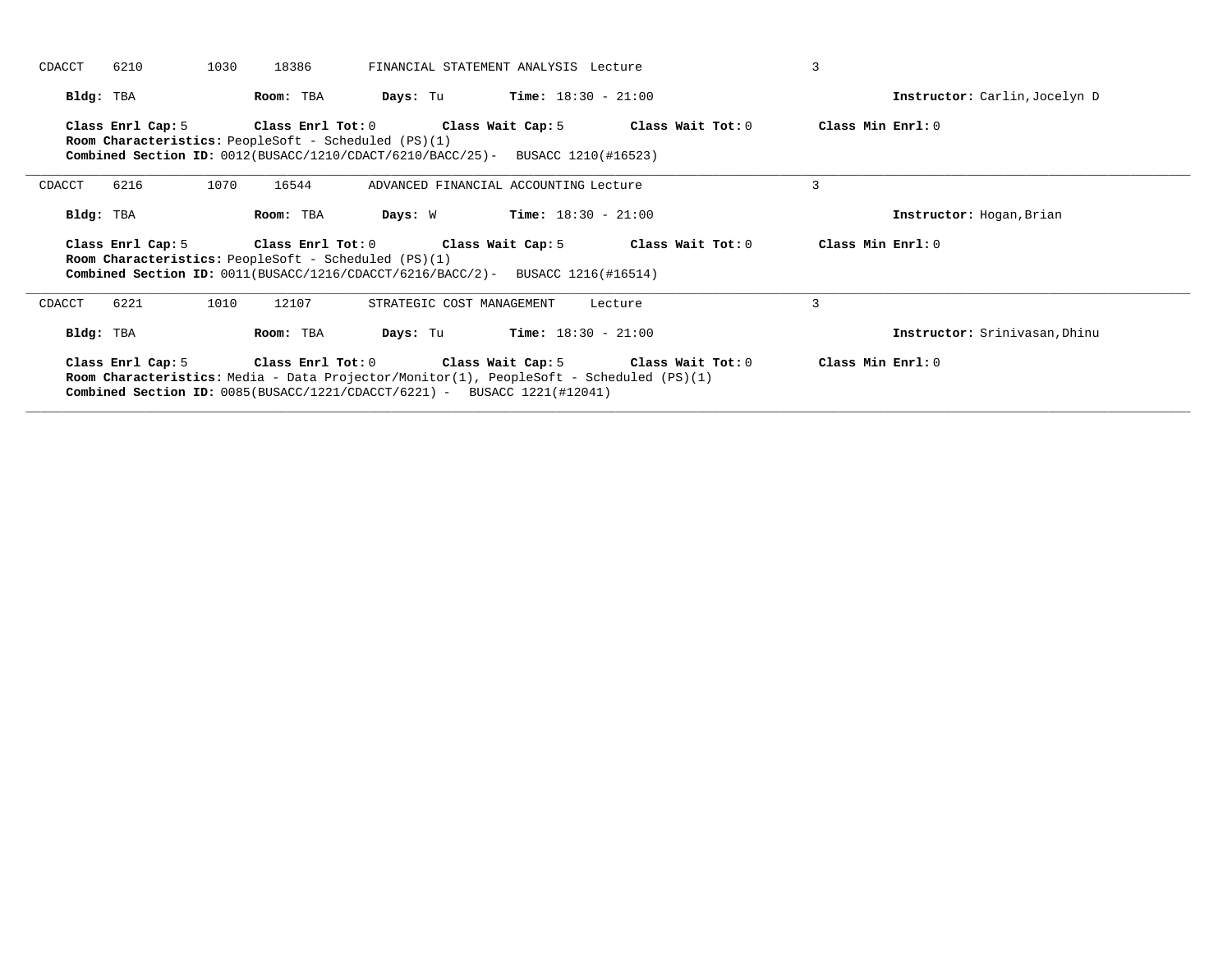| CDACCT<br>6210    | 1030<br>18386                                               | FINANCIAL STATEMENT ANALYSIS Lecture                                                                                                                                      |         | 3                             |
|-------------------|-------------------------------------------------------------|---------------------------------------------------------------------------------------------------------------------------------------------------------------------------|---------|-------------------------------|
| Bldg: TBA         | Room: TBA                                                   | $Time: 18:30 - 21:00$<br>Days: Tu                                                                                                                                         |         | Instructor: Carlin, Jocelyn D |
| Class Enrl Cap: 5 | <b>Room Characteristics:</b> PeopleSoft - Scheduled (PS)(1) | Class Enrl Tot: $0$ Class Wait Cap: $5$ Class Wait Tot: $0$<br><b>Combined Section ID:</b> $0012(BUSACC/1210/CDACT/6210/BACC/25)$ - BUSACC 1210(#16523)                   |         | Class Min Enrl: 0             |
| 6216<br>CDACCT    | 1070<br>16544                                               | ADVANCED FINANCIAL ACCOUNTING Lecture                                                                                                                                     |         | 3                             |
| Bldg: TBA         | Room: TBA                                                   | $Time: 18:30 - 21:00$<br>Days: W                                                                                                                                          |         | Instructor: Hogan, Brian      |
|                   |                                                             |                                                                                                                                                                           |         |                               |
| Class Enrl Cap: 5 | Room Characteristics: PeopleSoft - Scheduled (PS)(1)        | Class Enrl Tot: $0$ $\qquad$ Class Wait Cap: $5$ $\qquad$ Class Wait Tot: $0$<br><b>Combined Section ID:</b> $0011(BUSACC/1216/CDACCT/6216/BACC/2)$ - BUSACC 1216(#16514) |         | Class Min Enrl: 0             |
| 6221<br>CDACCT    | 1010<br>12107                                               | STRATEGIC COST MANAGEMENT                                                                                                                                                 | Lecture | 3                             |
| Bldg: TBA         | Room: TBA                                                   | $Time: 18:30 - 21:00$<br>Days: Tu                                                                                                                                         |         | Instructor: Srinivasan, Dhinu |

**\_\_\_\_\_\_\_\_\_\_\_\_\_\_\_\_\_\_\_\_\_\_\_\_\_\_\_\_\_\_\_\_\_\_\_\_\_\_\_\_\_\_\_\_\_\_\_\_\_\_\_\_\_\_\_\_\_\_\_\_\_\_\_\_\_\_\_\_\_\_\_\_\_\_\_\_\_\_\_\_\_\_\_\_\_\_\_\_\_\_\_\_\_\_\_\_\_\_\_\_\_\_\_\_\_\_\_\_\_\_\_\_\_\_\_\_\_\_\_\_\_\_\_\_\_\_\_\_\_\_\_\_\_\_\_\_\_\_\_\_\_\_\_\_\_\_\_\_\_\_\_\_\_\_\_\_**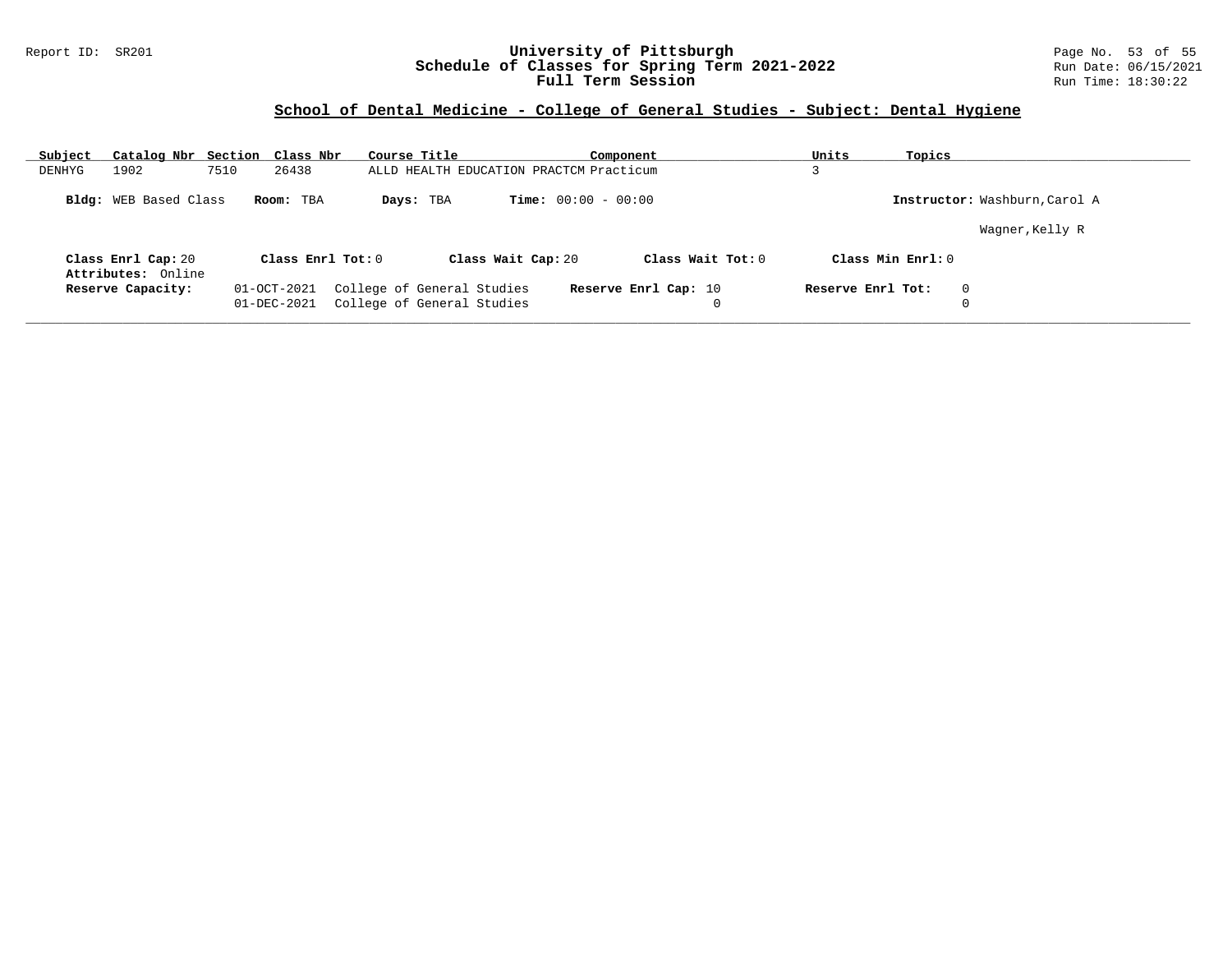### Report ID: SR201 **University of Pittsburgh** Page No. 53 of 55 **Schedule of Classes for Spring Term 2021-2022** Run Date: 06/15/2021 **Full Term Session Rundall Term Session Rundall Term Session**

# **School of Dental Medicine - College of General Studies - Subject: Dental Hygiene**

| Subject |                                          | Catalog Nbr Section Class Nbr |                   | Course Title                                             | Component                    |   | Units             | Topics                        |  |
|---------|------------------------------------------|-------------------------------|-------------------|----------------------------------------------------------|------------------------------|---|-------------------|-------------------------------|--|
| DENHYG  | 1902                                     | 7510<br>26438                 |                   | ALLD HEALTH EDUCATION PRACTCM Practicum                  |                              |   |                   |                               |  |
|         | Bldg: WEB Based Class                    | Room: TBA                     |                   | Days: TBA                                                | <b>Time:</b> $00:00 - 00:00$ |   |                   | Instructor: Washburn, Carol A |  |
|         |                                          |                               |                   |                                                          |                              |   |                   | Wagner, Kelly R               |  |
|         | Class Enrl Cap: 20<br>Attributes: Online |                               | Class Enrl Tot: 0 | Class Wait Cap: 20                                       | Class Wait Tot: $0$          |   | Class Min Enrl: 0 |                               |  |
|         | Reserve Capacity:                        | 01-OCT-2021<br>01-DEC-2021    |                   | College of General Studies<br>College of General Studies | Reserve Enrl Cap: 10         | 0 | Reserve Enrl Tot: | $\Omega$                      |  |

**\_\_\_\_\_\_\_\_\_\_\_\_\_\_\_\_\_\_\_\_\_\_\_\_\_\_\_\_\_\_\_\_\_\_\_\_\_\_\_\_\_\_\_\_\_\_\_\_\_\_\_\_\_\_\_\_\_\_\_\_\_\_\_\_\_\_\_\_\_\_\_\_\_\_\_\_\_\_\_\_\_\_\_\_\_\_\_\_\_\_\_\_\_\_\_\_\_\_\_\_\_\_\_\_\_\_\_\_\_\_\_\_\_\_\_\_\_\_\_\_\_\_\_\_\_\_\_\_\_\_\_\_\_\_\_\_\_\_\_\_\_\_\_\_\_\_\_\_\_\_\_\_\_\_\_\_**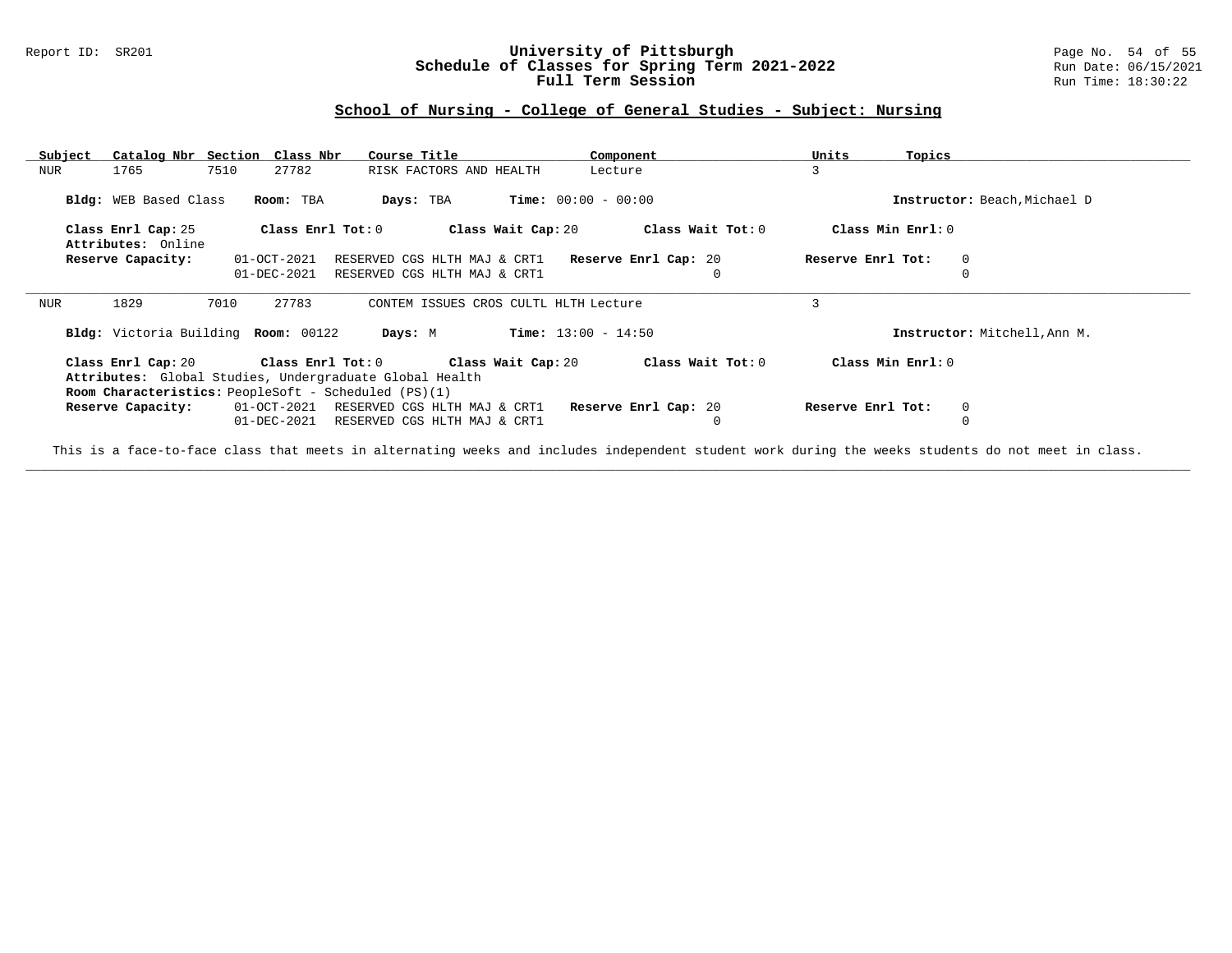#### Report ID: SR201 **University of Pittsburgh University of Pittsburgh** Page No. 54 of 55<br>**Schedule of Classes for Spring Term 2021-2022** Run Date: 06/15/2021 **Schedule of Classes for Spring Term 2021-2022** Run Date: 06/15/2021<br>**Full Term Session** Run Time: 18:30:22 Full Term Session

### **School of Nursing - College of General Studies - Subject: Nursing**

| Subject | Catalog Nbr Section                                         |                            | Class Nbr         | Course Title                                                 | Component                                         | Units<br>Topics   |                              |
|---------|-------------------------------------------------------------|----------------------------|-------------------|--------------------------------------------------------------|---------------------------------------------------|-------------------|------------------------------|
| NUR     | 1765                                                        | 7510<br>27782              |                   | RISK FACTORS AND HEALTH                                      | Lecture                                           | 3                 |                              |
|         | Bldg: WEB Based Class                                       | Room: TBA                  |                   | Days: TBA                                                    | <b>Time:</b> $00:00 - 00:00$                      |                   | Instructor: Beach, Michael D |
|         | Class Enrl Cap: 25                                          |                            | Class Enrl Tot: 0 | Class Wait Cap: 20                                           | Class Wait Tot: 0                                 | Class Min Enrl: 0 |                              |
|         | Attributes: Online                                          |                            |                   |                                                              |                                                   |                   |                              |
|         | Reserve Capacity:                                           | 01-OCT-2021                |                   |                                                              | RESERVED CGS HLTH MAJ & CRT1 Reserve Enrl Cap: 20 | Reserve Enrl Tot: | $\mathbf 0$                  |
|         |                                                             | 01-DEC-2021                |                   | RESERVED CGS HLTH MAJ & CRT1                                 |                                                   |                   |                              |
|         |                                                             |                            |                   |                                                              |                                                   |                   |                              |
| NUR     | 1829                                                        | 7010<br>27783              |                   | CONTEM ISSUES CROS CULTL HLTH Lecture                        |                                                   | 3                 |                              |
|         | Bldg: Victoria Building Room: 00122                         |                            | Days: M           |                                                              | <b>Time:</b> $13:00 - 14:50$                      |                   | Instructor: Mitchell, Ann M. |
|         | Class Enrl Cap: 20                                          | Class Enrl Tot: 0          |                   | Class Wait Cap: 20                                           | Class Wait Tot: 0                                 | Class Min Enrl: 0 |                              |
|         | Attributes: Global Studies, Undergraduate Global Health     |                            |                   |                                                              |                                                   |                   |                              |
|         | <b>Room Characteristics:</b> PeopleSoft - Scheduled (PS)(1) |                            |                   |                                                              |                                                   |                   |                              |
|         | Reserve Capacity:                                           | 01-OCT-2021<br>01-DEC-2021 |                   | RESERVED CGS HLTH MAJ & CRT1<br>RESERVED CGS HLTH MAJ & CRT1 | Reserve Enrl Cap: 20<br>0                         | Reserve Enrl Tot: | 0                            |

This is a face-to-face class that meets in alternating weeks and includes independent student work during the weeks students do not meet in class. **\_\_\_\_\_\_\_\_\_\_\_\_\_\_\_\_\_\_\_\_\_\_\_\_\_\_\_\_\_\_\_\_\_\_\_\_\_\_\_\_\_\_\_\_\_\_\_\_\_\_\_\_\_\_\_\_\_\_\_\_\_\_\_\_\_\_\_\_\_\_\_\_\_\_\_\_\_\_\_\_\_\_\_\_\_\_\_\_\_\_\_\_\_\_\_\_\_\_\_\_\_\_\_\_\_\_\_\_\_\_\_\_\_\_\_\_\_\_\_\_\_\_\_\_\_\_\_\_\_\_\_\_\_\_\_\_\_\_\_\_\_\_\_\_\_\_\_\_\_\_\_\_\_\_\_\_**